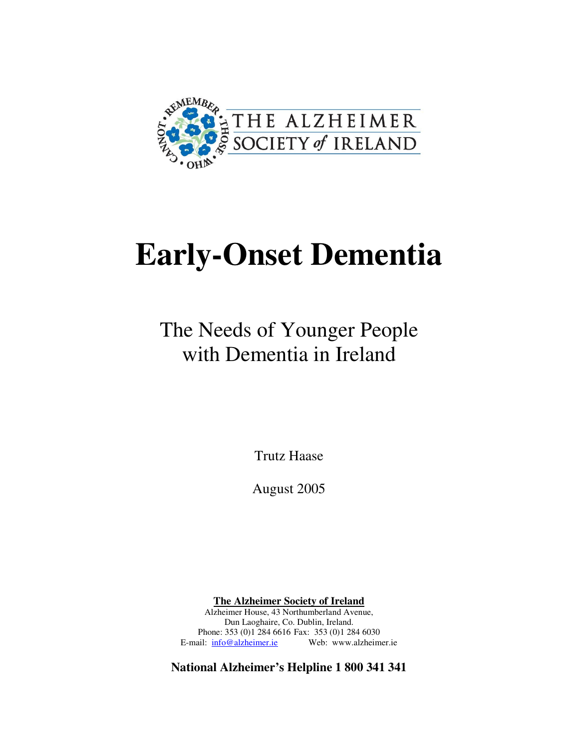

# **Early-Onset Dementia**

The Needs of Younger People with Dementia in Ireland

Trutz Haase

August 2005

**The Alzheimer Society of Ireland** Alzheimer House, 43 Northumberland Avenue, Dun Laoghaire, Co. Dublin, Ireland. Phone: 353 (0)1 284 6616 Fax: 353 (0)1 284 6030 E-mail: info@alzheimer.ie Web: www.alzheimer.ie

**National Alzheimer's Helpline 1 800 341 341**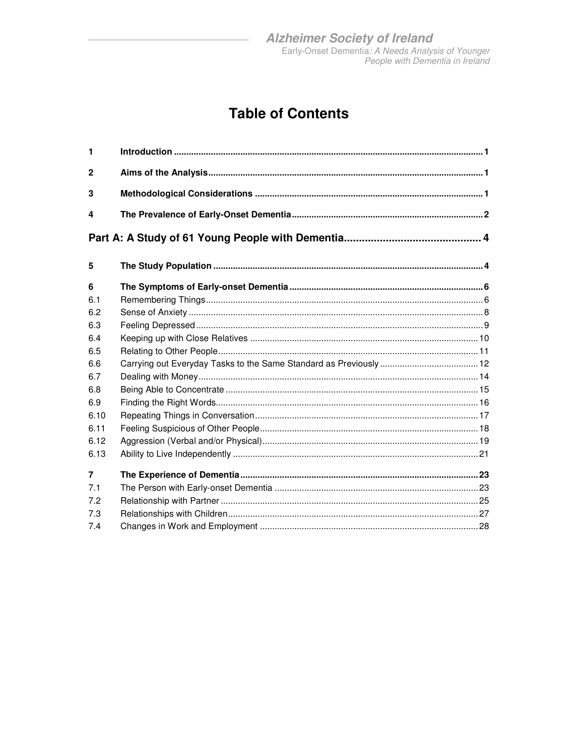### **Table of Contents**

| $\mathbf{1}$   |  |
|----------------|--|
| $\mathbf{2}$   |  |
| 3              |  |
| 4              |  |
|                |  |
| 5              |  |
| 6              |  |
| 6.1            |  |
| 6.2            |  |
| 6.3            |  |
| 6.4            |  |
| 6.5            |  |
| 6.6            |  |
| 6.7            |  |
| 6.8            |  |
| 6.9            |  |
| 6.10           |  |
| 6.11           |  |
| 6.12           |  |
| 6.13           |  |
| $\overline{7}$ |  |
| 7.1            |  |
| 7.2            |  |
| 7.3            |  |
| 7.4            |  |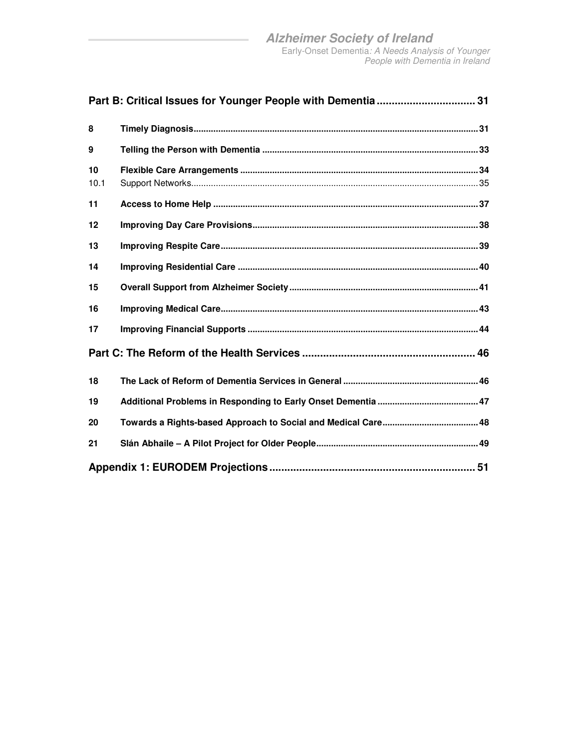| 8          |  |
|------------|--|
| 9          |  |
| 10<br>10.1 |  |
| 11         |  |
| 12         |  |
| 13         |  |
| 14         |  |
| 15         |  |
| 16         |  |
| 17         |  |
|            |  |
| 18         |  |
| 19         |  |
| 20         |  |
| 21         |  |
|            |  |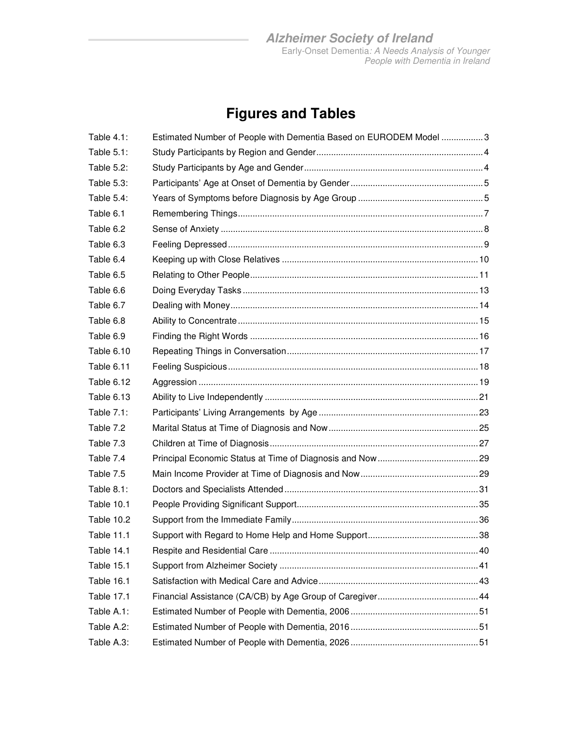## **Figures and Tables**

| Table 4.1:        | Estimated Number of People with Dementia Based on EURODEM Model 3 |  |
|-------------------|-------------------------------------------------------------------|--|
| Table 5.1:        |                                                                   |  |
| Table 5.2:        |                                                                   |  |
| Table 5.3:        |                                                                   |  |
| Table 5.4:        |                                                                   |  |
| Table 6.1         |                                                                   |  |
| Table 6.2         |                                                                   |  |
| Table 6.3         |                                                                   |  |
| Table 6.4         |                                                                   |  |
| Table 6.5         |                                                                   |  |
| Table 6.6         |                                                                   |  |
| Table 6.7         |                                                                   |  |
| Table 6.8         |                                                                   |  |
| Table 6.9         |                                                                   |  |
| Table 6.10        |                                                                   |  |
| Table 6.11        |                                                                   |  |
| Table 6.12        |                                                                   |  |
| Table 6.13        |                                                                   |  |
| Table 7.1:        |                                                                   |  |
| Table 7.2         |                                                                   |  |
| Table 7.3         |                                                                   |  |
| Table 7.4         |                                                                   |  |
| Table 7.5         |                                                                   |  |
| Table 8.1:        |                                                                   |  |
| Table 10.1        |                                                                   |  |
| Table 10.2        |                                                                   |  |
| <b>Table 11.1</b> |                                                                   |  |
| Table 14.1        |                                                                   |  |
| Table 15.1        |                                                                   |  |
| Table 16.1        |                                                                   |  |
| <b>Table 17.1</b> |                                                                   |  |
| Table A.1:        |                                                                   |  |
| Table A.2:        |                                                                   |  |
| Table A.3:        |                                                                   |  |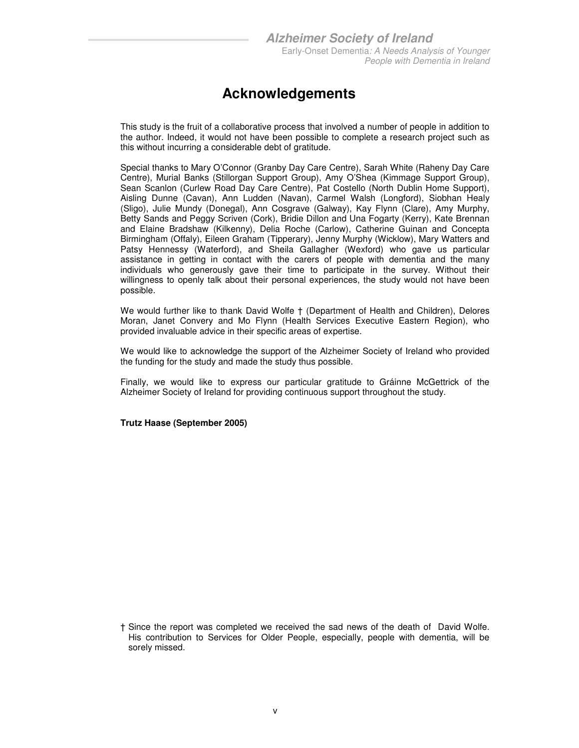### **Acknowledgements**

This study is the fruit of a collaborative process that involved a number of people in addition to the author. Indeed, it would not have been possible to complete a research project such as this without incurring a considerable debt of gratitude.

Special thanks to Mary O'Connor (Granby Day Care Centre), Sarah White (Raheny Day Care Centre), Murial Banks (Stillorgan Support Group), Amy O'Shea (Kimmage Support Group), Sean Scanlon (Curlew Road Day Care Centre), Pat Costello (North Dublin Home Support), Aisling Dunne (Cavan), Ann Ludden (Navan), Carmel Walsh (Longford), Siobhan Healy (Sligo), Julie Mundy (Donegal), Ann Cosgrave (Galway), Kay Flynn (Clare), Amy Murphy, Betty Sands and Peggy Scriven (Cork), Bridie Dillon and Una Fogarty (Kerry), Kate Brennan and Elaine Bradshaw (Kilkenny), Delia Roche (Carlow), Catherine Guinan and Concepta Birmingham (Offaly), Eileen Graham (Tipperary), Jenny Murphy (Wicklow), Mary Watters and Patsy Hennessy (Waterford), and Sheila Gallagher (Wexford) who gave us particular assistance in getting in contact with the carers of people with dementia and the many individuals who generously gave their time to participate in the survey. Without their willingness to openly talk about their personal experiences, the study would not have been possible.

We would further like to thank David Wolfe † (Department of Health and Children), Delores Moran, Janet Convery and Mo Flynn (Health Services Executive Eastern Region), who provided invaluable advice in their specific areas of expertise.

We would like to acknowledge the support of the Alzheimer Society of Ireland who provided the funding for the study and made the study thus possible.

Finally, we would like to express our particular gratitude to Gráinne McGettrick of the Alzheimer Society of Ireland for providing continuous support throughout the study.

**Trutz Haase (September 2005)** 

<sup>†</sup> Since the report was completed we received the sad news of the death of David Wolfe. His contribution to Services for Older People, especially, people with dementia, will be sorely missed.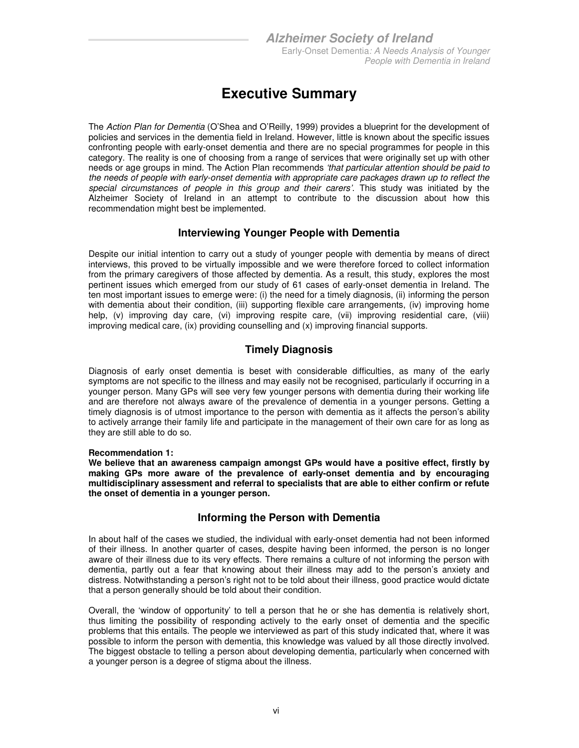### **Executive Summary**

The Action Plan for Dementia (O'Shea and O'Reilly, 1999) provides a blueprint for the development of policies and services in the dementia field in Ireland. However, little is known about the specific issues confronting people with early-onset dementia and there are no special programmes for people in this category. The reality is one of choosing from a range of services that were originally set up with other needs or age groups in mind. The Action Plan recommends 'that particular attention should be paid to the needs of people with early-onset dementia with appropriate care packages drawn up to reflect the special circumstances of people in this group and their carers'. This study was initiated by the Alzheimer Society of Ireland in an attempt to contribute to the discussion about how this recommendation might best be implemented.

### **Interviewing Younger People with Dementia**

Despite our initial intention to carry out a study of younger people with dementia by means of direct interviews, this proved to be virtually impossible and we were therefore forced to collect information from the primary caregivers of those affected by dementia. As a result, this study, explores the most pertinent issues which emerged from our study of 61 cases of early-onset dementia in Ireland. The ten most important issues to emerge were: (i) the need for a timely diagnosis, (ii) informing the person with dementia about their condition, (iii) supporting flexible care arrangements, (iv) improving home help, (v) improving day care, (vi) improving respite care, (vii) improving residential care, (viii) improving medical care, (ix) providing counselling and (x) improving financial supports.

### **Timely Diagnosis**

Diagnosis of early onset dementia is beset with considerable difficulties, as many of the early symptoms are not specific to the illness and may easily not be recognised, particularly if occurring in a younger person. Many GPs will see very few younger persons with dementia during their working life and are therefore not always aware of the prevalence of dementia in a younger persons. Getting a timely diagnosis is of utmost importance to the person with dementia as it affects the person's ability to actively arrange their family life and participate in the management of their own care for as long as they are still able to do so.

#### **Recommendation 1:**

**We believe that an awareness campaign amongst GPs would have a positive effect, firstly by making GPs more aware of the prevalence of early-onset dementia and by encouraging multidisciplinary assessment and referral to specialists that are able to either confirm or refute the onset of dementia in a younger person.** 

### **Informing the Person with Dementia**

In about half of the cases we studied, the individual with early-onset dementia had not been informed of their illness. In another quarter of cases, despite having been informed, the person is no longer aware of their illness due to its very effects. There remains a culture of not informing the person with dementia, partly out a fear that knowing about their illness may add to the person's anxiety and distress. Notwithstanding a person's right not to be told about their illness, good practice would dictate that a person generally should be told about their condition.

Overall, the 'window of opportunity' to tell a person that he or she has dementia is relatively short, thus limiting the possibility of responding actively to the early onset of dementia and the specific problems that this entails. The people we interviewed as part of this study indicated that, where it was possible to inform the person with dementia, this knowledge was valued by all those directly involved. The biggest obstacle to telling a person about developing dementia, particularly when concerned with a younger person is a degree of stigma about the illness.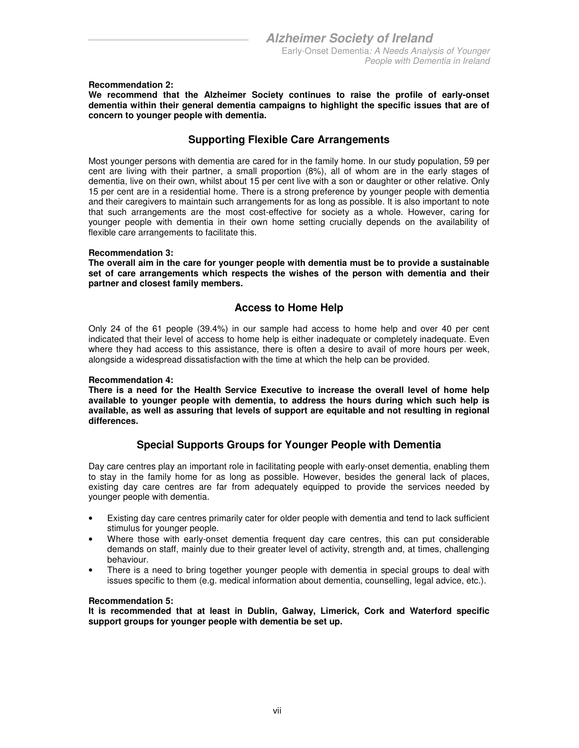**Recommendation 2:** 

**We recommend that the Alzheimer Society continues to raise the profile of early-onset dementia within their general dementia campaigns to highlight the specific issues that are of concern to younger people with dementia.** 

#### **Supporting Flexible Care Arrangements**

Most younger persons with dementia are cared for in the family home. In our study population, 59 per cent are living with their partner, a small proportion (8%), all of whom are in the early stages of dementia, live on their own, whilst about 15 per cent live with a son or daughter or other relative. Only 15 per cent are in a residential home. There is a strong preference by younger people with dementia and their caregivers to maintain such arrangements for as long as possible. It is also important to note that such arrangements are the most cost-effective for society as a whole. However, caring for younger people with dementia in their own home setting crucially depends on the availability of flexible care arrangements to facilitate this.

#### **Recommendation 3:**

**The overall aim in the care for younger people with dementia must be to provide a sustainable set of care arrangements which respects the wishes of the person with dementia and their partner and closest family members.** 

#### **Access to Home Help**

Only 24 of the 61 people (39.4%) in our sample had access to home help and over 40 per cent indicated that their level of access to home help is either inadequate or completely inadequate. Even where they had access to this assistance, there is often a desire to avail of more hours per week, alongside a widespread dissatisfaction with the time at which the help can be provided.

#### **Recommendation 4:**

**There is a need for the Health Service Executive to increase the overall level of home help available to younger people with dementia, to address the hours during which such help is available, as well as assuring that levels of support are equitable and not resulting in regional differences.** 

### **Special Supports Groups for Younger People with Dementia**

Day care centres play an important role in facilitating people with early-onset dementia, enabling them to stay in the family home for as long as possible. However, besides the general lack of places, existing day care centres are far from adequately equipped to provide the services needed by younger people with dementia.

- Existing day care centres primarily cater for older people with dementia and tend to lack sufficient stimulus for younger people.
- Where those with early-onset dementia frequent day care centres, this can put considerable demands on staff, mainly due to their greater level of activity, strength and, at times, challenging behaviour.
- There is a need to bring together younger people with dementia in special groups to deal with issues specific to them (e.g. medical information about dementia, counselling, legal advice, etc.).

#### **Recommendation 5:**

**It is recommended that at least in Dublin, Galway, Limerick, Cork and Waterford specific support groups for younger people with dementia be set up.**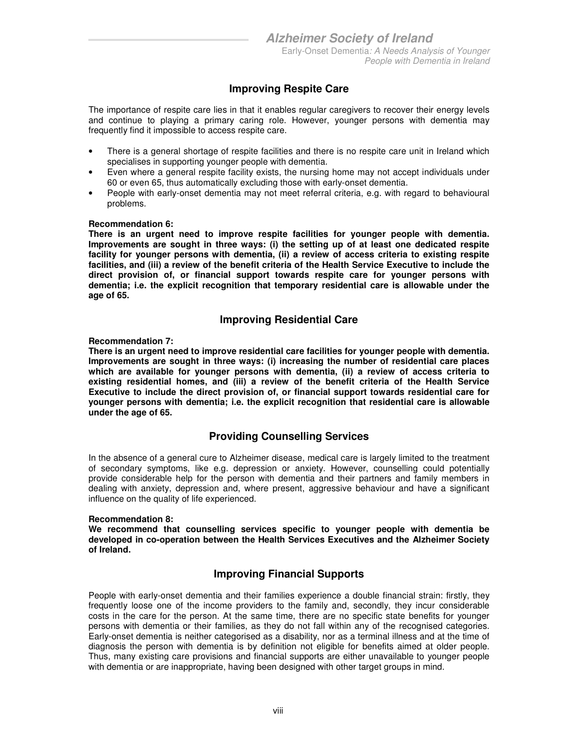### **Improving Respite Care**

The importance of respite care lies in that it enables regular caregivers to recover their energy levels and continue to playing a primary caring role. However, younger persons with dementia may frequently find it impossible to access respite care.

- There is a general shortage of respite facilities and there is no respite care unit in Ireland which specialises in supporting younger people with dementia.
- Even where a general respite facility exists, the nursing home may not accept individuals under 60 or even 65, thus automatically excluding those with early-onset dementia.
- People with early-onset dementia may not meet referral criteria, e.g. with regard to behavioural problems.

#### **Recommendation 6:**

**There is an urgent need to improve respite facilities for younger people with dementia. Improvements are sought in three ways: (i) the setting up of at least one dedicated respite facility for younger persons with dementia, (ii) a review of access criteria to existing respite facilities, and (iii) a review of the benefit criteria of the Health Service Executive to include the direct provision of, or financial support towards respite care for younger persons with dementia; i.e. the explicit recognition that temporary residential care is allowable under the age of 65.** 

#### **Improving Residential Care**

#### **Recommendation 7:**

**There is an urgent need to improve residential care facilities for younger people with dementia. Improvements are sought in three ways: (i) increasing the number of residential care places which are available for younger persons with dementia, (ii) a review of access criteria to existing residential homes, and (iii) a review of the benefit criteria of the Health Service Executive to include the direct provision of, or financial support towards residential care for younger persons with dementia; i.e. the explicit recognition that residential care is allowable under the age of 65.** 

### **Providing Counselling Services**

In the absence of a general cure to Alzheimer disease, medical care is largely limited to the treatment of secondary symptoms, like e.g. depression or anxiety. However, counselling could potentially provide considerable help for the person with dementia and their partners and family members in dealing with anxiety, depression and, where present, aggressive behaviour and have a significant influence on the quality of life experienced.

#### **Recommendation 8:**

**We recommend that counselling services specific to younger people with dementia be developed in co-operation between the Health Services Executives and the Alzheimer Society of Ireland.** 

### **Improving Financial Supports**

People with early-onset dementia and their families experience a double financial strain: firstly, they frequently loose one of the income providers to the family and, secondly, they incur considerable costs in the care for the person. At the same time, there are no specific state benefits for younger persons with dementia or their families, as they do not fall within any of the recognised categories. Early-onset dementia is neither categorised as a disability, nor as a terminal illness and at the time of diagnosis the person with dementia is by definition not eligible for benefits aimed at older people. Thus, many existing care provisions and financial supports are either unavailable to younger people with dementia or are inappropriate, having been designed with other target groups in mind.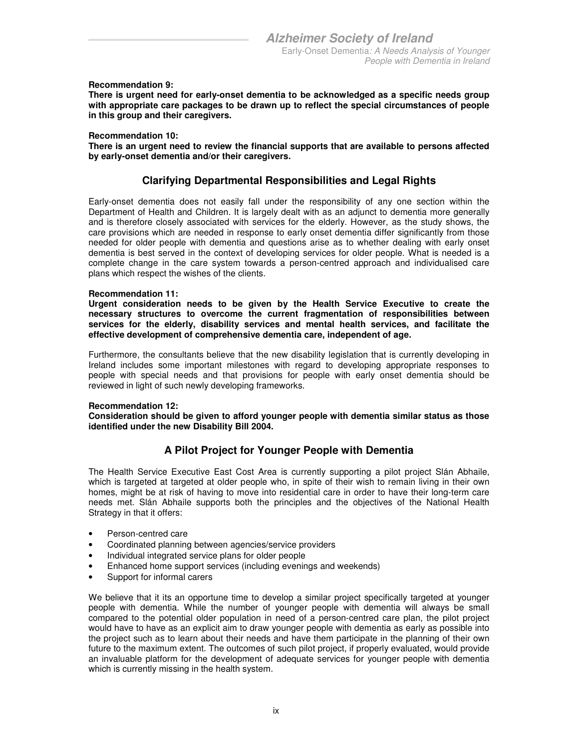#### **Recommendation 9:**

**There is urgent need for early-onset dementia to be acknowledged as a specific needs group with appropriate care packages to be drawn up to reflect the special circumstances of people in this group and their caregivers.** 

#### **Recommendation 10:**

**There is an urgent need to review the financial supports that are available to persons affected by early-onset dementia and/or their caregivers.** 

#### **Clarifying Departmental Responsibilities and Legal Rights**

Early-onset dementia does not easily fall under the responsibility of any one section within the Department of Health and Children. It is largely dealt with as an adjunct to dementia more generally and is therefore closely associated with services for the elderly. However, as the study shows, the care provisions which are needed in response to early onset dementia differ significantly from those needed for older people with dementia and questions arise as to whether dealing with early onset dementia is best served in the context of developing services for older people. What is needed is a complete change in the care system towards a person-centred approach and individualised care plans which respect the wishes of the clients.

#### **Recommendation 11:**

**Urgent consideration needs to be given by the Health Service Executive to create the necessary structures to overcome the current fragmentation of responsibilities between services for the elderly, disability services and mental health services, and facilitate the effective development of comprehensive dementia care, independent of age.** 

Furthermore, the consultants believe that the new disability legislation that is currently developing in Ireland includes some important milestones with regard to developing appropriate responses to people with special needs and that provisions for people with early onset dementia should be reviewed in light of such newly developing frameworks.

#### **Recommendation 12:**

**Consideration should be given to afford younger people with dementia similar status as those identified under the new Disability Bill 2004.** 

### **A Pilot Project for Younger People with Dementia**

The Health Service Executive East Cost Area is currently supporting a pilot project Slán Abhaile, which is targeted at targeted at older people who, in spite of their wish to remain living in their own homes, might be at risk of having to move into residential care in order to have their long-term care needs met. Slán Abhaile supports both the principles and the objectives of the National Health Strategy in that it offers:

- Person-centred care
- Coordinated planning between agencies/service providers
- Individual integrated service plans for older people
- Enhanced home support services (including evenings and weekends)
- Support for informal carers

We believe that it its an opportune time to develop a similar project specifically targeted at younger people with dementia. While the number of younger people with dementia will always be small compared to the potential older population in need of a person-centred care plan, the pilot project would have to have as an explicit aim to draw younger people with dementia as early as possible into the project such as to learn about their needs and have them participate in the planning of their own future to the maximum extent. The outcomes of such pilot project, if properly evaluated, would provide an invaluable platform for the development of adequate services for younger people with dementia which is currently missing in the health system.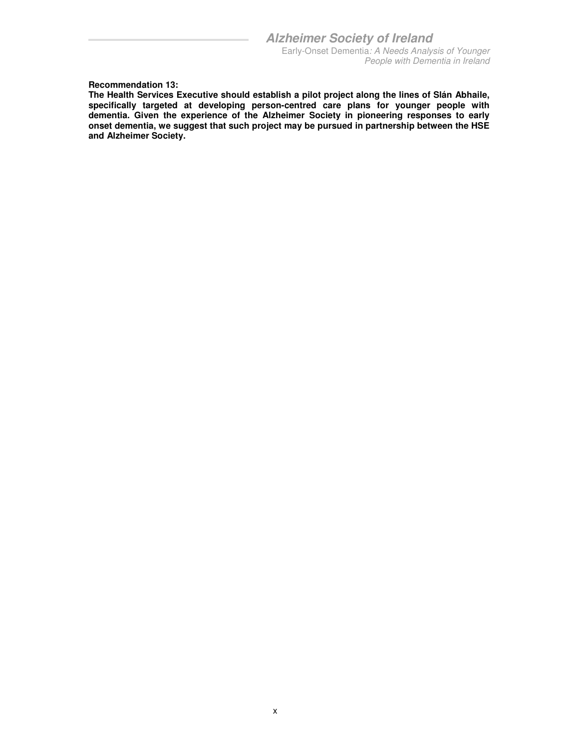**Recommendation 13:** 

**The Health Services Executive should establish a pilot project along the lines of Slán Abhaile, specifically targeted at developing person-centred care plans for younger people with dementia. Given the experience of the Alzheimer Society in pioneering responses to early onset dementia, we suggest that such project may be pursued in partnership between the HSE and Alzheimer Society.**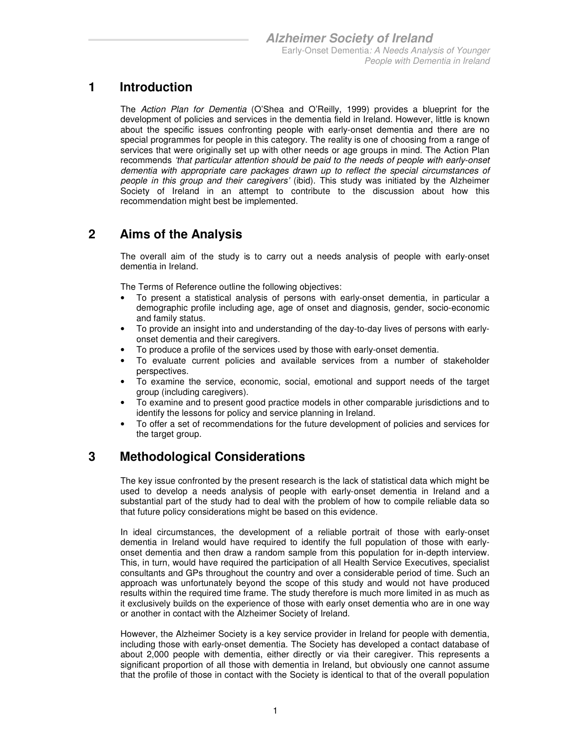### **1 Introduction**

The Action Plan for Dementia (O'Shea and O'Reilly, 1999) provides a blueprint for the development of policies and services in the dementia field in Ireland. However, little is known about the specific issues confronting people with early-onset dementia and there are no special programmes for people in this category. The reality is one of choosing from a range of services that were originally set up with other needs or age groups in mind. The Action Plan recommends 'that particular attention should be paid to the needs of people with early-onset dementia with appropriate care packages drawn up to reflect the special circumstances of people in this group and their caregivers' (ibid). This study was initiated by the Alzheimer Society of Ireland in an attempt to contribute to the discussion about how this recommendation might best be implemented.

### **2 Aims of the Analysis**

The overall aim of the study is to carry out a needs analysis of people with early-onset dementia in Ireland.

The Terms of Reference outline the following objectives:

- To present a statistical analysis of persons with early-onset dementia, in particular a demographic profile including age, age of onset and diagnosis, gender, socio-economic and family status.
- To provide an insight into and understanding of the day-to-day lives of persons with earlyonset dementia and their caregivers.
- To produce a profile of the services used by those with early-onset dementia.
- To evaluate current policies and available services from a number of stakeholder perspectives.
- To examine the service, economic, social, emotional and support needs of the target group (including caregivers).
- To examine and to present good practice models in other comparable jurisdictions and to identify the lessons for policy and service planning in Ireland.
- To offer a set of recommendations for the future development of policies and services for the target group.

### **3 Methodological Considerations**

The key issue confronted by the present research is the lack of statistical data which might be used to develop a needs analysis of people with early-onset dementia in Ireland and a substantial part of the study had to deal with the problem of how to compile reliable data so that future policy considerations might be based on this evidence.

In ideal circumstances, the development of a reliable portrait of those with early-onset dementia in Ireland would have required to identify the full population of those with earlyonset dementia and then draw a random sample from this population for in-depth interview. This, in turn, would have required the participation of all Health Service Executives, specialist consultants and GPs throughout the country and over a considerable period of time. Such an approach was unfortunately beyond the scope of this study and would not have produced results within the required time frame. The study therefore is much more limited in as much as it exclusively builds on the experience of those with early onset dementia who are in one way or another in contact with the Alzheimer Society of Ireland.

However, the Alzheimer Society is a key service provider in Ireland for people with dementia, including those with early-onset dementia. The Society has developed a contact database of about 2,000 people with dementia, either directly or via their caregiver. This represents a significant proportion of all those with dementia in Ireland, but obviously one cannot assume that the profile of those in contact with the Society is identical to that of the overall population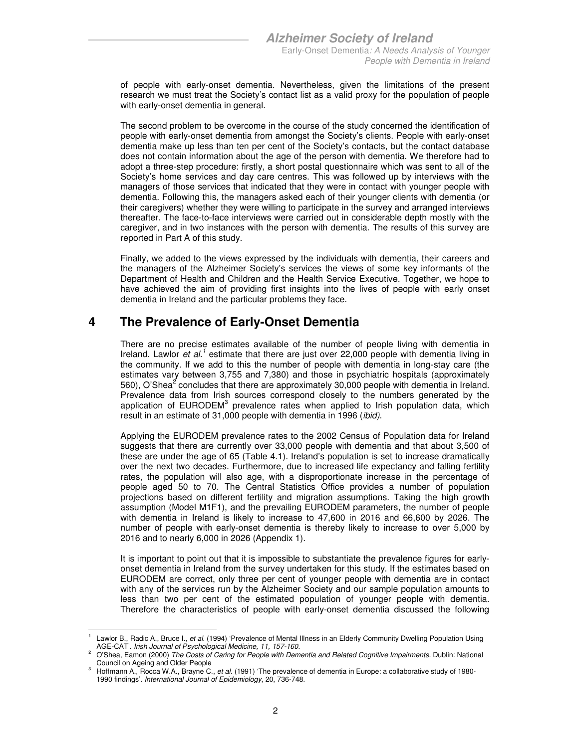of people with early-onset dementia. Nevertheless, given the limitations of the present research we must treat the Society's contact list as a valid proxy for the population of people with early-onset dementia in general.

The second problem to be overcome in the course of the study concerned the identification of people with early-onset dementia from amongst the Society's clients. People with early-onset dementia make up less than ten per cent of the Society's contacts, but the contact database does not contain information about the age of the person with dementia. We therefore had to adopt a three-step procedure: firstly, a short postal questionnaire which was sent to all of the Society's home services and day care centres. This was followed up by interviews with the managers of those services that indicated that they were in contact with younger people with dementia. Following this, the managers asked each of their younger clients with dementia (or their caregivers) whether they were willing to participate in the survey and arranged interviews thereafter. The face-to-face interviews were carried out in considerable depth mostly with the caregiver, and in two instances with the person with dementia. The results of this survey are reported in Part A of this study.

Finally, we added to the views expressed by the individuals with dementia, their careers and the managers of the Alzheimer Society's services the views of some key informants of the Department of Health and Children and the Health Service Executive. Together, we hope to have achieved the aim of providing first insights into the lives of people with early onset dementia in Ireland and the particular problems they face.

### **4 The Prevalence of Early-Onset Dementia**

There are no precise estimates available of the number of people living with dementia in Ireland. Lawlor et al.<sup>1</sup> estimate that there are just over 22,000 people with dementia living in the community. If we add to this the number of people with dementia in long-stay care (the estimates vary between 3,755 and 7,380) and those in psychiatric hospitals (approximately 560), O'Shea<sup>2</sup> concludes that there are approximately 30,000 people with dementia in Ireland. Prevalence data from Irish sources correspond closely to the numbers generated by the application of EURODEM<sup>3</sup> prevalence rates when applied to Irish population data, which result in an estimate of 31,000 people with dementia in 1996 (ibid).

Applying the EURODEM prevalence rates to the 2002 Census of Population data for Ireland suggests that there are currently over 33,000 people with dementia and that about 3,500 of these are under the age of 65 (Table 4.1). Ireland's population is set to increase dramatically over the next two decades. Furthermore, due to increased life expectancy and falling fertility rates, the population will also age, with a disproportionate increase in the percentage of people aged 50 to 70. The Central Statistics Office provides a number of population projections based on different fertility and migration assumptions. Taking the high growth assumption (Model M1F1), and the prevailing EURODEM parameters, the number of people with dementia in Ireland is likely to increase to 47,600 in 2016 and 66,600 by 2026. The number of people with early-onset dementia is thereby likely to increase to over 5,000 by 2016 and to nearly 6,000 in 2026 (Appendix 1).

It is important to point out that it is impossible to substantiate the prevalence figures for earlyonset dementia in Ireland from the survey undertaken for this study. If the estimates based on EURODEM are correct, only three per cent of younger people with dementia are in contact with any of the services run by the Alzheimer Society and our sample population amounts to less than two per cent of the estimated population of younger people with dementia. Therefore the characteristics of people with early-onset dementia discussed the following

<sup>-</sup>1 Lawlor B., Radic A., Bruce I., et al. (1994) 'Prevalence of Mental Illness in an Elderly Community Dwelling Population Using AGE-CAT'. Irish Journal of Psychological Medicine, 11, 157-160.

<sup>2</sup> O'Shea, Eamon (2000) The Costs of Caring for People with Dementia and Related Cognitive Impairments. Dublin: National Council on Ageing and Older People

<sup>3</sup> Hoffmann A., Rocca W.A., Brayne C., et al. (1991) 'The prevalence of dementia in Europe: a collaborative study of 1980- 1990 findings'. International Journal of Epidemiology, 20, 736-748.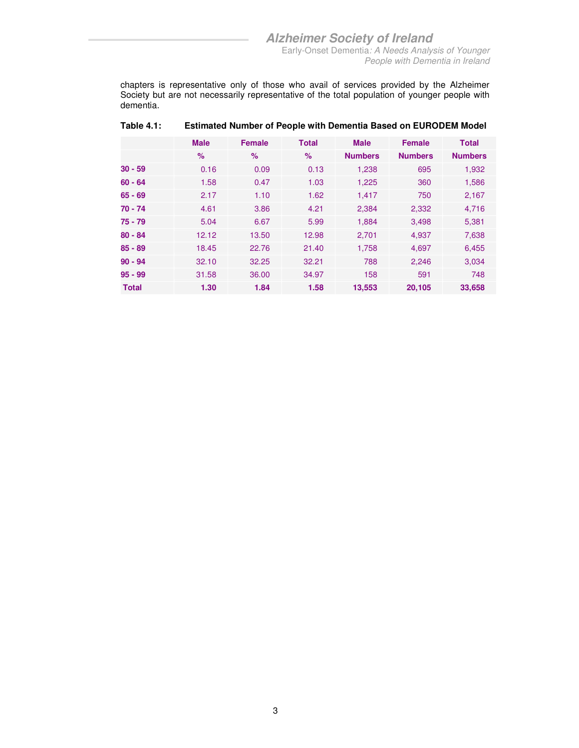chapters is representative only of those who avail of services provided by the Alzheimer Society but are not necessarily representative of the total population of younger people with dementia.

|              | <b>Male</b> | <b>Female</b> | <b>Total</b> | <b>Male</b>    | <b>Female</b>  | <b>Total</b>   |
|--------------|-------------|---------------|--------------|----------------|----------------|----------------|
|              | $\%$        | $\%$          | %            | <b>Numbers</b> | <b>Numbers</b> | <b>Numbers</b> |
| $30 - 59$    | 0.16        | 0.09          | 0.13         | 1,238          | 695            | 1,932          |
| $60 - 64$    | 1.58        | 0.47          | 1.03         | 1,225          | 360            | 1,586          |
| $65 - 69$    | 2.17        | 1.10          | 1.62         | 1,417          | 750            | 2,167          |
| 70 - 74      | 4.61        | 3.86          | 4.21         | 2,384          | 2,332          | 4,716          |
| $75 - 79$    | 5.04        | 6.67          | 5.99         | 1,884          | 3,498          | 5,381          |
| $80 - 84$    | 12.12       | 13.50         | 12.98        | 2,701          | 4,937          | 7,638          |
| $85 - 89$    | 18.45       | 22.76         | 21.40        | 1,758          | 4,697          | 6,455          |
| $90 - 94$    | 32.10       | 32.25         | 32.21        | 788            | 2,246          | 3,034          |
| $95 - 99$    | 31.58       | 36.00         | 34.97        | 158            | 591            | 748            |
| <b>Total</b> | 1.30        | 1.84          | 1.58         | 13,553         | 20,105         | 33,658         |

#### **Table 4.1: Estimated Number of People with Dementia Based on EURODEM Model**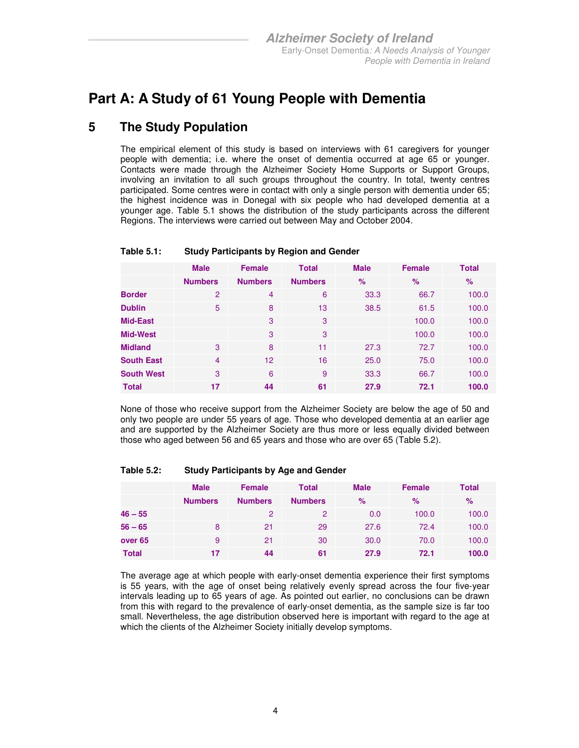### **Part A: A Study of 61 Young People with Dementia**

### **5 The Study Population**

The empirical element of this study is based on interviews with 61 caregivers for younger people with dementia; i.e. where the onset of dementia occurred at age 65 or younger. Contacts were made through the Alzheimer Society Home Supports or Support Groups, involving an invitation to all such groups throughout the country. In total, twenty centres participated. Some centres were in contact with only a single person with dementia under 65; the highest incidence was in Donegal with six people who had developed dementia at a younger age. Table 5.1 shows the distribution of the study participants across the different Regions. The interviews were carried out between May and October 2004.

|                   | <b>Male</b>    | <b>Female</b>   | <b>Total</b>   | <b>Male</b> | <b>Female</b> | <b>Total</b>  |
|-------------------|----------------|-----------------|----------------|-------------|---------------|---------------|
|                   | <b>Numbers</b> | <b>Numbers</b>  | <b>Numbers</b> | $\%$        | $\%$          | $\frac{9}{6}$ |
| <b>Border</b>     | $\overline{2}$ | 4               | 6              | 33.3        | 66.7          | 100.0         |
| <b>Dublin</b>     | 5              | 8               | 13             | 38.5        | 61.5          | 100.0         |
| Mid-East          |                | 3               | 3              |             | 100.0         | 100.0         |
| <b>Mid-West</b>   |                | 3               | 3              |             | 100.0         | 100.0         |
| <b>Midland</b>    | 3              | 8               | 11             | 27.3        | 72.7          | 100.0         |
| <b>South East</b> | $\overline{4}$ | 12 <sup>2</sup> | 16             | 25.0        | 75.0          | 100.0         |
| <b>South West</b> | 3              | 6               | 9              | 33.3        | 66.7          | 100.0         |
| <b>Total</b>      | 17             | 44              | 61             | 27.9        | 72.1          | 100.0         |

#### **Table 5.1: Study Participants by Region and Gender**

None of those who receive support from the Alzheimer Society are below the age of 50 and only two people are under 55 years of age. Those who developed dementia at an earlier age and are supported by the Alzheimer Society are thus more or less equally divided between those who aged between 56 and 65 years and those who are over 65 (Table 5.2).

#### **Table 5.2: Study Participants by Age and Gender**

|                    | <b>Male</b>    | <b>Female</b>  | <b>Total</b>   | <b>Male</b> | <b>Female</b> | Total |
|--------------------|----------------|----------------|----------------|-------------|---------------|-------|
|                    | <b>Numbers</b> | <b>Numbers</b> | <b>Numbers</b> | $\%$        | $\%$          | %     |
| $46 - 55$          |                | 2              | 2              | 0.0         | 100.0         | 100.0 |
| $56 - 65$          | 8              | 21             | 29             | 27.6        | 72.4          | 100.0 |
| over <sub>65</sub> | 9              | 21             | 30             | 30.0        | 70.0          | 100.0 |
| <b>Total</b>       | 17             | 44             | 61             | 27.9        | 72.1          | 100.0 |

The average age at which people with early-onset dementia experience their first symptoms is 55 years, with the age of onset being relatively evenly spread across the four five-year intervals leading up to 65 years of age. As pointed out earlier, no conclusions can be drawn from this with regard to the prevalence of early-onset dementia, as the sample size is far too small. Nevertheless, the age distribution observed here is important with regard to the age at which the clients of the Alzheimer Society initially develop symptoms.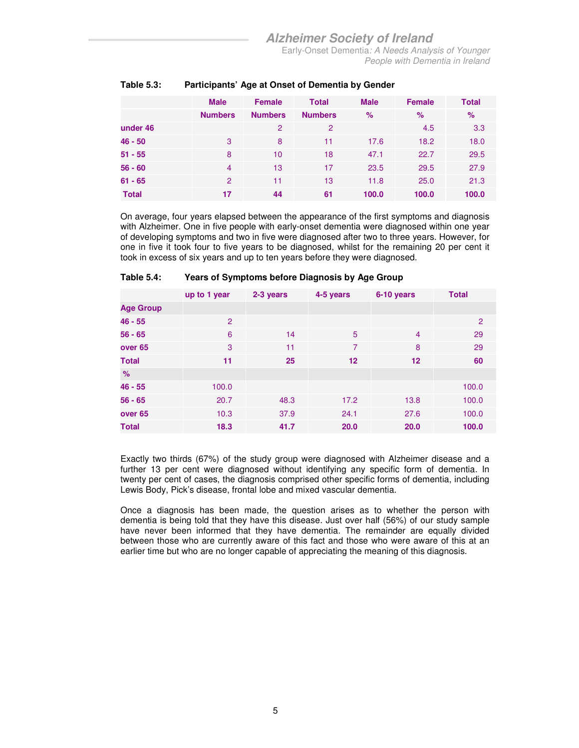### **Alzheimer Society of Ireland**

Early-Onset Dementia: A Needs Analysis of Younger People with Dementia in Ireland

|              | <b>Male</b>    | <b>Female</b>  | <b>Total</b>   | <b>Male</b> | <b>Female</b> | <b>Total</b> |
|--------------|----------------|----------------|----------------|-------------|---------------|--------------|
|              | <b>Numbers</b> | <b>Numbers</b> | <b>Numbers</b> | $\%$        | $\%$          | %            |
| under 46     |                | 2              | 2              |             | 4.5           | 3.3          |
| $46 - 50$    | 3              | 8              | 11             | 17.6        | 18.2          | 18.0         |
| $51 - 55$    | 8              | 10             | 18             | 47.1        | 22.7          | 29.5         |
| $56 - 60$    | $\overline{4}$ | 13             | 17             | 23.5        | 29.5          | 27.9         |
| $61 - 65$    | 2              | 11             | 13             | 11.8        | 25.0          | 21.3         |
| <b>Total</b> | 17             | 44             | 61             | 100.0       | 100.0         | 100.0        |

#### **Table 5.3: Participants' Age at Onset of Dementia by Gender**

On average, four years elapsed between the appearance of the first symptoms and diagnosis with Alzheimer. One in five people with early-onset dementia were diagnosed within one year of developing symptoms and two in five were diagnosed after two to three years. However, for one in five it took four to five years to be diagnosed, whilst for the remaining 20 per cent it took in excess of six years and up to ten years before they were diagnosed.

|                    | up to 1 year | 2-3 years | 4-5 years | 6-10 years        | <b>Total</b>   |
|--------------------|--------------|-----------|-----------|-------------------|----------------|
| <b>Age Group</b>   |              |           |           |                   |                |
| $46 - 55$          | 2            |           |           |                   | $\overline{2}$ |
| $56 - 65$          | 6            | 14        | 5         | $\overline{4}$    | 29             |
| over <sub>65</sub> | 3            | 11        | 7         | 8                 | 29             |
| <b>Total</b>       | 11           | 25        | 12        | $12 \overline{ }$ | 60             |
| $\%$               |              |           |           |                   |                |
| $46 - 55$          | 100.0        |           |           |                   | 100.0          |
| $56 - 65$          | 20.7         | 48.3      | 17.2      | 13.8              | 100.0          |
| over <sub>65</sub> | 10.3         | 37.9      | 24.1      | 27.6              | 100.0          |
| <b>Total</b>       | 18.3         | 41.7      | 20.0      | 20.0              | 100.0          |

#### **Table 5.4: Years of Symptoms before Diagnosis by Age Group**

Exactly two thirds (67%) of the study group were diagnosed with Alzheimer disease and a further 13 per cent were diagnosed without identifying any specific form of dementia. In twenty per cent of cases, the diagnosis comprised other specific forms of dementia, including Lewis Body, Pick's disease, frontal lobe and mixed vascular dementia.

Once a diagnosis has been made, the question arises as to whether the person with dementia is being told that they have this disease. Just over half (56%) of our study sample have never been informed that they have dementia. The remainder are equally divided between those who are currently aware of this fact and those who were aware of this at an earlier time but who are no longer capable of appreciating the meaning of this diagnosis.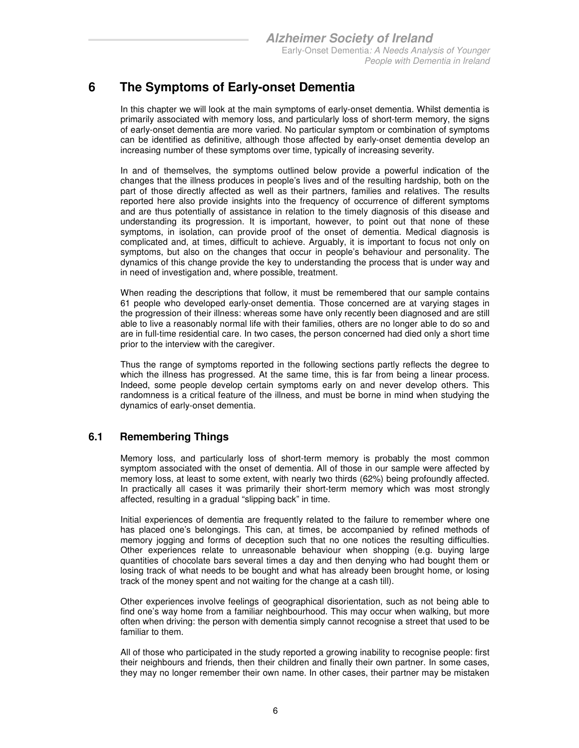### **6 The Symptoms of Early-onset Dementia**

In this chapter we will look at the main symptoms of early-onset dementia. Whilst dementia is primarily associated with memory loss, and particularly loss of short-term memory, the signs of early-onset dementia are more varied. No particular symptom or combination of symptoms can be identified as definitive, although those affected by early-onset dementia develop an increasing number of these symptoms over time, typically of increasing severity.

In and of themselves, the symptoms outlined below provide a powerful indication of the changes that the illness produces in people's lives and of the resulting hardship, both on the part of those directly affected as well as their partners, families and relatives. The results reported here also provide insights into the frequency of occurrence of different symptoms and are thus potentially of assistance in relation to the timely diagnosis of this disease and understanding its progression. It is important, however, to point out that none of these symptoms, in isolation, can provide proof of the onset of dementia. Medical diagnosis is complicated and, at times, difficult to achieve. Arguably, it is important to focus not only on symptoms, but also on the changes that occur in people's behaviour and personality. The dynamics of this change provide the key to understanding the process that is under way and in need of investigation and, where possible, treatment.

When reading the descriptions that follow, it must be remembered that our sample contains 61 people who developed early-onset dementia. Those concerned are at varying stages in the progression of their illness: whereas some have only recently been diagnosed and are still able to live a reasonably normal life with their families, others are no longer able to do so and are in full-time residential care. In two cases, the person concerned had died only a short time prior to the interview with the caregiver.

Thus the range of symptoms reported in the following sections partly reflects the degree to which the illness has progressed. At the same time, this is far from being a linear process. Indeed, some people develop certain symptoms early on and never develop others. This randomness is a critical feature of the illness, and must be borne in mind when studying the dynamics of early-onset dementia.

### **6.1 Remembering Things**

Memory loss, and particularly loss of short-term memory is probably the most common symptom associated with the onset of dementia. All of those in our sample were affected by memory loss, at least to some extent, with nearly two thirds (62%) being profoundly affected. In practically all cases it was primarily their short-term memory which was most strongly affected, resulting in a gradual "slipping back" in time.

Initial experiences of dementia are frequently related to the failure to remember where one has placed one's belongings. This can, at times, be accompanied by refined methods of memory jogging and forms of deception such that no one notices the resulting difficulties. Other experiences relate to unreasonable behaviour when shopping (e.g. buying large quantities of chocolate bars several times a day and then denying who had bought them or losing track of what needs to be bought and what has already been brought home, or losing track of the money spent and not waiting for the change at a cash till).

Other experiences involve feelings of geographical disorientation, such as not being able to find one's way home from a familiar neighbourhood. This may occur when walking, but more often when driving: the person with dementia simply cannot recognise a street that used to be familiar to them.

All of those who participated in the study reported a growing inability to recognise people: first their neighbours and friends, then their children and finally their own partner. In some cases, they may no longer remember their own name. In other cases, their partner may be mistaken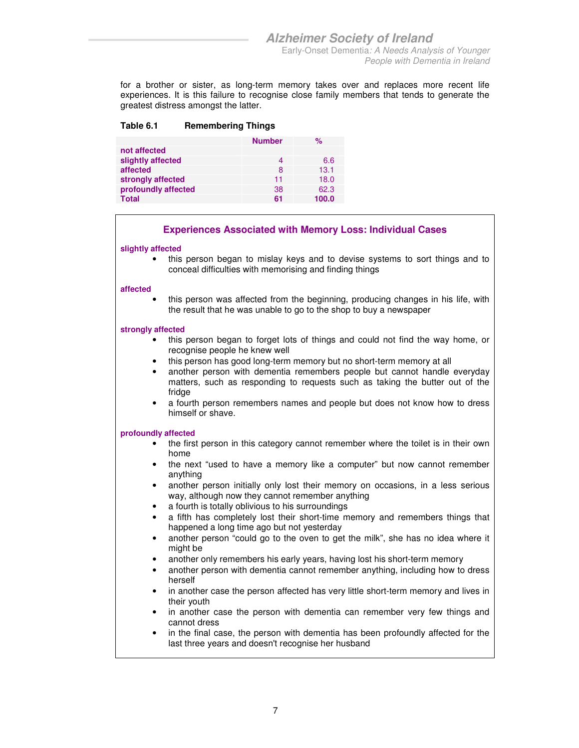for a brother or sister, as long-term memory takes over and replaces more recent life experiences. It is this failure to recognise close family members that tends to generate the greatest distress amongst the latter.

#### **Table 6.1 Remembering Things**

|                     | <b>Number</b> | $\%$  |
|---------------------|---------------|-------|
| not affected        |               |       |
| slightly affected   | 4             | 6.6   |
| affected            | 8             | 13.1  |
| strongly affected   | 11            | 18.0  |
| profoundly affected | 38            | 62.3  |
| Total               | 61            | 100.0 |

#### **Experiences Associated with Memory Loss: Individual Cases**

#### **slightly affected**

• this person began to mislay keys and to devise systems to sort things and to conceal difficulties with memorising and finding things

#### **affected**

• this person was affected from the beginning, producing changes in his life, with the result that he was unable to go to the shop to buy a newspaper

#### **strongly affected**

- this person began to forget lots of things and could not find the way home, or recognise people he knew well
- this person has good long-term memory but no short-term memory at all
- another person with dementia remembers people but cannot handle everyday matters, such as responding to requests such as taking the butter out of the fridge
- a fourth person remembers names and people but does not know how to dress himself or shave.

- the first person in this category cannot remember where the toilet is in their own home
- the next "used to have a memory like a computer" but now cannot remember anything
- another person initially only lost their memory on occasions, in a less serious way, although now they cannot remember anything
- a fourth is totally oblivious to his surroundings
- a fifth has completely lost their short-time memory and remembers things that happened a long time ago but not yesterday
- another person "could go to the oven to get the milk", she has no idea where it might be
- another only remembers his early years, having lost his short-term memory
- another person with dementia cannot remember anything, including how to dress herself
- in another case the person affected has very little short-term memory and lives in their youth
- in another case the person with dementia can remember very few things and cannot dress
- in the final case, the person with dementia has been profoundly affected for the last three years and doesn't recognise her husband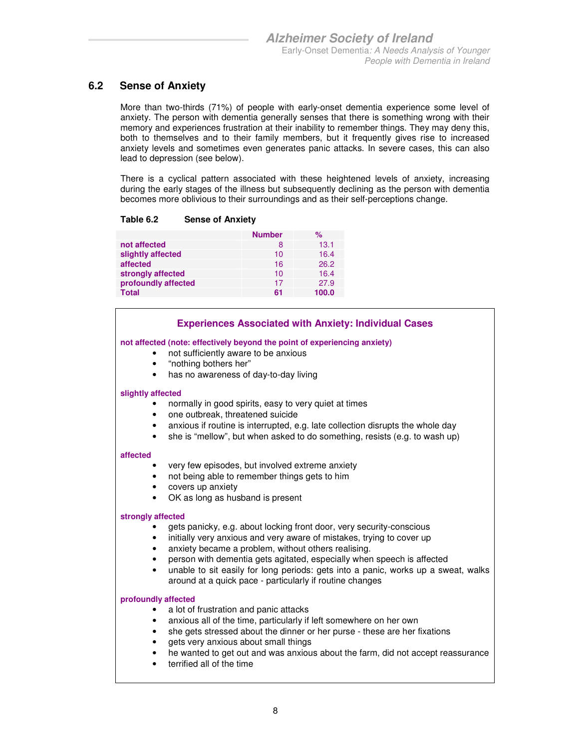### **6.2 Sense of Anxiety**

More than two-thirds (71%) of people with early-onset dementia experience some level of anxiety. The person with dementia generally senses that there is something wrong with their memory and experiences frustration at their inability to remember things. They may deny this, both to themselves and to their family members, but it frequently gives rise to increased anxiety levels and sometimes even generates panic attacks. In severe cases, this can also lead to depression (see below).

There is a cyclical pattern associated with these heightened levels of anxiety, increasing during the early stages of the illness but subsequently declining as the person with dementia becomes more oblivious to their surroundings and as their self-perceptions change.

|                     | <b>Number</b> | ℅     |
|---------------------|---------------|-------|
| not affected        | 8             | 13.1  |
| slightly affected   | 10            | 16.4  |
| affected            | 16            | 26.2  |
| strongly affected   | 10            | 16.4  |
| profoundly affected | 17            | 27.9  |
| Total               | 61            | 100.0 |

#### **Experiences Associated with Anxiety: Individual Cases**

#### **not affected (note: effectively beyond the point of experiencing anxiety)**

- not sufficiently aware to be anxious
- "nothing bothers her"
- has no awareness of day-to-day living

#### **slightly affected**

- normally in good spirits, easy to very quiet at times
- one outbreak, threatened suicide
- anxious if routine is interrupted, e.g. late collection disrupts the whole day
- she is "mellow", but when asked to do something, resists (e.g. to wash up)

#### **affected**

- very few episodes, but involved extreme anxiety
- not being able to remember things gets to him
- covers up anxiety
- OK as long as husband is present

#### **strongly affected**

- gets panicky, e.g. about locking front door, very security-conscious
- initially very anxious and very aware of mistakes, trying to cover up
- anxiety became a problem, without others realising.
- person with dementia gets agitated, especially when speech is affected
- unable to sit easily for long periods: gets into a panic, works up a sweat, walks around at a quick pace - particularly if routine changes

- a lot of frustration and panic attacks
- anxious all of the time, particularly if left somewhere on her own
- she gets stressed about the dinner or her purse these are her fixations
- gets very anxious about small things
- he wanted to get out and was anxious about the farm, did not accept reassurance
- terrified all of the time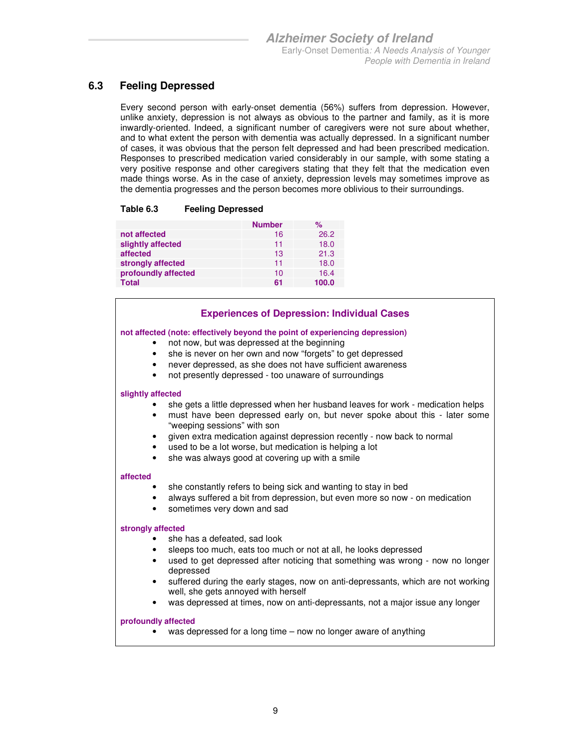### **6.3 Feeling Depressed**

Every second person with early-onset dementia (56%) suffers from depression. However, unlike anxiety, depression is not always as obvious to the partner and family, as it is more inwardly-oriented. Indeed, a significant number of caregivers were not sure about whether, and to what extent the person with dementia was actually depressed. In a significant number of cases, it was obvious that the person felt depressed and had been prescribed medication. Responses to prescribed medication varied considerably in our sample, with some stating a very positive response and other caregivers stating that they felt that the medication even made things worse. As in the case of anxiety, depression levels may sometimes improve as the dementia progresses and the person becomes more oblivious to their surroundings.

#### **Table 6.3 Feeling Depressed**

|                     | <b>Number</b> | %     |
|---------------------|---------------|-------|
| not affected        | 16            | 26.2  |
| slightly affected   | 11            | 18.0  |
| affected            | 13            | 21.3  |
| strongly affected   | 11            | 18.0  |
| profoundly affected | 10            | 16.4  |
| <b>Total</b>        | 61            | 100.0 |

#### **Experiences of Depression: Individual Cases**

#### **not affected (note: effectively beyond the point of experiencing depression)**

- not now, but was depressed at the beginning
- she is never on her own and now "forgets" to get depressed
- never depressed, as she does not have sufficient awareness
- not presently depressed too unaware of surroundings

#### **slightly affected**

- she gets a little depressed when her husband leaves for work medication helps
- must have been depressed early on, but never spoke about this later some "weeping sessions" with son
- given extra medication against depression recently now back to normal
- used to be a lot worse, but medication is helping a lot
- she was always good at covering up with a smile

#### **affected**

- she constantly refers to being sick and wanting to stay in bed
- always suffered a bit from depression, but even more so now on medication
- sometimes very down and sad

#### **strongly affected**

- she has a defeated, sad look
- sleeps too much, eats too much or not at all, he looks depressed
- used to get depressed after noticing that something was wrong now no longer depressed
- suffered during the early stages, now on anti-depressants, which are not working well, she gets annoyed with herself
- was depressed at times, now on anti-depressants, not a major issue any longer

#### **profoundly affected**

• was depressed for a long time – now no longer aware of anything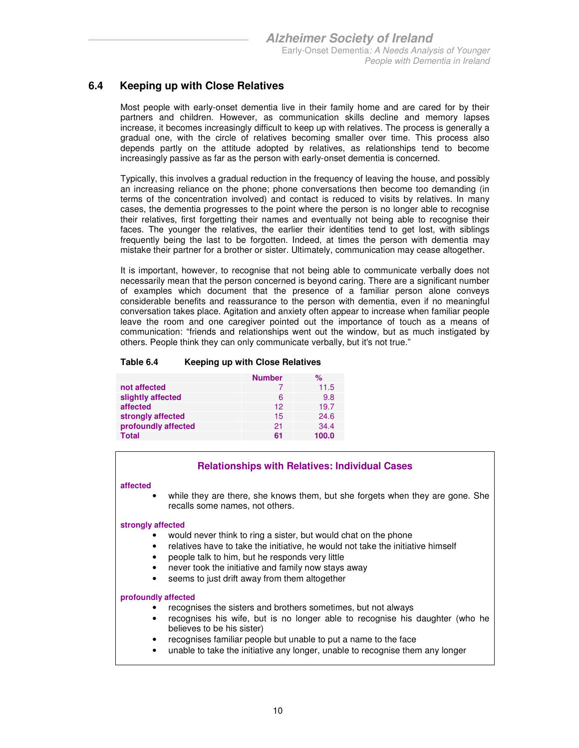### **6.4 Keeping up with Close Relatives**

Most people with early-onset dementia live in their family home and are cared for by their partners and children. However, as communication skills decline and memory lapses increase, it becomes increasingly difficult to keep up with relatives. The process is generally a gradual one, with the circle of relatives becoming smaller over time. This process also depends partly on the attitude adopted by relatives, as relationships tend to become increasingly passive as far as the person with early-onset dementia is concerned.

Typically, this involves a gradual reduction in the frequency of leaving the house, and possibly an increasing reliance on the phone; phone conversations then become too demanding (in terms of the concentration involved) and contact is reduced to visits by relatives. In many cases, the dementia progresses to the point where the person is no longer able to recognise their relatives, first forgetting their names and eventually not being able to recognise their faces. The younger the relatives, the earlier their identities tend to get lost, with siblings frequently being the last to be forgotten. Indeed, at times the person with dementia may mistake their partner for a brother or sister. Ultimately, communication may cease altogether.

It is important, however, to recognise that not being able to communicate verbally does not necessarily mean that the person concerned is beyond caring. There are a significant number of examples which document that the presence of a familiar person alone conveys considerable benefits and reassurance to the person with dementia, even if no meaningful conversation takes place. Agitation and anxiety often appear to increase when familiar people leave the room and one caregiver pointed out the importance of touch as a means of communication: "friends and relationships went out the window, but as much instigated by others. People think they can only communicate verbally, but it's not true."

#### **Table 6.4 Keeping up with Close Relatives**

|                     | <b>Number</b> | %     |
|---------------------|---------------|-------|
| not affected        |               | 11.5  |
| slightly affected   | 6             | 9.8   |
| affected            | 12            | 19.7  |
| strongly affected   | 15            | 24.6  |
| profoundly affected | 21            | 34.4  |
| <b>Total</b>        | 61            | 100.0 |

#### **Relationships with Relatives: Individual Cases**

#### **affected**

while they are there, she knows them, but she forgets when they are gone. She recalls some names, not others.

#### **strongly affected**

- would never think to ring a sister, but would chat on the phone
- relatives have to take the initiative, he would not take the initiative himself
- people talk to him, but he responds very little
- never took the initiative and family now stays away
- seems to just drift away from them altogether

- recognises the sisters and brothers sometimes, but not always
- recognises his wife, but is no longer able to recognise his daughter (who he believes to be his sister)
- recognises familiar people but unable to put a name to the face
- unable to take the initiative any longer, unable to recognise them any longer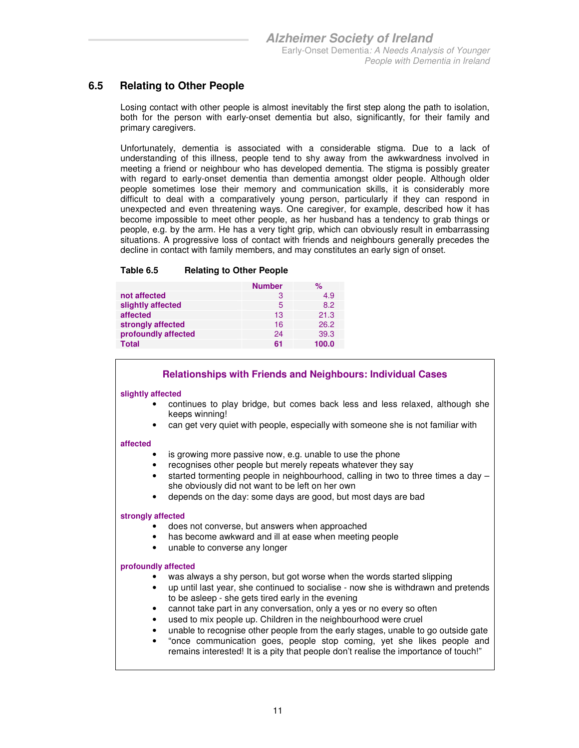### **6.5 Relating to Other People**

Losing contact with other people is almost inevitably the first step along the path to isolation, both for the person with early-onset dementia but also, significantly, for their family and primary caregivers.

Unfortunately, dementia is associated with a considerable stigma. Due to a lack of understanding of this illness, people tend to shy away from the awkwardness involved in meeting a friend or neighbour who has developed dementia. The stigma is possibly greater with regard to early-onset dementia than dementia amongst older people. Although older people sometimes lose their memory and communication skills, it is considerably more difficult to deal with a comparatively young person, particularly if they can respond in unexpected and even threatening ways. One caregiver, for example, described how it has become impossible to meet other people, as her husband has a tendency to grab things or people, e.g. by the arm. He has a very tight grip, which can obviously result in embarrassing situations. A progressive loss of contact with friends and neighbours generally precedes the decline in contact with family members, and may constitutes an early sign of onset.

#### **Table 6.5 Relating to Other People**

|                     | <b>Number</b> | ℅     |
|---------------------|---------------|-------|
| not affected        | З             | 4.9   |
| slightly affected   | 5             | 8.2   |
| affected            | 13            | 21.3  |
| strongly affected   | 16            | 26.2  |
| profoundly affected | 24            | 39.3  |
| Total               | 61            | 100.0 |

#### **Relationships with Friends and Neighbours: Individual Cases**

#### **slightly affected**

- continues to play bridge, but comes back less and less relaxed, although she keeps winning!
- can get very quiet with people, especially with someone she is not familiar with

#### **affected**

- is growing more passive now, e.g. unable to use the phone
- recognises other people but merely repeats whatever they say
- started tormenting people in neighbourhood, calling in two to three times a day she obviously did not want to be left on her own
- depends on the day: some days are good, but most days are bad

#### **strongly affected**

- does not converse, but answers when approached
- has become awkward and ill at ease when meeting people
- unable to converse any longer

- was always a shy person, but got worse when the words started slipping
- up until last year, she continued to socialise now she is withdrawn and pretends to be asleep - she gets tired early in the evening
- cannot take part in any conversation, only a yes or no every so often
- used to mix people up. Children in the neighbourhood were cruel
- unable to recognise other people from the early stages, unable to go outside gate
- "once communication goes, people stop coming, yet she likes people and remains interested! It is a pity that people don't realise the importance of touch!"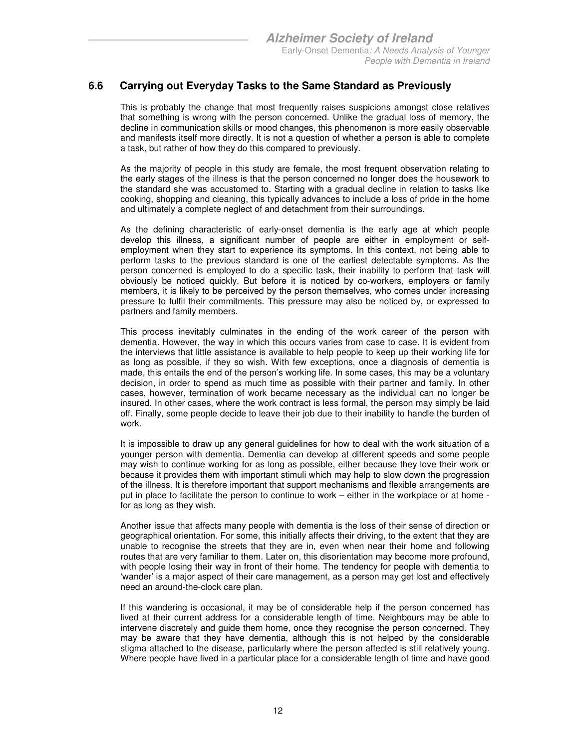### **6.6 Carrying out Everyday Tasks to the Same Standard as Previously**

This is probably the change that most frequently raises suspicions amongst close relatives that something is wrong with the person concerned. Unlike the gradual loss of memory, the decline in communication skills or mood changes, this phenomenon is more easily observable and manifests itself more directly. It is not a question of whether a person is able to complete a task, but rather of how they do this compared to previously.

As the majority of people in this study are female, the most frequent observation relating to the early stages of the illness is that the person concerned no longer does the housework to the standard she was accustomed to. Starting with a gradual decline in relation to tasks like cooking, shopping and cleaning, this typically advances to include a loss of pride in the home and ultimately a complete neglect of and detachment from their surroundings.

As the defining characteristic of early-onset dementia is the early age at which people develop this illness, a significant number of people are either in employment or selfemployment when they start to experience its symptoms. In this context, not being able to perform tasks to the previous standard is one of the earliest detectable symptoms. As the person concerned is employed to do a specific task, their inability to perform that task will obviously be noticed quickly. But before it is noticed by co-workers, employers or family members, it is likely to be perceived by the person themselves, who comes under increasing pressure to fulfil their commitments. This pressure may also be noticed by, or expressed to partners and family members.

This process inevitably culminates in the ending of the work career of the person with dementia. However, the way in which this occurs varies from case to case. It is evident from the interviews that little assistance is available to help people to keep up their working life for as long as possible, if they so wish. With few exceptions, once a diagnosis of dementia is made, this entails the end of the person's working life. In some cases, this may be a voluntary decision, in order to spend as much time as possible with their partner and family. In other cases, however, termination of work became necessary as the individual can no longer be insured. In other cases, where the work contract is less formal, the person may simply be laid off. Finally, some people decide to leave their job due to their inability to handle the burden of work.

It is impossible to draw up any general guidelines for how to deal with the work situation of a younger person with dementia. Dementia can develop at different speeds and some people may wish to continue working for as long as possible, either because they love their work or because it provides them with important stimuli which may help to slow down the progression of the illness. It is therefore important that support mechanisms and flexible arrangements are put in place to facilitate the person to continue to work – either in the workplace or at home for as long as they wish.

Another issue that affects many people with dementia is the loss of their sense of direction or geographical orientation. For some, this initially affects their driving, to the extent that they are unable to recognise the streets that they are in, even when near their home and following routes that are very familiar to them. Later on, this disorientation may become more profound, with people losing their way in front of their home. The tendency for people with dementia to 'wander' is a major aspect of their care management, as a person may get lost and effectively need an around-the-clock care plan.

If this wandering is occasional, it may be of considerable help if the person concerned has lived at their current address for a considerable length of time. Neighbours may be able to intervene discretely and guide them home, once they recognise the person concerned. They may be aware that they have dementia, although this is not helped by the considerable stigma attached to the disease, particularly where the person affected is still relatively young. Where people have lived in a particular place for a considerable length of time and have good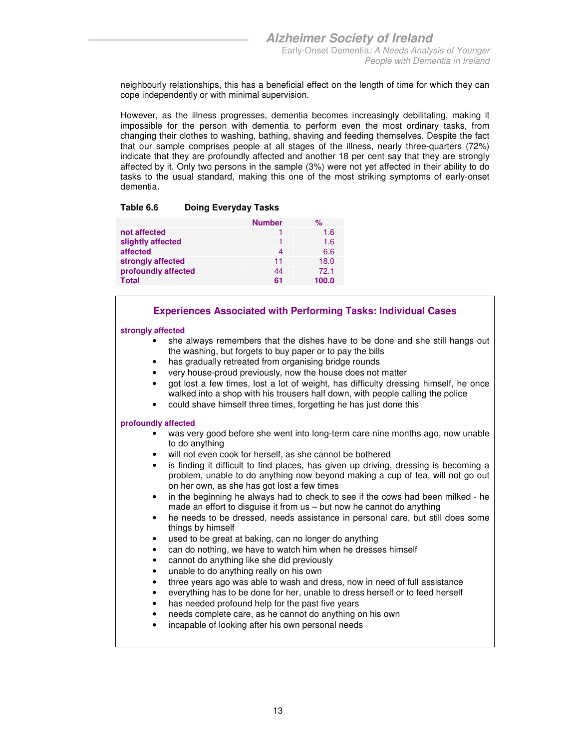neighbourly relationships, this has a beneficial effect on the length of time for which they can cope independently or with minimal supervision.

However, as the illness progresses, dementia becomes increasingly debilitating, making it impossible for the person with dementia to perform even the most ordinary tasks, from changing their clothes to washing, bathing, shaving and feeding themselves. Despite the fact that our sample comprises people at all stages of the illness, nearly three-quarters (72%) indicate that they are profoundly affected and another 18 per cent say that they are strongly affected by it. Only two persons in the sample (3%) were not yet affected in their ability to do tasks to the usual standard, making this one of the most striking symptoms of early-onset dementia.

#### **Table 6.6 Doing Everyday Tasks**

|                     | <b>Number</b> | $\%$  |
|---------------------|---------------|-------|
| not affected        |               | 1.6   |
| slightly affected   |               | 1.6   |
| affected            |               | 6.6   |
| strongly affected   | 11            | 18.0  |
| profoundly affected | 44            | 72.1  |
| <b>Total</b>        | 61            | 100.0 |

#### **Experiences Associated with Performing Tasks: Individual Cases**

#### **strongly affected**

- she always remembers that the dishes have to be done and she still hangs out the washing, but forgets to buy paper or to pay the bills
- has gradually retreated from organising bridge rounds
- very house-proud previously, now the house does not matter
- got lost a few times, lost a lot of weight, has difficulty dressing himself, he once walked into a shop with his trousers half down, with people calling the police
- could shave himself three times, forgetting he has just done this

- was very good before she went into long-term care nine months ago, now unable to do anything
- will not even cook for herself, as she cannot be bothered
- is finding it difficult to find places, has given up driving, dressing is becoming a problem, unable to do anything now beyond making a cup of tea, will not go out on her own, as she has got lost a few times
- in the beginning he always had to check to see if the cows had been milked he made an effort to disguise it from us – but now he cannot do anything
- he needs to be dressed, needs assistance in personal care, but still does some things by himself
- used to be great at baking, can no longer do anything
- can do nothing, we have to watch him when he dresses himself
- cannot do anything like she did previously
- unable to do anything really on his own
- three years ago was able to wash and dress, now in need of full assistance
- everything has to be done for her, unable to dress herself or to feed herself
- has needed profound help for the past five years
- needs complete care, as he cannot do anything on his own
- incapable of looking after his own personal needs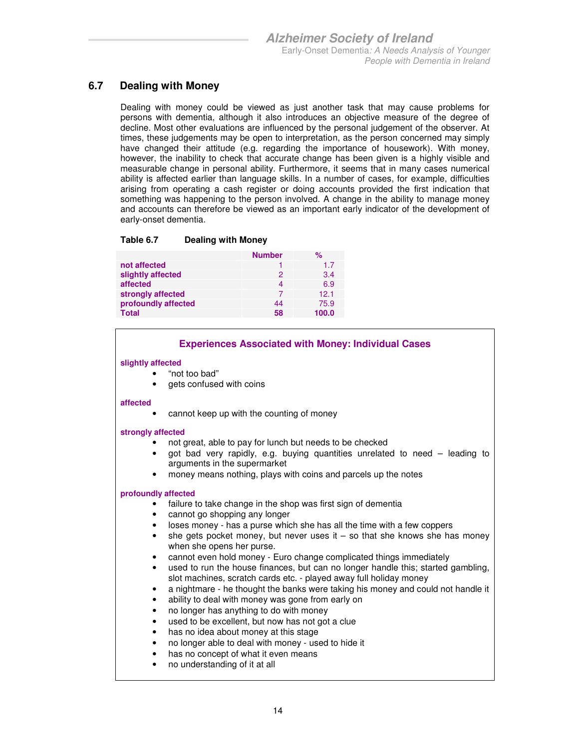### **6.7 Dealing with Money**

Dealing with money could be viewed as just another task that may cause problems for persons with dementia, although it also introduces an objective measure of the degree of decline. Most other evaluations are influenced by the personal judgement of the observer. At times, these judgements may be open to interpretation, as the person concerned may simply have changed their attitude (e.g. regarding the importance of housework). With money, however, the inability to check that accurate change has been given is a highly visible and measurable change in personal ability. Furthermore, it seems that in many cases numerical ability is affected earlier than language skills. In a number of cases, for example, difficulties arising from operating a cash register or doing accounts provided the first indication that something was happening to the person involved. A change in the ability to manage money and accounts can therefore be viewed as an important early indicator of the development of early-onset dementia.

#### **Table 6.7 Dealing with Money**

|                     | <b>Number</b> | %               |
|---------------------|---------------|-----------------|
| not affected        |               | 1.7             |
| slightly affected   | 2             | 3.4             |
| affected            | 4             | 6.9             |
| strongly affected   |               | 12 <sub>1</sub> |
| profoundly affected | 44            | 75.9            |
| <b>Total</b>        | 58            | 100.0           |

#### **Experiences Associated with Money: Individual Cases**

#### **slightly affected**

- "not too bad"
- gets confused with coins

#### **affected**

• cannot keep up with the counting of money

#### **strongly affected**

- not great, able to pay for lunch but needs to be checked
- got bad very rapidly, e.g. buying quantities unrelated to need leading to arguments in the supermarket
- money means nothing, plays with coins and parcels up the notes

- failure to take change in the shop was first sign of dementia
- cannot go shopping any longer
- loses money has a purse which she has all the time with a few coppers
- she gets pocket money, but never uses it  $-$  so that she knows she has money when she opens her purse.
- cannot even hold money Euro change complicated things immediately
- used to run the house finances, but can no longer handle this; started gambling, slot machines, scratch cards etc. - played away full holiday money
- a nightmare he thought the banks were taking his money and could not handle it
- ability to deal with money was gone from early on
- no longer has anything to do with money
- used to be excellent, but now has not got a clue
- has no idea about money at this stage
- no longer able to deal with money used to hide it
- has no concept of what it even means
- no understanding of it at all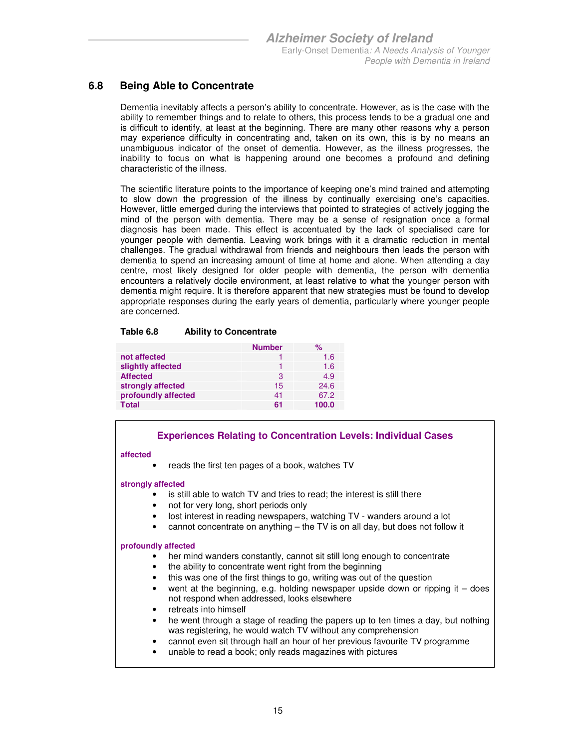### **6.8 Being Able to Concentrate**

Dementia inevitably affects a person's ability to concentrate. However, as is the case with the ability to remember things and to relate to others, this process tends to be a gradual one and is difficult to identify, at least at the beginning. There are many other reasons why a person may experience difficulty in concentrating and, taken on its own, this is by no means an unambiguous indicator of the onset of dementia. However, as the illness progresses, the inability to focus on what is happening around one becomes a profound and defining characteristic of the illness.

The scientific literature points to the importance of keeping one's mind trained and attempting to slow down the progression of the illness by continually exercising one's capacities. However, little emerged during the interviews that pointed to strategies of actively jogging the mind of the person with dementia. There may be a sense of resignation once a formal diagnosis has been made. This effect is accentuated by the lack of specialised care for younger people with dementia. Leaving work brings with it a dramatic reduction in mental challenges. The gradual withdrawal from friends and neighbours then leads the person with dementia to spend an increasing amount of time at home and alone. When attending a day centre, most likely designed for older people with dementia, the person with dementia encounters a relatively docile environment, at least relative to what the younger person with dementia might require. It is therefore apparent that new strategies must be found to develop appropriate responses during the early years of dementia, particularly where younger people are concerned.

#### **Table 6.8 Ability to Concentrate**

|                     | <b>Number</b> | %     |
|---------------------|---------------|-------|
| not affected        |               | 1.6   |
| slightly affected   |               | 1.6   |
| <b>Affected</b>     | З             | 4.9   |
| strongly affected   | 15            | 24.6  |
| profoundly affected | 41            | 67.2  |
| <b>Total</b>        | 61            | 100.0 |

#### **Experiences Relating to Concentration Levels: Individual Cases**

#### **affected**

• reads the first ten pages of a book, watches TV

#### **strongly affected**

- is still able to watch TV and tries to read; the interest is still there
- not for very long, short periods only
- lost interest in reading newspapers, watching TV wanders around a lot
- cannot concentrate on anything the TV is on all day, but does not follow it

- her mind wanders constantly, cannot sit still long enough to concentrate
- the ability to concentrate went right from the beginning
- this was one of the first things to go, writing was out of the question
- went at the beginning, e.g. holding newspaper upside down or ripping it does not respond when addressed, looks elsewhere
- retreats into himself
- he went through a stage of reading the papers up to ten times a day, but nothing was registering, he would watch TV without any comprehension
- cannot even sit through half an hour of her previous favourite TV programme
- unable to read a book; only reads magazines with pictures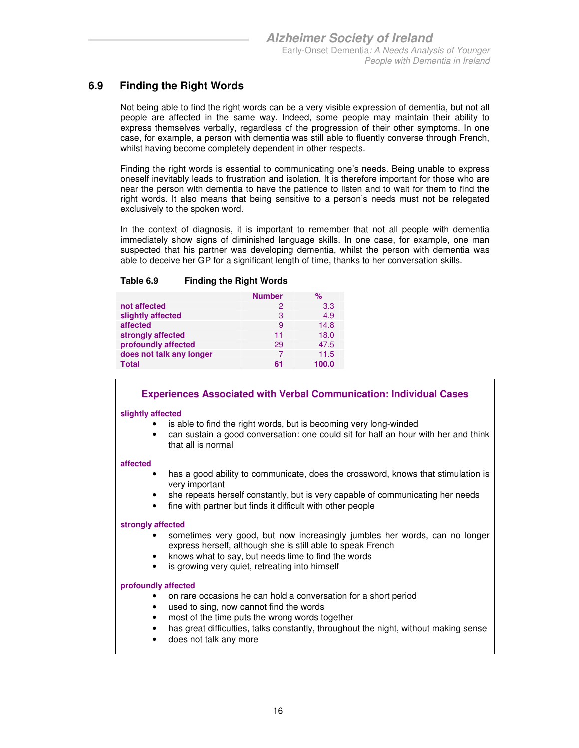### **6.9 Finding the Right Words**

Not being able to find the right words can be a very visible expression of dementia, but not all people are affected in the same way. Indeed, some people may maintain their ability to express themselves verbally, regardless of the progression of their other symptoms. In one case, for example, a person with dementia was still able to fluently converse through French, whilst having become completely dependent in other respects.

Finding the right words is essential to communicating one's needs. Being unable to express oneself inevitably leads to frustration and isolation. It is therefore important for those who are near the person with dementia to have the patience to listen and to wait for them to find the right words. It also means that being sensitive to a person's needs must not be relegated exclusively to the spoken word.

In the context of diagnosis, it is important to remember that not all people with dementia immediately show signs of diminished language skills. In one case, for example, one man suspected that his partner was developing dementia, whilst the person with dementia was able to deceive her GP for a significant length of time, thanks to her conversation skills.

#### **Table 6.9 Finding the Right Words**

|                          | <b>Number</b> | $\%$  |
|--------------------------|---------------|-------|
| not affected             | 2             | 3.3   |
| slightly affected        | 3             | 4.9   |
| affected                 | 9             | 14.8  |
| strongly affected        | 11            | 18.0  |
| profoundly affected      | 29            | 47.5  |
| does not talk any longer |               | 11.5  |
| <b>Total</b>             | 61            | 100.0 |

#### **Experiences Associated with Verbal Communication: Individual Cases**

#### **slightly affected**

- is able to find the right words, but is becoming very long-winded
- can sustain a good conversation: one could sit for half an hour with her and think that all is normal

#### **affected**

- has a good ability to communicate, does the crossword, knows that stimulation is very important
- she repeats herself constantly, but is very capable of communicating her needs
- fine with partner but finds it difficult with other people

#### **strongly affected**

- sometimes very good, but now increasingly jumbles her words, can no longer express herself, although she is still able to speak French
- knows what to say, but needs time to find the words
- is growing very quiet, retreating into himself

- on rare occasions he can hold a conversation for a short period
- used to sing, now cannot find the words
- most of the time puts the wrong words together
- has great difficulties, talks constantly, throughout the night, without making sense
- does not talk any more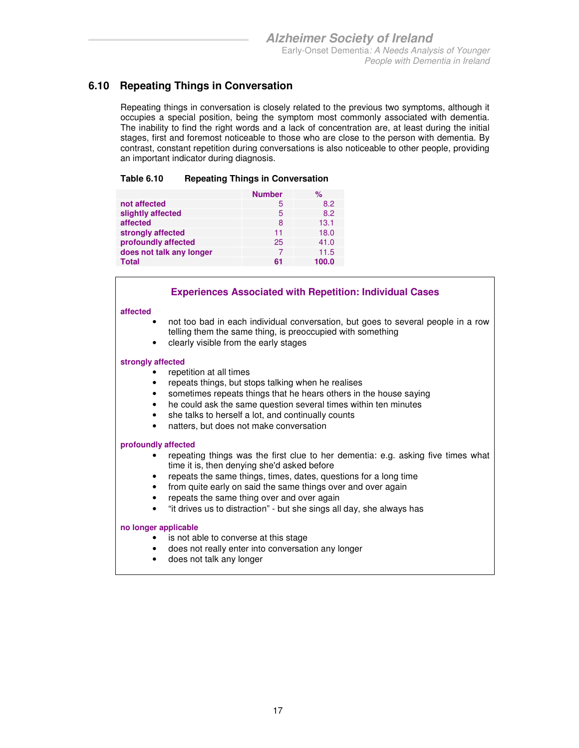### **6.10 Repeating Things in Conversation**

Repeating things in conversation is closely related to the previous two symptoms, although it occupies a special position, being the symptom most commonly associated with dementia. The inability to find the right words and a lack of concentration are, at least during the initial stages, first and foremost noticeable to those who are close to the person with dementia. By contrast, constant repetition during conversations is also noticeable to other people, providing an important indicator during diagnosis.

#### **Table 6.10 Repeating Things in Conversation**

|                          | <b>Number</b> | ℅     |
|--------------------------|---------------|-------|
| not affected             | 5             | 8.2   |
| slightly affected        | 5             | 8.2   |
| affected                 | 8             | 13.1  |
| strongly affected        | 11            | 18.0  |
| profoundly affected      | 25            | 41.0  |
| does not talk any longer | 7             | 11.5  |
| <b>Total</b>             | 61            | 100.0 |

#### **Experiences Associated with Repetition: Individual Cases**

#### **affected**

- not too bad in each individual conversation, but goes to several people in a row telling them the same thing, is preoccupied with something
- clearly visible from the early stages

#### **strongly affected**

- repetition at all times
- repeats things, but stops talking when he realises
- sometimes repeats things that he hears others in the house saying
- he could ask the same question several times within ten minutes
- she talks to herself a lot, and continually counts
- natters, but does not make conversation

#### **profoundly affected**

- repeating things was the first clue to her dementia: e.g. asking five times what time it is, then denying she'd asked before
- repeats the same things, times, dates, questions for a long time
- from quite early on said the same things over and over again
- repeats the same thing over and over again
- "it drives us to distraction" but she sings all day, she always has

#### **no longer applicable**

- is not able to converse at this stage
- does not really enter into conversation any longer
- does not talk any longer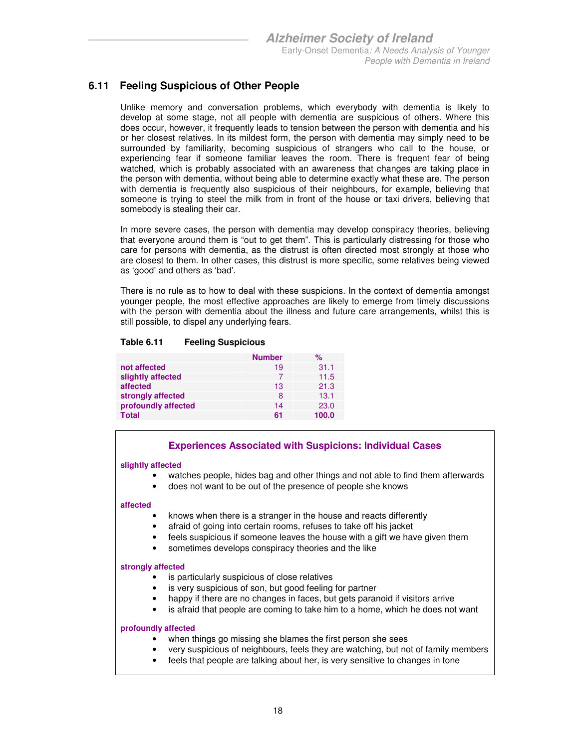### **6.11 Feeling Suspicious of Other People**

Unlike memory and conversation problems, which everybody with dementia is likely to develop at some stage, not all people with dementia are suspicious of others. Where this does occur, however, it frequently leads to tension between the person with dementia and his or her closest relatives. In its mildest form, the person with dementia may simply need to be surrounded by familiarity, becoming suspicious of strangers who call to the house, or experiencing fear if someone familiar leaves the room. There is frequent fear of being watched, which is probably associated with an awareness that changes are taking place in the person with dementia, without being able to determine exactly what these are. The person with dementia is frequently also suspicious of their neighbours, for example, believing that someone is trying to steel the milk from in front of the house or taxi drivers, believing that somebody is stealing their car.

In more severe cases, the person with dementia may develop conspiracy theories, believing that everyone around them is "out to get them". This is particularly distressing for those who care for persons with dementia, as the distrust is often directed most strongly at those who are closest to them. In other cases, this distrust is more specific, some relatives being viewed as 'good' and others as 'bad'.

There is no rule as to how to deal with these suspicions. In the context of dementia amongst younger people, the most effective approaches are likely to emerge from timely discussions with the person with dementia about the illness and future care arrangements, whilst this is still possible, to dispel any underlying fears.

|                     | <b>Number</b> | ℅     |
|---------------------|---------------|-------|
| not affected        | 19            | 31.1  |
| slightly affected   |               | 11.5  |
| affected            | 13            | 21.3  |
| strongly affected   | 8             | 13.1  |
| profoundly affected | 14            | 23.0  |
| <b>Total</b>        | 61            | 100.0 |

#### **Table 6.11 Feeling Suspicious**

#### **Experiences Associated with Suspicions: Individual Cases**

#### **slightly affected**

- watches people, hides bag and other things and not able to find them afterwards
- does not want to be out of the presence of people she knows

#### **affected**

- knows when there is a stranger in the house and reacts differently
- afraid of going into certain rooms, refuses to take off his jacket
- feels suspicious if someone leaves the house with a gift we have given them
- sometimes develops conspiracy theories and the like

#### **strongly affected**

- is particularly suspicious of close relatives
- is very suspicious of son, but good feeling for partner
- happy if there are no changes in faces, but gets paranoid if visitors arrive
- is afraid that people are coming to take him to a home, which he does not want

- when things go missing she blames the first person she sees
- very suspicious of neighbours, feels they are watching, but not of family members
- feels that people are talking about her, is very sensitive to changes in tone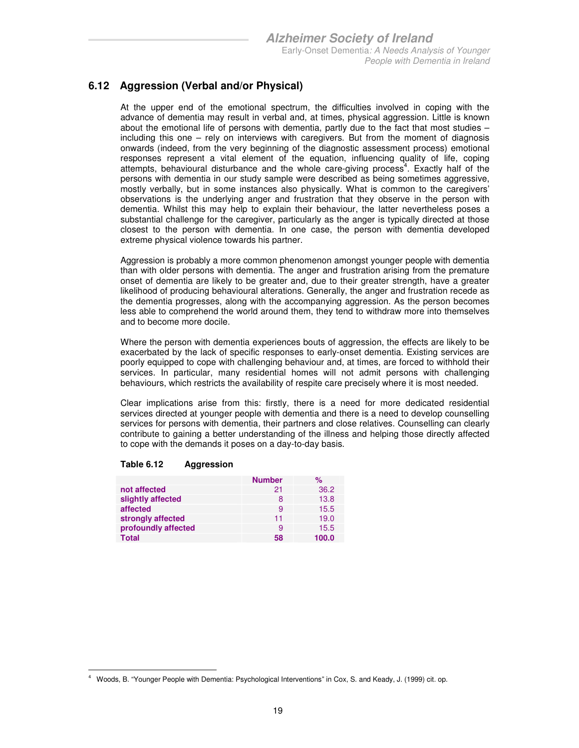### **6.12 Aggression (Verbal and/or Physical)**

At the upper end of the emotional spectrum, the difficulties involved in coping with the advance of dementia may result in verbal and, at times, physical aggression. Little is known about the emotional life of persons with dementia, partly due to the fact that most studies – including this one – rely on interviews with caregivers. But from the moment of diagnosis onwards (indeed, from the very beginning of the diagnostic assessment process) emotional responses represent a vital element of the equation, influencing quality of life, coping attempts, behavioural disturbance and the whole care-giving process<sup>4</sup>. Exactly half of the persons with dementia in our study sample were described as being sometimes aggressive, mostly verbally, but in some instances also physically. What is common to the caregivers' observations is the underlying anger and frustration that they observe in the person with dementia. Whilst this may help to explain their behaviour, the latter nevertheless poses a substantial challenge for the caregiver, particularly as the anger is typically directed at those closest to the person with dementia. In one case, the person with dementia developed extreme physical violence towards his partner.

Aggression is probably a more common phenomenon amongst younger people with dementia than with older persons with dementia. The anger and frustration arising from the premature onset of dementia are likely to be greater and, due to their greater strength, have a greater likelihood of producing behavioural alterations. Generally, the anger and frustration recede as the dementia progresses, along with the accompanying aggression. As the person becomes less able to comprehend the world around them, they tend to withdraw more into themselves and to become more docile.

Where the person with dementia experiences bouts of aggression, the effects are likely to be exacerbated by the lack of specific responses to early-onset dementia. Existing services are poorly equipped to cope with challenging behaviour and, at times, are forced to withhold their services. In particular, many residential homes will not admit persons with challenging behaviours, which restricts the availability of respite care precisely where it is most needed.

Clear implications arise from this: firstly, there is a need for more dedicated residential services directed at younger people with dementia and there is a need to develop counselling services for persons with dementia, their partners and close relatives. Counselling can clearly contribute to gaining a better understanding of the illness and helping those directly affected to cope with the demands it poses on a day-to-day basis.

|                     | <b>Number</b> | ℅     |
|---------------------|---------------|-------|
| not affected        | 21            | 36.2  |
| slightly affected   | 8             | 13.8  |
| affected            | 9             | 15.5  |
| strongly affected   | 11            | 19.0  |
| profoundly affected | 9             | 15.5  |
| Total               | 58            | 100.0 |

#### **Table 6.12 Aggression**

<sup>-</sup>4 Woods, B. "Younger People with Dementia: Psychological Interventions" in Cox, S. and Keady, J. (1999) cit. op.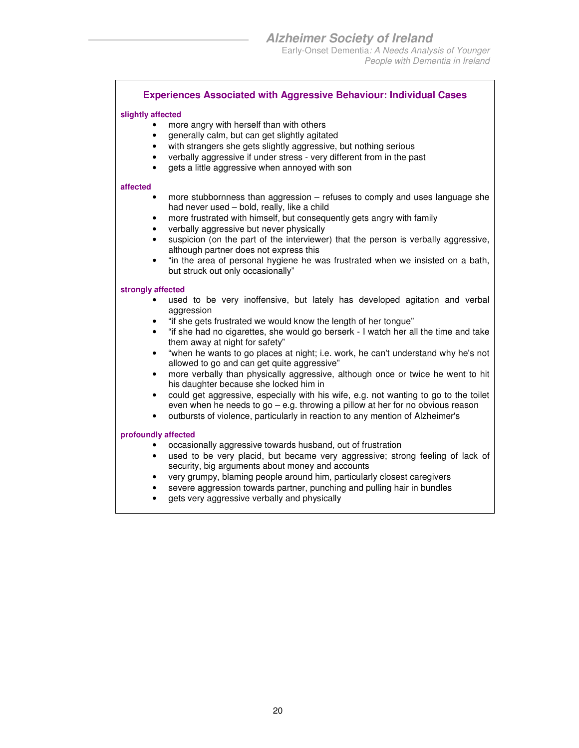#### **Experiences Associated with Aggressive Behaviour: Individual Cases**

#### **slightly affected**

- more angry with herself than with others
- generally calm, but can get slightly agitated
- with strangers she gets slightly aggressive, but nothing serious
- verbally aggressive if under stress very different from in the past
- gets a little aggressive when annoyed with son

#### **affected**

- more stubbornness than aggression refuses to comply and uses language she had never used – bold, really, like a child
- more frustrated with himself, but consequently gets angry with family
- verbally aggressive but never physically
- suspicion (on the part of the interviewer) that the person is verbally aggressive, although partner does not express this
- "in the area of personal hygiene he was frustrated when we insisted on a bath, but struck out only occasionally"

#### **strongly affected**

- used to be very inoffensive, but lately has developed agitation and verbal aggression
- "if she gets frustrated we would know the length of her tongue"
- "if she had no cigarettes, she would go berserk I watch her all the time and take them away at night for safety"
- "when he wants to go places at night; i.e. work, he can't understand why he's not allowed to go and can get quite aggressive"
- more verbally than physically aggressive, although once or twice he went to hit his daughter because she locked him in
- could get aggressive, especially with his wife, e.g. not wanting to go to the toilet even when he needs to go – e.g. throwing a pillow at her for no obvious reason
- outbursts of violence, particularly in reaction to any mention of Alzheimer's

- occasionally aggressive towards husband, out of frustration
- used to be very placid, but became very aggressive; strong feeling of lack of security, big arguments about money and accounts
- very grumpy, blaming people around him, particularly closest caregivers
- severe aggression towards partner, punching and pulling hair in bundles
- gets very aggressive verbally and physically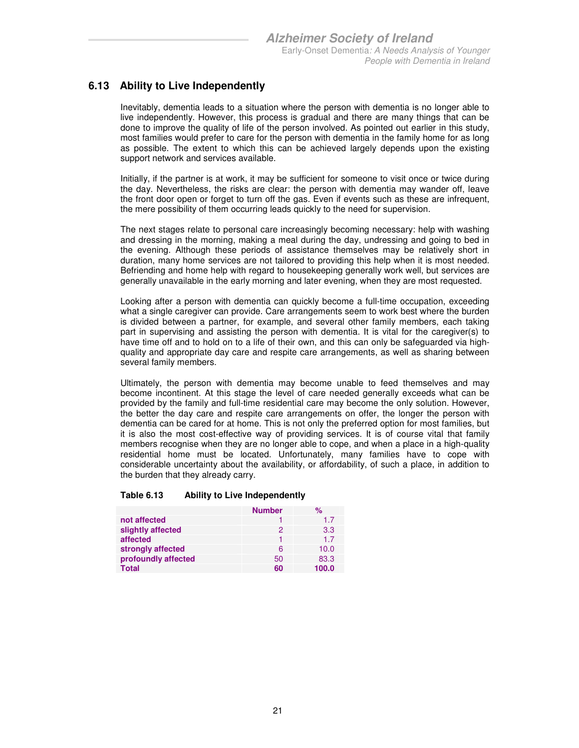### **6.13 Ability to Live Independently**

Inevitably, dementia leads to a situation where the person with dementia is no longer able to live independently. However, this process is gradual and there are many things that can be done to improve the quality of life of the person involved. As pointed out earlier in this study, most families would prefer to care for the person with dementia in the family home for as long as possible. The extent to which this can be achieved largely depends upon the existing support network and services available.

Initially, if the partner is at work, it may be sufficient for someone to visit once or twice during the day. Nevertheless, the risks are clear: the person with dementia may wander off, leave the front door open or forget to turn off the gas. Even if events such as these are infrequent, the mere possibility of them occurring leads quickly to the need for supervision.

The next stages relate to personal care increasingly becoming necessary: help with washing and dressing in the morning, making a meal during the day, undressing and going to bed in the evening. Although these periods of assistance themselves may be relatively short in duration, many home services are not tailored to providing this help when it is most needed. Befriending and home help with regard to housekeeping generally work well, but services are generally unavailable in the early morning and later evening, when they are most requested.

Looking after a person with dementia can quickly become a full-time occupation, exceeding what a single caregiver can provide. Care arrangements seem to work best where the burden is divided between a partner, for example, and several other family members, each taking part in supervising and assisting the person with dementia. It is vital for the caregiver(s) to have time off and to hold on to a life of their own, and this can only be safeguarded via highquality and appropriate day care and respite care arrangements, as well as sharing between several family members.

Ultimately, the person with dementia may become unable to feed themselves and may become incontinent. At this stage the level of care needed generally exceeds what can be provided by the family and full-time residential care may become the only solution. However, the better the day care and respite care arrangements on offer, the longer the person with dementia can be cared for at home. This is not only the preferred option for most families, but it is also the most cost-effective way of providing services. It is of course vital that family members recognise when they are no longer able to cope, and when a place in a high-quality residential home must be located. Unfortunately, many families have to cope with considerable uncertainty about the availability, or affordability, of such a place, in addition to the burden that they already carry.

#### **Table 6.13 Ability to Live Independently**

|                     | <b>Number</b> | %     |
|---------------------|---------------|-------|
| not affected        |               | 1.7   |
| slightly affected   | 2             | 3.3   |
| affected            |               | 17    |
| strongly affected   | 6             | 10.0  |
| profoundly affected | 50            | 83.3  |
| <b>Total</b>        | 60            | 100.0 |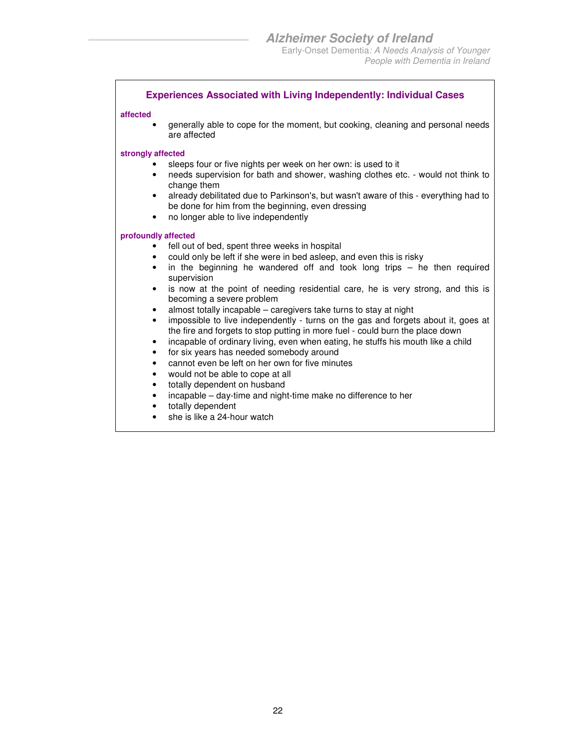#### **Experiences Associated with Living Independently: Individual Cases**

#### **affected**

• generally able to cope for the moment, but cooking, cleaning and personal needs are affected

#### **strongly affected**

- sleeps four or five nights per week on her own: is used to it
- needs supervision for bath and shower, washing clothes etc. would not think to change them
- already debilitated due to Parkinson's, but wasn't aware of this everything had to be done for him from the beginning, even dressing
- no longer able to live independently

- fell out of bed, spent three weeks in hospital
- could only be left if she were in bed asleep, and even this is risky
- in the beginning he wandered off and took long trips  $-$  he then required supervision
- is now at the point of needing residential care, he is very strong, and this is becoming a severe problem
- almost totally incapable caregivers take turns to stay at night
- impossible to live independently turns on the gas and forgets about it, goes at the fire and forgets to stop putting in more fuel - could burn the place down
- incapable of ordinary living, even when eating, he stuffs his mouth like a child
- for six years has needed somebody around
- cannot even be left on her own for five minutes
- would not be able to cope at all
- totally dependent on husband
- incapable day-time and night-time make no difference to her
- totally dependent
- she is like a 24-hour watch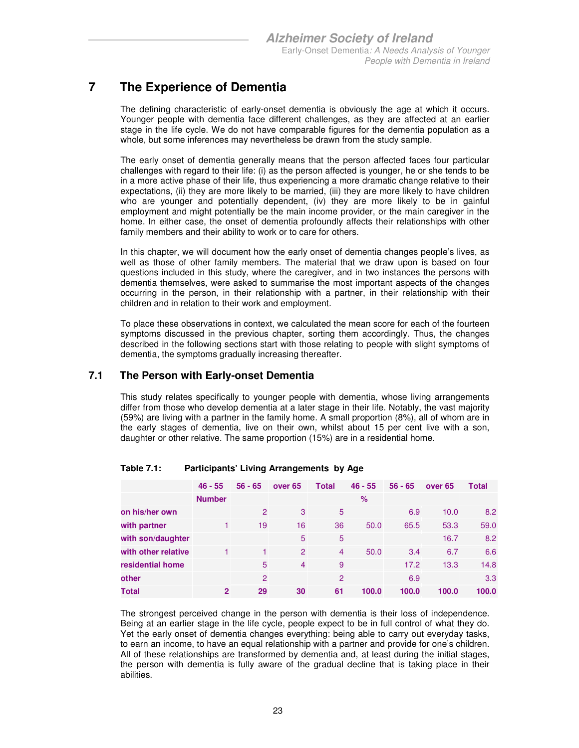### **7 The Experience of Dementia**

The defining characteristic of early-onset dementia is obviously the age at which it occurs. Younger people with dementia face different challenges, as they are affected at an earlier stage in the life cycle. We do not have comparable figures for the dementia population as a whole, but some inferences may nevertheless be drawn from the study sample.

The early onset of dementia generally means that the person affected faces four particular challenges with regard to their life: (i) as the person affected is younger, he or she tends to be in a more active phase of their life, thus experiencing a more dramatic change relative to their expectations, (ii) they are more likely to be married, (iii) they are more likely to have children who are younger and potentially dependent, (iv) they are more likely to be in gainful employment and might potentially be the main income provider, or the main caregiver in the home. In either case, the onset of dementia profoundly affects their relationships with other family members and their ability to work or to care for others.

In this chapter, we will document how the early onset of dementia changes people's lives, as well as those of other family members. The material that we draw upon is based on four questions included in this study, where the caregiver, and in two instances the persons with dementia themselves, were asked to summarise the most important aspects of the changes occurring in the person, in their relationship with a partner, in their relationship with their children and in relation to their work and employment.

To place these observations in context, we calculated the mean score for each of the fourteen symptoms discussed in the previous chapter, sorting them accordingly. Thus, the changes described in the following sections start with those relating to people with slight symptoms of dementia, the symptoms gradually increasing thereafter.

#### **7.1 The Person with Early-onset Dementia**

This study relates specifically to younger people with dementia, whose living arrangements differ from those who develop dementia at a later stage in their life. Notably, the vast majority (59%) are living with a partner in the family home. A small proportion (8%), all of whom are in the early stages of dementia, live on their own, whilst about 15 per cent live with a son, daughter or other relative. The same proportion (15%) are in a residential home.

|                     | $46 - 55$      | $56 - 65$ | over <sub>65</sub> | <b>Total</b> | $46 - 55$ | $56 - 65$ | over <sub>65</sub> | <b>Total</b> |
|---------------------|----------------|-----------|--------------------|--------------|-----------|-----------|--------------------|--------------|
|                     | <b>Number</b>  |           |                    |              | $\%$      |           |                    |              |
| on his/her own      |                | 2         | 3                  | 5            |           | 6.9       | 10.0               | 8.2          |
| with partner        |                | 19        | 16                 | 36           | 50.0      | 65.5      | 53.3               | 59.0         |
| with son/daughter   |                |           | 5                  | 5            |           |           | 16.7               | 8.2          |
| with other relative |                |           | 2                  | 4            | 50.0      | 3.4       | 6.7                | 6.6          |
| residential home    |                | 5         | 4                  | 9            |           | 17.2      | 13.3               | 14.8         |
| other               |                | 2         |                    | 2            |           | 6.9       |                    | 3.3          |
| <b>Total</b>        | $\overline{2}$ | 29        | 30                 | 61           | 100.0     | 100.0     | 100.0              | 100.0        |

#### **Table 7.1: Participants' Living Arrangements by Age**

The strongest perceived change in the person with dementia is their loss of independence. Being at an earlier stage in the life cycle, people expect to be in full control of what they do. Yet the early onset of dementia changes everything: being able to carry out everyday tasks, to earn an income, to have an equal relationship with a partner and provide for one's children. All of these relationships are transformed by dementia and, at least during the initial stages, the person with dementia is fully aware of the gradual decline that is taking place in their abilities.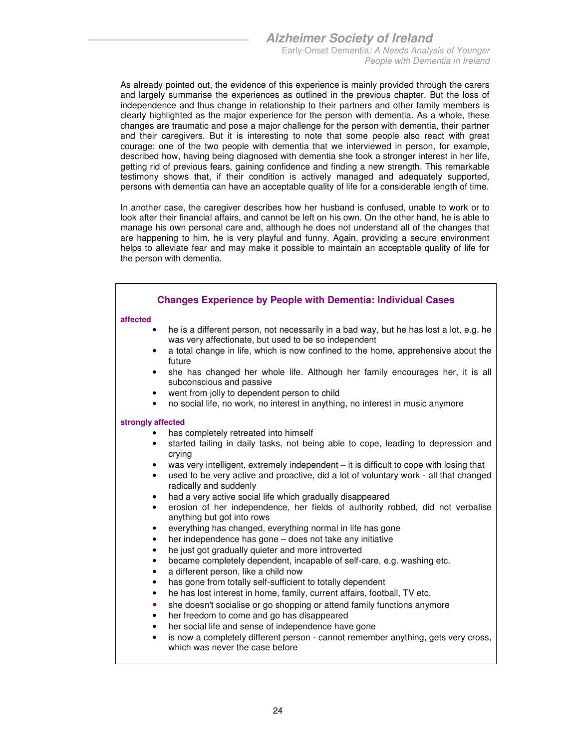As already pointed out, the evidence of this experience is mainly provided through the carers and largely summarise the experiences as outlined in the previous chapter. But the loss of independence and thus change in relationship to their partners and other family members is clearly highlighted as the major experience for the person with dementia. As a whole, these changes are traumatic and pose a major challenge for the person with dementia, their partner and their caregivers. But it is interesting to note that some people also react with great courage: one of the two people with dementia that we interviewed in person, for example, described how, having being diagnosed with dementia she took a stronger interest in her life, getting rid of previous fears, gaining confidence and finding a new strength. This remarkable testimony shows that, if their condition is actively managed and adequately supported, persons with dementia can have an acceptable quality of life for a considerable length of time.

In another case, the caregiver describes how her husband is confused, unable to work or to look after their financial affairs, and cannot be left on his own. On the other hand, he is able to manage his own personal care and, although he does not understand all of the changes that are happening to him, he is very playful and funny. Again, providing a secure environment helps to alleviate fear and may make it possible to maintain an acceptable quality of life for the person with dementia.

|                                                                                                                                         | <b>Changes Experience by People with Dementia: Individual Cases</b>                                                                                                                                                                                                                                                                                                                                                                                                                                                                                                                                                                                                                                                                                                                                                                                                                                                                                                                                                                                                                                                                                       |
|-----------------------------------------------------------------------------------------------------------------------------------------|-----------------------------------------------------------------------------------------------------------------------------------------------------------------------------------------------------------------------------------------------------------------------------------------------------------------------------------------------------------------------------------------------------------------------------------------------------------------------------------------------------------------------------------------------------------------------------------------------------------------------------------------------------------------------------------------------------------------------------------------------------------------------------------------------------------------------------------------------------------------------------------------------------------------------------------------------------------------------------------------------------------------------------------------------------------------------------------------------------------------------------------------------------------|
| affected<br>$\bullet$                                                                                                                   | he is a different person, not necessarily in a bad way, but he has lost a lot, e.g. he<br>was very affectionate, but used to be so independent<br>a total change in life, which is now confined to the home, apprehensive about the<br>future<br>she has changed her whole life. Although her family encourages her, it is all<br>subconscious and passive<br>went from jolly to dependent person to child<br>no social life, no work, no interest in anything, no interest in music anymore                                                                                                                                                                                                                                                                                                                                                                                                                                                                                                                                                                                                                                                              |
| strongly affected<br>$\bullet$<br>$\bullet$<br>٠<br>٠<br>$\bullet$<br>$\bullet$<br>٠<br>٠<br>٠<br>٠<br>٠<br>$\bullet$<br>٠<br>$\bullet$ | has completely retreated into himself<br>started failing in daily tasks, not being able to cope, leading to depression and<br>crying<br>was very intelligent, extremely independent – it is difficult to cope with losing that<br>used to be very active and proactive, did a lot of voluntary work - all that changed<br>radically and suddenly<br>had a very active social life which gradually disappeared<br>erosion of her independence, her fields of authority robbed, did not verbalise<br>anything but got into rows<br>everything has changed, everything normal in life has gone<br>her independence has gone - does not take any initiative<br>he just got gradually quieter and more introverted<br>became completely dependent, incapable of self-care, e.g. washing etc.<br>a different person, like a child now<br>has gone from totally self-sufficient to totally dependent<br>he has lost interest in home, family, current affairs, football, TV etc.<br>she doesn't socialise or go shopping or attend family functions anymore<br>her freedom to come and go has disappeared<br>her social life and sense of independence have gone |

is now a completely different person - cannot remember anything, gets very cross, which was never the case before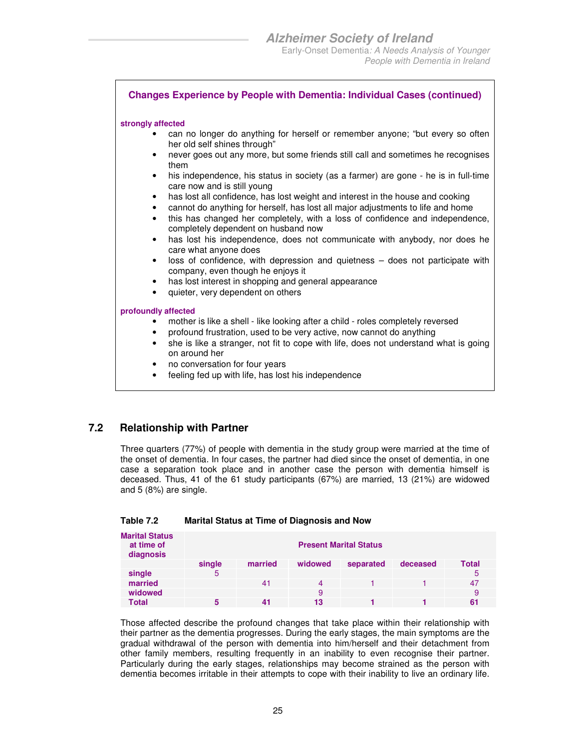#### **Changes Experience by People with Dementia: Individual Cases (continued)**

#### **strongly affected**

- can no longer do anything for herself or remember anyone; "but every so often her old self shines through"
- never goes out any more, but some friends still call and sometimes he recognises them
- his independence, his status in society (as a farmer) are gone he is in full-time care now and is still young
- has lost all confidence, has lost weight and interest in the house and cooking
- cannot do anything for herself, has lost all major adjustments to life and home
- this has changed her completely, with a loss of confidence and independence, completely dependent on husband now
- has lost his independence, does not communicate with anybody, nor does he care what anyone does
- loss of confidence, with depression and quietness does not participate with company, even though he enjoys it
- has lost interest in shopping and general appearance
- quieter, very dependent on others

#### **profoundly affected**

- mother is like a shell like looking after a child roles completely reversed
- profound frustration, used to be very active, now cannot do anything
- she is like a stranger, not fit to cope with life, does not understand what is going on around her
- no conversation for four years
- feeling fed up with life, has lost his independence

#### **7.2 Relationship with Partner**

Three quarters (77%) of people with dementia in the study group were married at the time of the onset of dementia. In four cases, the partner had died since the onset of dementia, in one case a separation took place and in another case the person with dementia himself is deceased. Thus, 41 of the 61 study participants (67%) are married, 13 (21%) are widowed and 5 (8%) are single.

| <b>Marital Status</b><br>at time of<br>diagnosis | <b>Present Marital Status</b> |         |         |           |          |       |  |
|--------------------------------------------------|-------------------------------|---------|---------|-----------|----------|-------|--|
|                                                  | single                        | married | widowed | separated | deceased | Total |  |
| single                                           | 5                             |         |         |           |          | 5     |  |
| married                                          |                               | 41      |         |           |          | 47    |  |
| widowed                                          |                               |         | 9       |           |          | 9     |  |
| Total                                            |                               |         | 13      |           |          | 61    |  |

| Table 7.2 | <b>Marital Status at Time of Diagnosis and Now</b> |
|-----------|----------------------------------------------------|
|-----------|----------------------------------------------------|

Those affected describe the profound changes that take place within their relationship with their partner as the dementia progresses. During the early stages, the main symptoms are the gradual withdrawal of the person with dementia into him/herself and their detachment from other family members, resulting frequently in an inability to even recognise their partner. Particularly during the early stages, relationships may become strained as the person with dementia becomes irritable in their attempts to cope with their inability to live an ordinary life.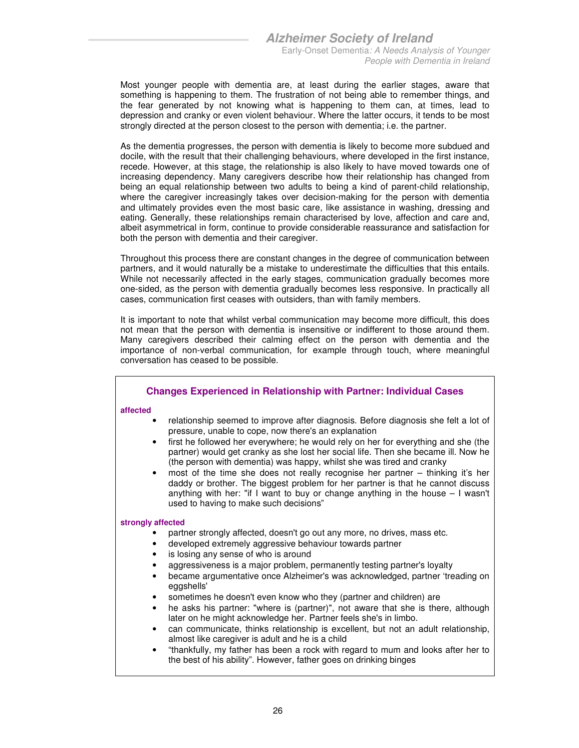Most younger people with dementia are, at least during the earlier stages, aware that something is happening to them. The frustration of not being able to remember things, and the fear generated by not knowing what is happening to them can, at times, lead to depression and cranky or even violent behaviour. Where the latter occurs, it tends to be most strongly directed at the person closest to the person with dementia; i.e. the partner.

As the dementia progresses, the person with dementia is likely to become more subdued and docile, with the result that their challenging behaviours, where developed in the first instance, recede. However, at this stage, the relationship is also likely to have moved towards one of increasing dependency. Many caregivers describe how their relationship has changed from being an equal relationship between two adults to being a kind of parent-child relationship, where the caregiver increasingly takes over decision-making for the person with dementia and ultimately provides even the most basic care, like assistance in washing, dressing and eating. Generally, these relationships remain characterised by love, affection and care and, albeit asymmetrical in form, continue to provide considerable reassurance and satisfaction for both the person with dementia and their caregiver.

Throughout this process there are constant changes in the degree of communication between partners, and it would naturally be a mistake to underestimate the difficulties that this entails. While not necessarily affected in the early stages, communication gradually becomes more one-sided, as the person with dementia gradually becomes less responsive. In practically all cases, communication first ceases with outsiders, than with family members.

It is important to note that whilst verbal communication may become more difficult, this does not mean that the person with dementia is insensitive or indifferent to those around them. Many caregivers described their calming effect on the person with dementia and the importance of non-verbal communication, for example through touch, where meaningful conversation has ceased to be possible.

#### **Changes Experienced in Relationship with Partner: Individual Cases**

#### **affected**

- relationship seemed to improve after diagnosis. Before diagnosis she felt a lot of pressure, unable to cope, now there's an explanation
- first he followed her everywhere; he would rely on her for everything and she (the partner) would get cranky as she lost her social life. Then she became ill. Now he (the person with dementia) was happy, whilst she was tired and cranky
- most of the time she does not really recognise her partner thinking it's her daddy or brother. The biggest problem for her partner is that he cannot discuss anything with her: "if I want to buy or change anything in the house  $-1$  wasn't used to having to make such decisions"

#### **strongly affected**

- partner strongly affected, doesn't go out any more, no drives, mass etc.
- developed extremely aggressive behaviour towards partner
- is losing any sense of who is around
- aggressiveness is a major problem, permanently testing partner's loyalty
- became argumentative once Alzheimer's was acknowledged, partner 'treading on eggshells'
- sometimes he doesn't even know who they (partner and children) are
- he asks his partner: "where is (partner)", not aware that she is there, although later on he might acknowledge her. Partner feels she's in limbo.
- can communicate, thinks relationship is excellent, but not an adult relationship, almost like caregiver is adult and he is a child
- "thankfully, my father has been a rock with regard to mum and looks after her to the best of his ability". However, father goes on drinking binges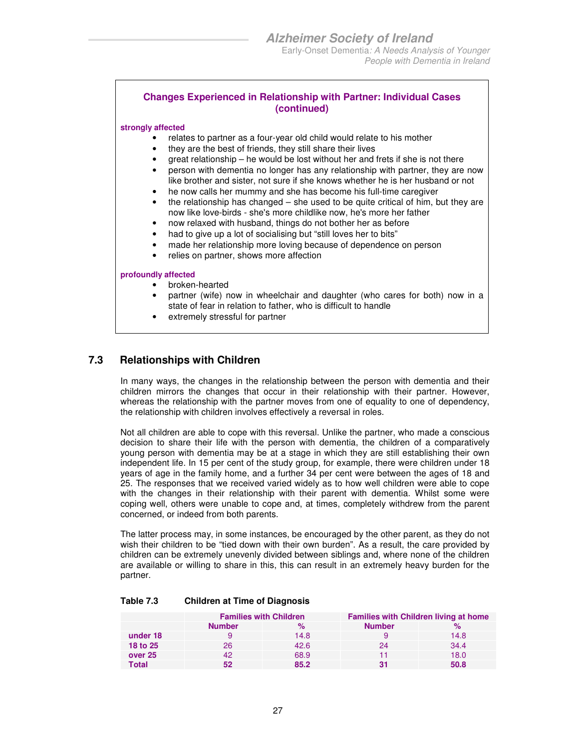#### **Changes Experienced in Relationship with Partner: Individual Cases (continued)**

#### **strongly affected**

- relates to partner as a four-year old child would relate to his mother
- they are the best of friends, they still share their lives
- great relationship he would be lost without her and frets if she is not there
- person with dementia no longer has any relationship with partner, they are now like brother and sister, not sure if she knows whether he is her husband or not
- he now calls her mummy and she has become his full-time caregiver
- the relationship has changed she used to be quite critical of him, but they are now like love-birds - she's more childlike now, he's more her father
- now relaxed with husband, things do not bother her as before
- had to give up a lot of socialising but "still loves her to bits"
- made her relationship more loving because of dependence on person
- relies on partner, shows more affection

#### **profoundly affected**

- broken-hearted
- partner (wife) now in wheelchair and daughter (who cares for both) now in a state of fear in relation to father, who is difficult to handle
- extremely stressful for partner

#### **7.3 Relationships with Children**

In many ways, the changes in the relationship between the person with dementia and their children mirrors the changes that occur in their relationship with their partner. However, whereas the relationship with the partner moves from one of equality to one of dependency, the relationship with children involves effectively a reversal in roles.

Not all children are able to cope with this reversal. Unlike the partner, who made a conscious decision to share their life with the person with dementia, the children of a comparatively young person with dementia may be at a stage in which they are still establishing their own independent life. In 15 per cent of the study group, for example, there were children under 18 years of age in the family home, and a further 34 per cent were between the ages of 18 and 25. The responses that we received varied widely as to how well children were able to cope with the changes in their relationship with their parent with dementia. Whilst some were coping well, others were unable to cope and, at times, completely withdrew from the parent concerned, or indeed from both parents.

The latter process may, in some instances, be encouraged by the other parent, as they do not wish their children to be "tied down with their own burden". As a result, the care provided by children can be extremely unevenly divided between siblings and, where none of the children are available or willing to share in this, this can result in an extremely heavy burden for the partner.

|          | <b>Families with Children</b> |      | <b>Families with Children living at home</b> |      |  |
|----------|-------------------------------|------|----------------------------------------------|------|--|
|          | <b>Number</b>                 | $\%$ | <b>Number</b>                                |      |  |
| under 18 |                               | 14.8 |                                              | 14.8 |  |
| 18 to 25 | 26                            | 42.6 | 24                                           | 34.4 |  |
| over 25  | 42                            | 68.9 |                                              | 18.0 |  |
| Total    | 52                            | 85.2 |                                              | 50.8 |  |

#### **Table 7.3 Children at Time of Diagnosis**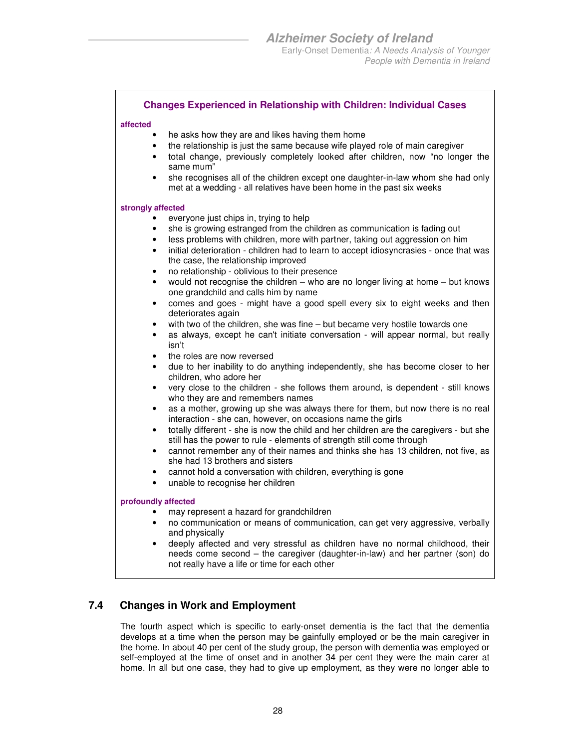People with Dementia in Ireland

#### **Changes Experienced in Relationship with Children: Individual Cases**

#### **affected**

- he asks how they are and likes having them home
- the relationship is just the same because wife played role of main caregiver
- total change, previously completely looked after children, now "no longer the same mum"
- she recognises all of the children except one daughter-in-law whom she had only met at a wedding - all relatives have been home in the past six weeks

#### **strongly affected**

- everyone just chips in, trying to help
- she is growing estranged from the children as communication is fading out
- less problems with children, more with partner, taking out aggression on him
- initial deterioration children had to learn to accept idiosyncrasies once that was the case, the relationship improved
- no relationship oblivious to their presence
- would not recognise the children who are no longer living at home but knows one grandchild and calls him by name
- comes and goes might have a good spell every six to eight weeks and then deteriorates again
- with two of the children, she was fine but became very hostile towards one
- as always, except he can't initiate conversation will appear normal, but really isn't
- the roles are now reversed
- due to her inability to do anything independently, she has become closer to her children, who adore her
- very close to the children she follows them around, is dependent still knows who they are and remembers names
- as a mother, growing up she was always there for them, but now there is no real interaction - she can, however, on occasions name the girls
- totally different she is now the child and her children are the caregivers but she still has the power to rule - elements of strength still come through
- cannot remember any of their names and thinks she has 13 children, not five, as she had 13 brothers and sisters
- cannot hold a conversation with children, everything is gone
- unable to recognise her children

#### **profoundly affected**

- may represent a hazard for grandchildren
- no communication or means of communication, can get very aggressive, verbally and physically
- deeply affected and very stressful as children have no normal childhood, their needs come second – the caregiver (daughter-in-law) and her partner (son) do not really have a life or time for each other

### **7.4 Changes in Work and Employment**

The fourth aspect which is specific to early-onset dementia is the fact that the dementia develops at a time when the person may be gainfully employed or be the main caregiver in the home. In about 40 per cent of the study group, the person with dementia was employed or self-employed at the time of onset and in another 34 per cent they were the main carer at home. In all but one case, they had to give up employment, as they were no longer able to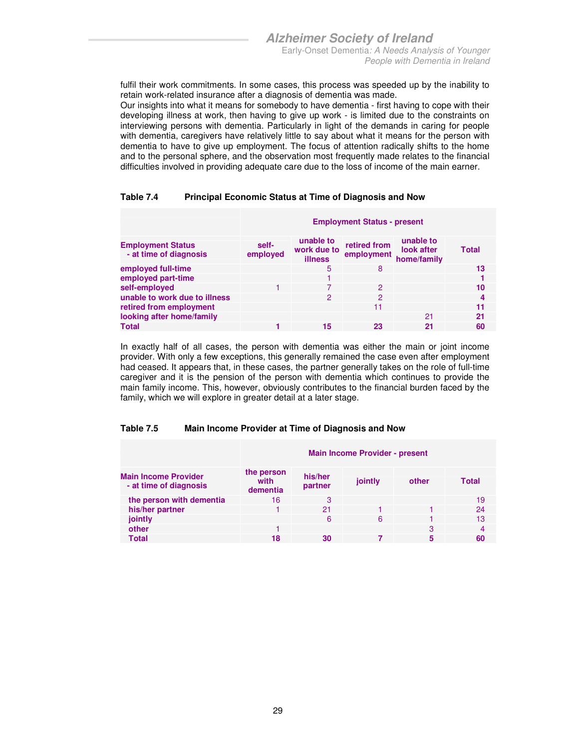fulfil their work commitments. In some cases, this process was speeded up by the inability to retain work-related insurance after a diagnosis of dementia was made.

Our insights into what it means for somebody to have dementia - first having to cope with their developing illness at work, then having to give up work - is limited due to the constraints on interviewing persons with dementia. Particularly in light of the demands in caring for people with dementia, caregivers have relatively little to say about what it means for the person with dementia to have to give up employment. The focus of attention radically shifts to the home and to the personal sphere, and the observation most frequently made relates to the financial difficulties involved in providing adequate care due to the loss of income of the main earner.

#### **Table 7.4 Principal Economic Status at Time of Diagnosis and Now**

|                                                    | <b>Employment Status - present</b> |                                            |                            |                                        |              |  |  |  |
|----------------------------------------------------|------------------------------------|--------------------------------------------|----------------------------|----------------------------------------|--------------|--|--|--|
| <b>Employment Status</b><br>- at time of diagnosis | self-<br>employed                  | unable to<br>work due to<br><b>illness</b> | retired from<br>employment | unable to<br>look after<br>home/family | <b>Total</b> |  |  |  |
| employed full-time                                 |                                    | 5                                          | 8                          |                                        | 13           |  |  |  |
| employed part-time                                 |                                    |                                            |                            |                                        |              |  |  |  |
| self-employed                                      |                                    |                                            | $\mathcal{P}$              |                                        | 10           |  |  |  |
| unable to work due to illness                      |                                    | 2                                          | 2                          |                                        | 4            |  |  |  |
| retired from employment                            |                                    |                                            | 11                         |                                        | 11           |  |  |  |
| looking after home/family                          |                                    |                                            |                            | 21                                     | 21           |  |  |  |
| <b>Total</b>                                       |                                    | 15                                         | 23                         | 21                                     | 60           |  |  |  |

In exactly half of all cases, the person with dementia was either the main or joint income provider. With only a few exceptions, this generally remained the case even after employment had ceased. It appears that, in these cases, the partner generally takes on the role of full-time caregiver and it is the pension of the person with dementia which continues to provide the main family income. This, however, obviously contributes to the financial burden faced by the family, which we will explore in greater detail at a later stage.

#### **Table 7.5 Main Income Provider at Time of Diagnosis and Now**

|                                                       | <b>Main Income Provider - present</b> |                    |         |       |       |  |  |  |
|-------------------------------------------------------|---------------------------------------|--------------------|---------|-------|-------|--|--|--|
| <b>Main Income Provider</b><br>- at time of diagnosis | the person<br>with<br>dementia        | his/her<br>partner | jointly | other | Total |  |  |  |
| the person with dementia                              | 16                                    | 3                  |         |       | 19    |  |  |  |
| his/her partner                                       |                                       | 21                 |         |       | 24    |  |  |  |
| jointly                                               |                                       | 6                  | 6       |       | 13    |  |  |  |
| other                                                 |                                       |                    |         | з     | 4     |  |  |  |
| Total                                                 | 18                                    | 30                 |         | 5     | 60    |  |  |  |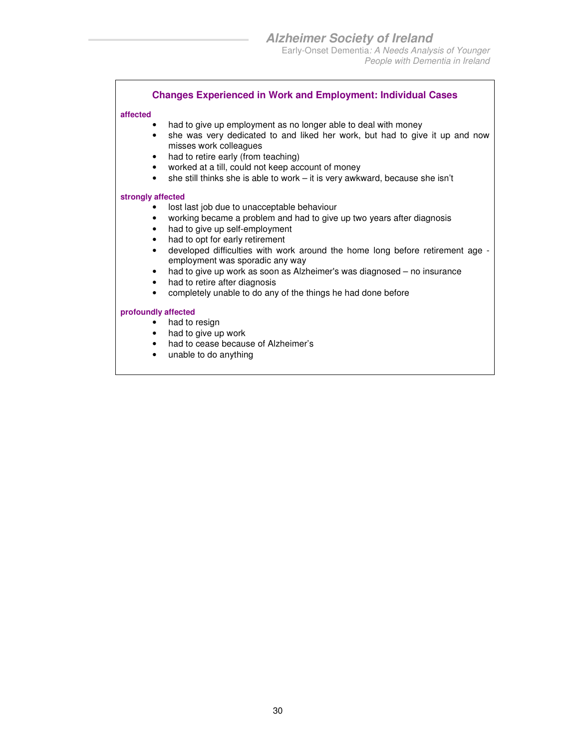#### **Changes Experienced in Work and Employment: Individual Cases**

#### **affected**

- had to give up employment as no longer able to deal with money
- she was very dedicated to and liked her work, but had to give it up and now misses work colleagues
- had to retire early (from teaching)
- worked at a till, could not keep account of money
- she still thinks she is able to work it is very awkward, because she isn't

#### **strongly affected**

- lost last job due to unacceptable behaviour
- working became a problem and had to give up two years after diagnosis
- had to give up self-employment
- had to opt for early retirement
- developed difficulties with work around the home long before retirement age employment was sporadic any way
- had to give up work as soon as Alzheimer's was diagnosed no insurance
- had to retire after diagnosis
- completely unable to do any of the things he had done before

- had to resign
- had to give up work
- had to cease because of Alzheimer's
- unable to do anything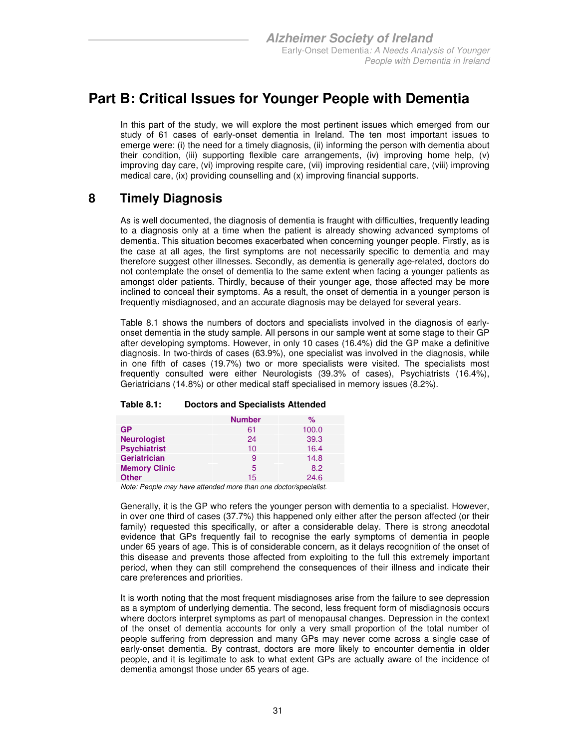### **Part B: Critical Issues for Younger People with Dementia**

In this part of the study, we will explore the most pertinent issues which emerged from our study of 61 cases of early-onset dementia in Ireland. The ten most important issues to emerge were: (i) the need for a timely diagnosis, (ii) informing the person with dementia about their condition, (iii) supporting flexible care arrangements, (iv) improving home help, (v) improving day care, (vi) improving respite care, (vii) improving residential care, (viii) improving medical care, (ix) providing counselling and (x) improving financial supports.

### **8 Timely Diagnosis**

As is well documented, the diagnosis of dementia is fraught with difficulties, frequently leading to a diagnosis only at a time when the patient is already showing advanced symptoms of dementia. This situation becomes exacerbated when concerning younger people. Firstly, as is the case at all ages, the first symptoms are not necessarily specific to dementia and may therefore suggest other illnesses. Secondly, as dementia is generally age-related, doctors do not contemplate the onset of dementia to the same extent when facing a younger patients as amongst older patients. Thirdly, because of their younger age, those affected may be more inclined to conceal their symptoms. As a result, the onset of dementia in a younger person is frequently misdiagnosed, and an accurate diagnosis may be delayed for several years.

Table 8.1 shows the numbers of doctors and specialists involved in the diagnosis of earlyonset dementia in the study sample. All persons in our sample went at some stage to their GP after developing symptoms. However, in only 10 cases (16.4%) did the GP make a definitive diagnosis. In two-thirds of cases (63.9%), one specialist was involved in the diagnosis, while in one fifth of cases (19.7%) two or more specialists were visited. The specialists most frequently consulted were either Neurologists (39.3% of cases), Psychiatrists (16.4%), Geriatricians (14.8%) or other medical staff specialised in memory issues (8.2%).

#### **Table 8.1: Doctors and Specialists Attended**

|                      | <b>Number</b> | $\%$  |
|----------------------|---------------|-------|
| <b>GP</b>            | 61            | 100.0 |
| <b>Neurologist</b>   | 24            | 39.3  |
| <b>Psychiatrist</b>  | 10            | 16.4  |
| <b>Geriatrician</b>  | 9             | 14.8  |
| <b>Memory Clinic</b> | 5             | 8.2   |
| <b>Other</b>         | 15            | 24.6  |

Note: People may have attended more than one doctor/specialist.

Generally, it is the GP who refers the younger person with dementia to a specialist. However, in over one third of cases (37.7%) this happened only either after the person affected (or their family) requested this specifically, or after a considerable delay. There is strong anecdotal evidence that GPs frequently fail to recognise the early symptoms of dementia in people under 65 years of age. This is of considerable concern, as it delays recognition of the onset of this disease and prevents those affected from exploiting to the full this extremely important period, when they can still comprehend the consequences of their illness and indicate their care preferences and priorities.

It is worth noting that the most frequent misdiagnoses arise from the failure to see depression as a symptom of underlying dementia. The second, less frequent form of misdiagnosis occurs where doctors interpret symptoms as part of menopausal changes. Depression in the context of the onset of dementia accounts for only a very small proportion of the total number of people suffering from depression and many GPs may never come across a single case of early-onset dementia. By contrast, doctors are more likely to encounter dementia in older people, and it is legitimate to ask to what extent GPs are actually aware of the incidence of dementia amongst those under 65 years of age.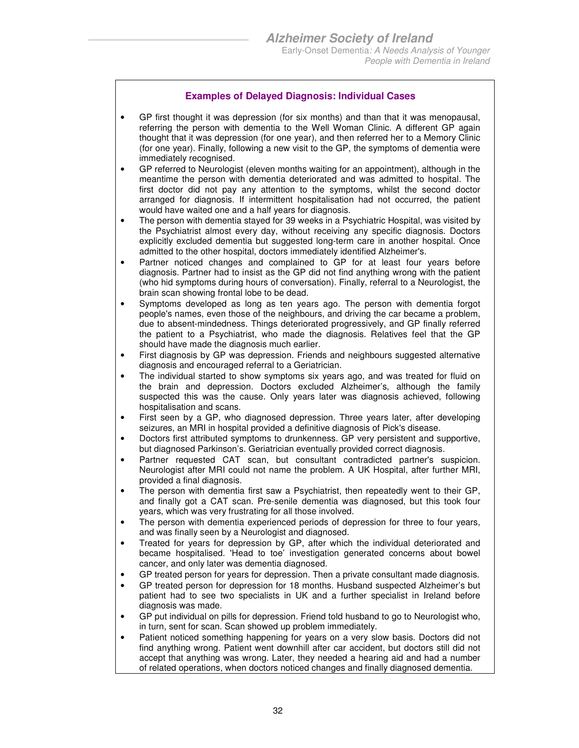#### **Examples of Delayed Diagnosis: Individual Cases**

- GP first thought it was depression (for six months) and than that it was menopausal, referring the person with dementia to the Well Woman Clinic. A different GP again thought that it was depression (for one year), and then referred her to a Memory Clinic (for one year). Finally, following a new visit to the GP, the symptoms of dementia were immediately recognised.
- GP referred to Neurologist (eleven months waiting for an appointment), although in the meantime the person with dementia deteriorated and was admitted to hospital. The first doctor did not pay any attention to the symptoms, whilst the second doctor arranged for diagnosis. If intermittent hospitalisation had not occurred, the patient would have waited one and a half years for diagnosis.
- The person with dementia stayed for 39 weeks in a Psychiatric Hospital, was visited by the Psychiatrist almost every day, without receiving any specific diagnosis. Doctors explicitly excluded dementia but suggested long-term care in another hospital. Once admitted to the other hospital, doctors immediately identified Alzheimer's.
- Partner noticed changes and complained to GP for at least four years before diagnosis. Partner had to insist as the GP did not find anything wrong with the patient (who hid symptoms during hours of conversation). Finally, referral to a Neurologist, the brain scan showing frontal lobe to be dead.
- Symptoms developed as long as ten years ago. The person with dementia forgot people's names, even those of the neighbours, and driving the car became a problem, due to absent-mindedness. Things deteriorated progressively, and GP finally referred the patient to a Psychiatrist, who made the diagnosis. Relatives feel that the GP should have made the diagnosis much earlier.
- First diagnosis by GP was depression. Friends and neighbours suggested alternative diagnosis and encouraged referral to a Geriatrician.
- The individual started to show symptoms six years ago, and was treated for fluid on the brain and depression. Doctors excluded Alzheimer's, although the family suspected this was the cause. Only years later was diagnosis achieved, following hospitalisation and scans.
- First seen by a GP, who diagnosed depression. Three years later, after developing seizures, an MRI in hospital provided a definitive diagnosis of Pick's disease.
- Doctors first attributed symptoms to drunkenness. GP very persistent and supportive, but diagnosed Parkinson's. Geriatrician eventually provided correct diagnosis.
- Partner requested CAT scan, but consultant contradicted partner's suspicion. Neurologist after MRI could not name the problem. A UK Hospital, after further MRI, provided a final diagnosis.
- The person with dementia first saw a Psychiatrist, then repeatedly went to their GP, and finally got a CAT scan. Pre-senile dementia was diagnosed, but this took four years, which was very frustrating for all those involved.
- The person with dementia experienced periods of depression for three to four years, and was finally seen by a Neurologist and diagnosed.
- Treated for years for depression by GP, after which the individual deteriorated and became hospitalised. 'Head to toe' investigation generated concerns about bowel cancer, and only later was dementia diagnosed.
- GP treated person for years for depression. Then a private consultant made diagnosis.
- GP treated person for depression for 18 months. Husband suspected Alzheimer's but patient had to see two specialists in UK and a further specialist in Ireland before diagnosis was made.
- GP put individual on pills for depression. Friend told husband to go to Neurologist who, in turn, sent for scan. Scan showed up problem immediately.
- Patient noticed something happening for years on a very slow basis. Doctors did not find anything wrong. Patient went downhill after car accident, but doctors still did not accept that anything was wrong. Later, they needed a hearing aid and had a number of related operations, when doctors noticed changes and finally diagnosed dementia.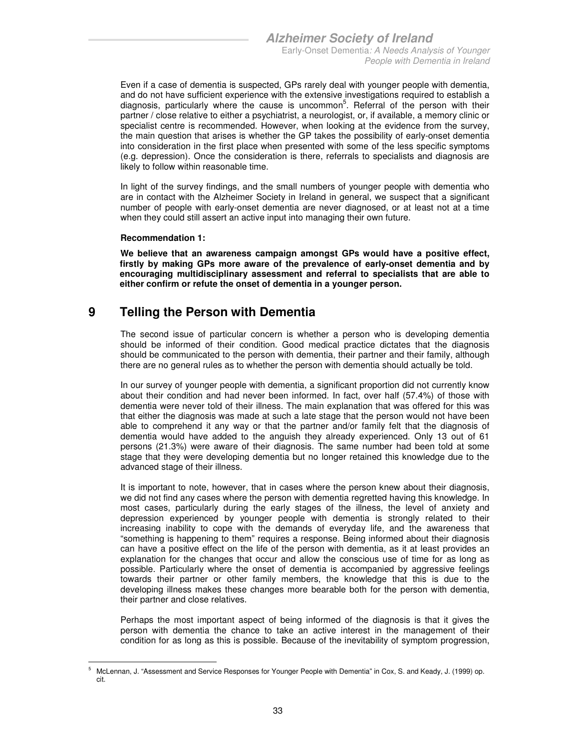Even if a case of dementia is suspected, GPs rarely deal with younger people with dementia, and do not have sufficient experience with the extensive investigations required to establish a diagnosis, particularly where the cause is uncommon<sup>5</sup>. Referral of the person with their partner / close relative to either a psychiatrist, a neurologist, or, if available, a memory clinic or specialist centre is recommended. However, when looking at the evidence from the survey, the main question that arises is whether the GP takes the possibility of early-onset dementia into consideration in the first place when presented with some of the less specific symptoms (e.g. depression). Once the consideration is there, referrals to specialists and diagnosis are likely to follow within reasonable time.

In light of the survey findings, and the small numbers of younger people with dementia who are in contact with the Alzheimer Society in Ireland in general, we suspect that a significant number of people with early-onset dementia are never diagnosed, or at least not at a time when they could still assert an active input into managing their own future.

#### **Recommendation 1:**

**We believe that an awareness campaign amongst GPs would have a positive effect, firstly by making GPs more aware of the prevalence of early-onset dementia and by encouraging multidisciplinary assessment and referral to specialists that are able to either confirm or refute the onset of dementia in a younger person.** 

### **9 Telling the Person with Dementia**

The second issue of particular concern is whether a person who is developing dementia should be informed of their condition. Good medical practice dictates that the diagnosis should be communicated to the person with dementia, their partner and their family, although there are no general rules as to whether the person with dementia should actually be told.

In our survey of younger people with dementia, a significant proportion did not currently know about their condition and had never been informed. In fact, over half (57.4%) of those with dementia were never told of their illness. The main explanation that was offered for this was that either the diagnosis was made at such a late stage that the person would not have been able to comprehend it any way or that the partner and/or family felt that the diagnosis of dementia would have added to the anguish they already experienced. Only 13 out of 61 persons (21.3%) were aware of their diagnosis. The same number had been told at some stage that they were developing dementia but no longer retained this knowledge due to the advanced stage of their illness.

It is important to note, however, that in cases where the person knew about their diagnosis, we did not find any cases where the person with dementia regretted having this knowledge. In most cases, particularly during the early stages of the illness, the level of anxiety and depression experienced by younger people with dementia is strongly related to their increasing inability to cope with the demands of everyday life, and the awareness that "something is happening to them" requires a response. Being informed about their diagnosis can have a positive effect on the life of the person with dementia, as it at least provides an explanation for the changes that occur and allow the conscious use of time for as long as possible. Particularly where the onset of dementia is accompanied by aggressive feelings towards their partner or other family members, the knowledge that this is due to the developing illness makes these changes more bearable both for the person with dementia, their partner and close relatives.

Perhaps the most important aspect of being informed of the diagnosis is that it gives the person with dementia the chance to take an active interest in the management of their condition for as long as this is possible. Because of the inevitability of symptom progression,

<sup>-</sup>5 McLennan, J. "Assessment and Service Responses for Younger People with Dementia" in Cox, S. and Keady, J. (1999) op. cit.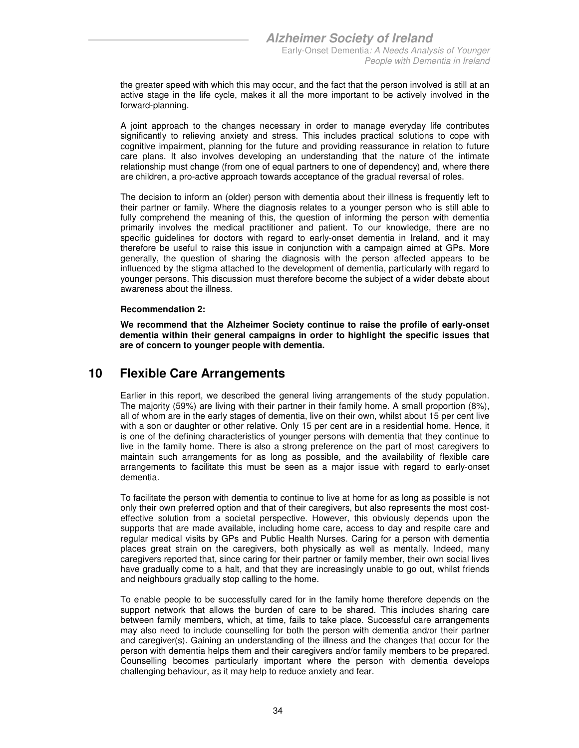the greater speed with which this may occur, and the fact that the person involved is still at an active stage in the life cycle, makes it all the more important to be actively involved in the forward-planning.

A joint approach to the changes necessary in order to manage everyday life contributes significantly to relieving anxiety and stress. This includes practical solutions to cope with cognitive impairment, planning for the future and providing reassurance in relation to future care plans. It also involves developing an understanding that the nature of the intimate relationship must change (from one of equal partners to one of dependency) and, where there are children, a pro-active approach towards acceptance of the gradual reversal of roles.

The decision to inform an (older) person with dementia about their illness is frequently left to their partner or family. Where the diagnosis relates to a younger person who is still able to fully comprehend the meaning of this, the question of informing the person with dementia primarily involves the medical practitioner and patient. To our knowledge, there are no specific guidelines for doctors with regard to early-onset dementia in Ireland, and it may therefore be useful to raise this issue in conjunction with a campaign aimed at GPs. More generally, the question of sharing the diagnosis with the person affected appears to be influenced by the stigma attached to the development of dementia, particularly with regard to younger persons. This discussion must therefore become the subject of a wider debate about awareness about the illness.

#### **Recommendation 2:**

**We recommend that the Alzheimer Society continue to raise the profile of early-onset dementia within their general campaigns in order to highlight the specific issues that are of concern to younger people with dementia.** 

### **10 Flexible Care Arrangements**

Earlier in this report, we described the general living arrangements of the study population. The majority (59%) are living with their partner in their family home. A small proportion (8%), all of whom are in the early stages of dementia, live on their own, whilst about 15 per cent live with a son or daughter or other relative. Only 15 per cent are in a residential home. Hence, it is one of the defining characteristics of younger persons with dementia that they continue to live in the family home. There is also a strong preference on the part of most caregivers to maintain such arrangements for as long as possible, and the availability of flexible care arrangements to facilitate this must be seen as a major issue with regard to early-onset dementia.

To facilitate the person with dementia to continue to live at home for as long as possible is not only their own preferred option and that of their caregivers, but also represents the most costeffective solution from a societal perspective. However, this obviously depends upon the supports that are made available, including home care, access to day and respite care and regular medical visits by GPs and Public Health Nurses. Caring for a person with dementia places great strain on the caregivers, both physically as well as mentally. Indeed, many caregivers reported that, since caring for their partner or family member, their own social lives have gradually come to a halt, and that they are increasingly unable to go out, whilst friends and neighbours gradually stop calling to the home.

To enable people to be successfully cared for in the family home therefore depends on the support network that allows the burden of care to be shared. This includes sharing care between family members, which, at time, fails to take place. Successful care arrangements may also need to include counselling for both the person with dementia and/or their partner and caregiver(s). Gaining an understanding of the illness and the changes that occur for the person with dementia helps them and their caregivers and/or family members to be prepared. Counselling becomes particularly important where the person with dementia develops challenging behaviour, as it may help to reduce anxiety and fear.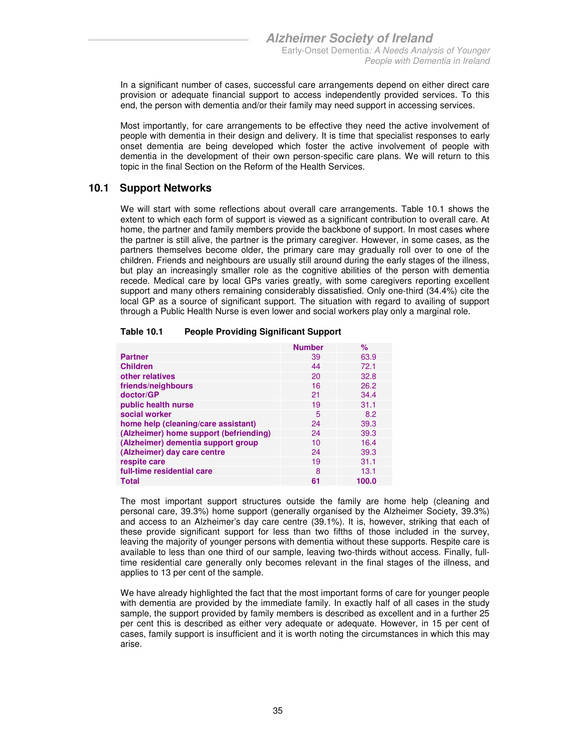In a significant number of cases, successful care arrangements depend on either direct care provision or adequate financial support to access independently provided services. To this end, the person with dementia and/or their family may need support in accessing services.

Most importantly, for care arrangements to be effective they need the active involvement of people with dementia in their design and delivery. It is time that specialist responses to early onset dementia are being developed which foster the active involvement of people with dementia in the development of their own person-specific care plans. We will return to this topic in the final Section on the Reform of the Health Services.

#### **10.1 Support Networks**

We will start with some reflections about overall care arrangements. Table 10.1 shows the extent to which each form of support is viewed as a significant contribution to overall care. At home, the partner and family members provide the backbone of support. In most cases where the partner is still alive, the partner is the primary caregiver. However, in some cases, as the partners themselves become older, the primary care may gradually roll over to one of the children. Friends and neighbours are usually still around during the early stages of the illness, but play an increasingly smaller role as the cognitive abilities of the person with dementia recede. Medical care by local GPs varies greatly, with some caregivers reporting excellent support and many others remaining considerably dissatisfied. Only one-third (34.4%) cite the local GP as a source of significant support. The situation with regard to availing of support through a Public Health Nurse is even lower and social workers play only a marginal role.

| Table 10.1 | <b>People Providing Significant Support</b> |
|------------|---------------------------------------------|
|            |                                             |

|                                        | <b>Number</b> | ℅     |
|----------------------------------------|---------------|-------|
| <b>Partner</b>                         | 39            | 63.9  |
| <b>Children</b>                        | 44            | 72.1  |
| other relatives                        | 20            | 32.8  |
| friends/neighbours                     | 16            | 26.2  |
| doctor/GP                              | 21            | 34.4  |
| public health nurse                    | 19            | 31.1  |
| social worker                          | 5             | 8.2   |
| home help (cleaning/care assistant)    | 24            | 39.3  |
| (Alzheimer) home support (befriending) | 24            | 39.3  |
| (Alzheimer) dementia support group     | 10            | 16.4  |
| (Alzheimer) day care centre            | 24            | 39.3  |
| respite care                           | 19            | 31.1  |
| full-time residential care             | 8             | 13.1  |
| Total                                  | 61            | 100.0 |

The most important support structures outside the family are home help (cleaning and personal care, 39.3%) home support (generally organised by the Alzheimer Society, 39.3%) and access to an Alzheimer's day care centre (39.1%). It is, however, striking that each of these provide significant support for less than two fifths of those included in the survey, leaving the majority of younger persons with dementia without these supports. Respite care is available to less than one third of our sample, leaving two-thirds without access. Finally, fulltime residential care generally only becomes relevant in the final stages of the illness, and applies to 13 per cent of the sample.

We have already highlighted the fact that the most important forms of care for younger people with dementia are provided by the immediate family. In exactly half of all cases in the study sample, the support provided by family members is described as excellent and in a further 25 per cent this is described as either very adequate or adequate. However, in 15 per cent of cases, family support is insufficient and it is worth noting the circumstances in which this may arise.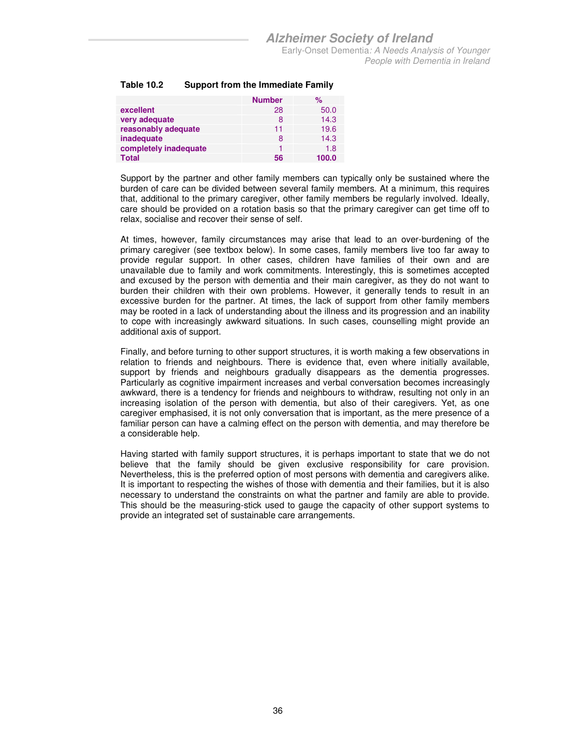| Table 10.2 | <b>Support from the Immediate Family</b> |
|------------|------------------------------------------|
|            |                                          |

|                       | <b>Number</b> | $\%$  |
|-----------------------|---------------|-------|
| excellent             | 28            | 50.0  |
| very adequate         | 8             | 14.3  |
| reasonably adequate   | 11            | 19.6  |
| inadequate            | 8             | 14.3  |
| completely inadequate |               | 1.8   |
| <b>Total</b>          | 56            | 100.0 |

Support by the partner and other family members can typically only be sustained where the burden of care can be divided between several family members. At a minimum, this requires that, additional to the primary caregiver, other family members be regularly involved. Ideally, care should be provided on a rotation basis so that the primary caregiver can get time off to relax, socialise and recover their sense of self.

At times, however, family circumstances may arise that lead to an over-burdening of the primary caregiver (see textbox below). In some cases, family members live too far away to provide regular support. In other cases, children have families of their own and are unavailable due to family and work commitments. Interestingly, this is sometimes accepted and excused by the person with dementia and their main caregiver, as they do not want to burden their children with their own problems. However, it generally tends to result in an excessive burden for the partner. At times, the lack of support from other family members may be rooted in a lack of understanding about the illness and its progression and an inability to cope with increasingly awkward situations. In such cases, counselling might provide an additional axis of support.

Finally, and before turning to other support structures, it is worth making a few observations in relation to friends and neighbours. There is evidence that, even where initially available, support by friends and neighbours gradually disappears as the dementia progresses. Particularly as cognitive impairment increases and verbal conversation becomes increasingly awkward, there is a tendency for friends and neighbours to withdraw, resulting not only in an increasing isolation of the person with dementia, but also of their caregivers. Yet, as one caregiver emphasised, it is not only conversation that is important, as the mere presence of a familiar person can have a calming effect on the person with dementia, and may therefore be a considerable help.

Having started with family support structures, it is perhaps important to state that we do not believe that the family should be given exclusive responsibility for care provision. Nevertheless, this is the preferred option of most persons with dementia and caregivers alike. It is important to respecting the wishes of those with dementia and their families, but it is also necessary to understand the constraints on what the partner and family are able to provide. This should be the measuring-stick used to gauge the capacity of other support systems to provide an integrated set of sustainable care arrangements.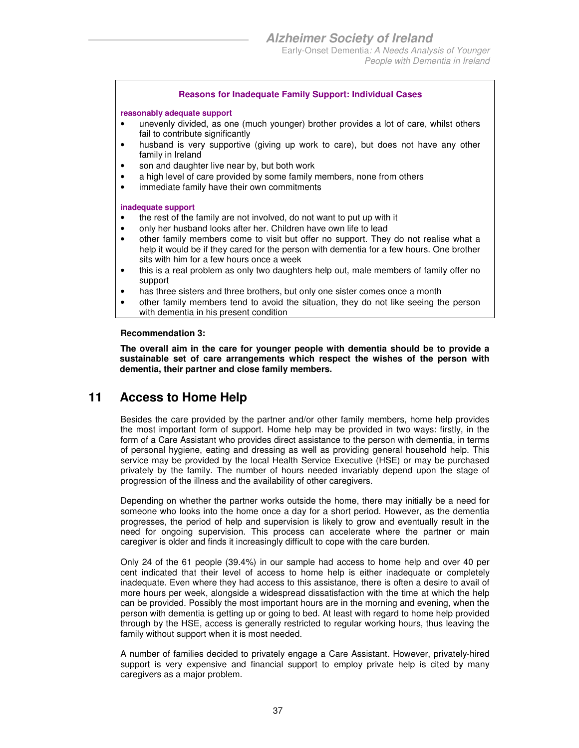#### **Reasons for Inadequate Family Support: Individual Cases**

#### **reasonably adequate support**

- unevenly divided, as one (much younger) brother provides a lot of care, whilst others fail to contribute significantly
- husband is very supportive (giving up work to care), but does not have any other family in Ireland
- son and daughter live near by, but both work
- a high level of care provided by some family members, none from others
- immediate family have their own commitments

#### **inadequate support**

- the rest of the family are not involved, do not want to put up with it
- only her husband looks after her. Children have own life to lead
- other family members come to visit but offer no support. They do not realise what a help it would be if they cared for the person with dementia for a few hours. One brother sits with him for a few hours once a week
- this is a real problem as only two daughters help out, male members of family offer no support
- has three sisters and three brothers, but only one sister comes once a month
- other family members tend to avoid the situation, they do not like seeing the person with dementia in his present condition

#### **Recommendation 3:**

**The overall aim in the care for younger people with dementia should be to provide a sustainable set of care arrangements which respect the wishes of the person with dementia, their partner and close family members.** 

### **11 Access to Home Help**

Besides the care provided by the partner and/or other family members, home help provides the most important form of support. Home help may be provided in two ways: firstly, in the form of a Care Assistant who provides direct assistance to the person with dementia, in terms of personal hygiene, eating and dressing as well as providing general household help. This service may be provided by the local Health Service Executive (HSE) or may be purchased privately by the family. The number of hours needed invariably depend upon the stage of progression of the illness and the availability of other caregivers.

Depending on whether the partner works outside the home, there may initially be a need for someone who looks into the home once a day for a short period. However, as the dementia progresses, the period of help and supervision is likely to grow and eventually result in the need for ongoing supervision. This process can accelerate where the partner or main caregiver is older and finds it increasingly difficult to cope with the care burden.

Only 24 of the 61 people (39.4%) in our sample had access to home help and over 40 per cent indicated that their level of access to home help is either inadequate or completely inadequate. Even where they had access to this assistance, there is often a desire to avail of more hours per week, alongside a widespread dissatisfaction with the time at which the help can be provided. Possibly the most important hours are in the morning and evening, when the person with dementia is getting up or going to bed. At least with regard to home help provided through by the HSE, access is generally restricted to regular working hours, thus leaving the family without support when it is most needed.

A number of families decided to privately engage a Care Assistant. However, privately-hired support is very expensive and financial support to employ private help is cited by many caregivers as a major problem.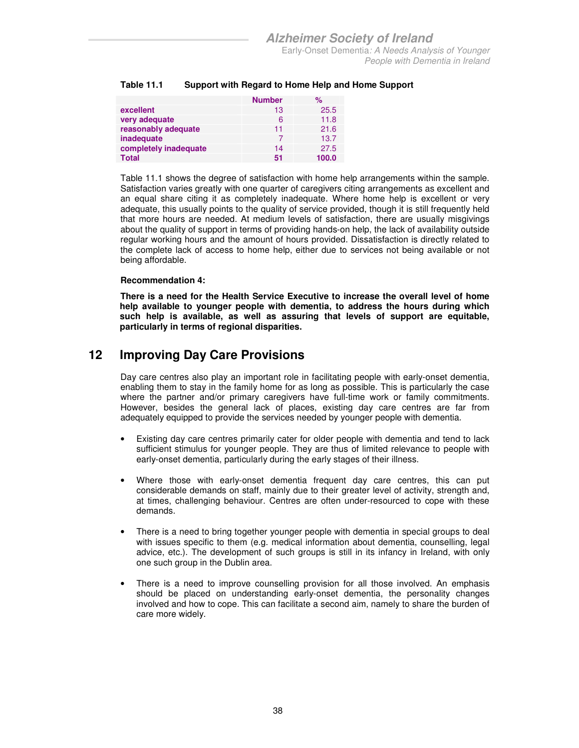|                       | <b>Number</b> | $\%$  |
|-----------------------|---------------|-------|
| excellent             | 13            | 25.5  |
| very adequate         | 6             | 11.8  |
| reasonably adequate   | 11            | 21.6  |
| inadequate            |               | 13.7  |
| completely inadequate | 14            | 27.5  |
| <b>Total</b>          | 51            | 100.0 |

#### **Table 11.1 Support with Regard to Home Help and Home Support**

Table 11.1 shows the degree of satisfaction with home help arrangements within the sample. Satisfaction varies greatly with one quarter of caregivers citing arrangements as excellent and an equal share citing it as completely inadequate. Where home help is excellent or very adequate, this usually points to the quality of service provided, though it is still frequently held that more hours are needed. At medium levels of satisfaction, there are usually misgivings about the quality of support in terms of providing hands-on help, the lack of availability outside regular working hours and the amount of hours provided. Dissatisfaction is directly related to the complete lack of access to home help, either due to services not being available or not being affordable.

#### **Recommendation 4:**

**There is a need for the Health Service Executive to increase the overall level of home help available to younger people with dementia, to address the hours during which such help is available, as well as assuring that levels of support are equitable, particularly in terms of regional disparities.** 

### **12 Improving Day Care Provisions**

Day care centres also play an important role in facilitating people with early-onset dementia, enabling them to stay in the family home for as long as possible. This is particularly the case where the partner and/or primary caregivers have full-time work or family commitments. However, besides the general lack of places, existing day care centres are far from adequately equipped to provide the services needed by younger people with dementia.

- Existing day care centres primarily cater for older people with dementia and tend to lack sufficient stimulus for younger people. They are thus of limited relevance to people with early-onset dementia, particularly during the early stages of their illness.
- Where those with early-onset dementia frequent day care centres, this can put considerable demands on staff, mainly due to their greater level of activity, strength and, at times, challenging behaviour. Centres are often under-resourced to cope with these demands.
- There is a need to bring together younger people with dementia in special groups to deal with issues specific to them (e.g. medical information about dementia, counselling, legal advice, etc.). The development of such groups is still in its infancy in Ireland, with only one such group in the Dublin area.
- There is a need to improve counselling provision for all those involved. An emphasis should be placed on understanding early-onset dementia, the personality changes involved and how to cope. This can facilitate a second aim, namely to share the burden of care more widely.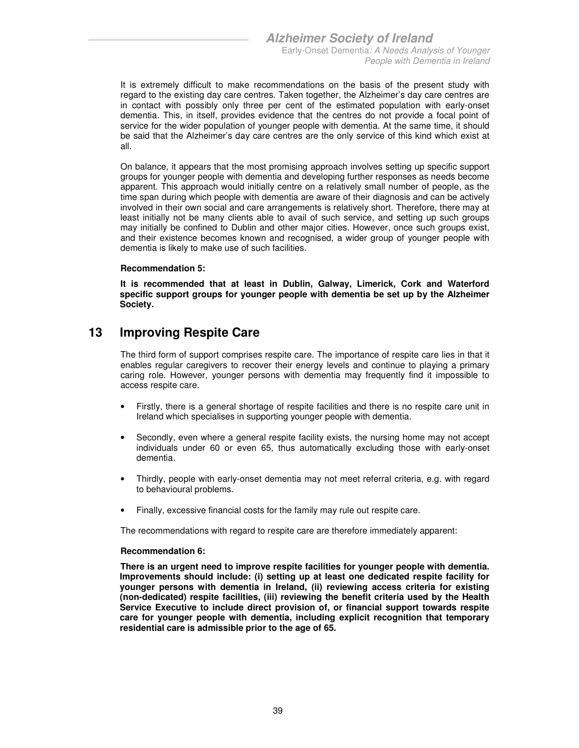It is extremely difficult to make recommendations on the basis of the present study with regard to the existing day care centres. Taken together, the Alzheimer's day care centres are in contact with possibly only three per cent of the estimated population with early-onset dementia. This, in itself, provides evidence that the centres do not provide a focal point of service for the wider population of younger people with dementia. At the same time, it should be said that the Alzheimer's day care centres are the only service of this kind which exist at all.

On balance, it appears that the most promising approach involves setting up specific support groups for younger people with dementia and developing further responses as needs become apparent. This approach would initially centre on a relatively small number of people, as the time span during which people with dementia are aware of their diagnosis and can be actively involved in their own social and care arrangements is relatively short. Therefore, there may at least initially not be many clients able to avail of such service, and setting up such groups may initially be confined to Dublin and other major cities. However, once such groups exist, and their existence becomes known and recognised, a wider group of younger people with dementia is likely to make use of such facilities.

#### **Recommendation 5:**

**It is recommended that at least in Dublin, Galway, Limerick, Cork and Waterford specific support groups for younger people with dementia be set up by the Alzheimer Society.** 

### **13 Improving Respite Care**

The third form of support comprises respite care. The importance of respite care lies in that it enables regular caregivers to recover their energy levels and continue to playing a primary caring role. However, younger persons with dementia may frequently find it impossible to access respite care.

- Firstly, there is a general shortage of respite facilities and there is no respite care unit in Ireland which specialises in supporting younger people with dementia.
- Secondly, even where a general respite facility exists, the nursing home may not accept individuals under 60 or even 65, thus automatically excluding those with early-onset dementia.
- Thirdly, people with early-onset dementia may not meet referral criteria, e.g. with regard to behavioural problems.
- Finally, excessive financial costs for the family may rule out respite care.

The recommendations with regard to respite care are therefore immediately apparent:

#### **Recommendation 6:**

**There is an urgent need to improve respite facilities for younger people with dementia. Improvements should include: (i) setting up at least one dedicated respite facility for younger persons with dementia in Ireland, (ii) reviewing access criteria for existing (non-dedicated) respite facilities, (iii) reviewing the benefit criteria used by the Health Service Executive to include direct provision of, or financial support towards respite care for younger people with dementia, including explicit recognition that temporary residential care is admissible prior to the age of 65.**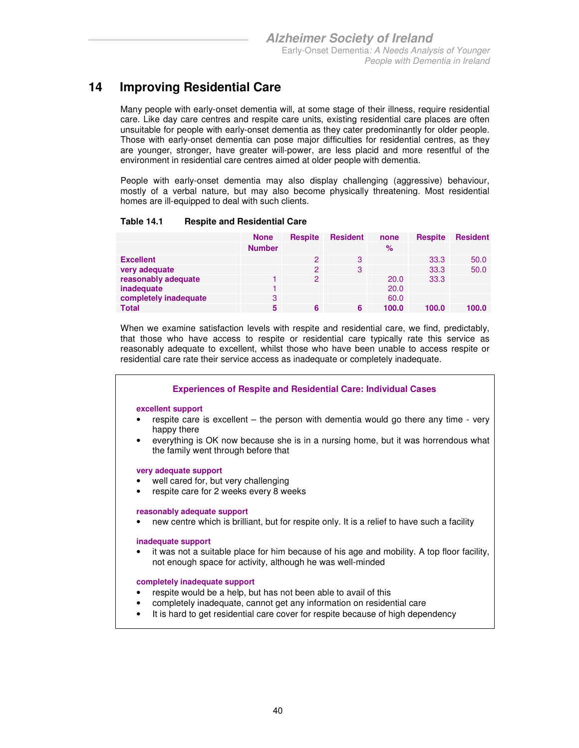### **14 Improving Residential Care**

Many people with early-onset dementia will, at some stage of their illness, require residential care. Like day care centres and respite care units, existing residential care places are often unsuitable for people with early-onset dementia as they cater predominantly for older people. Those with early-onset dementia can pose major difficulties for residential centres, as they are younger, stronger, have greater will-power, are less placid and more resentful of the environment in residential care centres aimed at older people with dementia.

People with early-onset dementia may also display challenging (aggressive) behaviour, mostly of a verbal nature, but may also become physically threatening. Most residential homes are ill-equipped to deal with such clients.

#### **Table 14.1 Respite and Residential Care**

|                       | <b>None</b>   | <b>Respite</b> | <b>Resident</b> | none  | <b>Respite</b> | <b>Resident</b> |
|-----------------------|---------------|----------------|-----------------|-------|----------------|-----------------|
|                       | <b>Number</b> |                |                 | $\%$  |                |                 |
| <b>Excellent</b>      |               | $\mathcal{P}$  | 3               |       | 33.3           | 50.0            |
| very adequate         |               | $\mathcal{P}$  | 3               |       | 33.3           | 50.0            |
| reasonably adequate   |               | $\mathcal{P}$  |                 | 20.0  | 33.3           |                 |
| inadequate            |               |                |                 | 20.0  |                |                 |
| completely inadequate | 3             |                |                 | 60.0  |                |                 |
| <b>Total</b>          | 5             | 6              | 6               | 100.0 | 100.0          | 100.0           |

When we examine satisfaction levels with respite and residential care, we find, predictably, that those who have access to respite or residential care typically rate this service as reasonably adequate to excellent, whilst those who have been unable to access respite or residential care rate their service access as inadequate or completely inadequate.

|                                | <b>Experiences of Respite and Residential Care: Individual Cases</b>                                                                                                                                                           |
|--------------------------------|--------------------------------------------------------------------------------------------------------------------------------------------------------------------------------------------------------------------------------|
| excellent support<br>$\bullet$ | respite care is excellent – the person with dementia would go there any time - very<br>happy there<br>everything is OK now because she is in a nursing home, but it was horrendous what<br>the family went through before that |
| $\bullet$<br>$\bullet$         | very adequate support<br>well cared for, but very challenging<br>respite care for 2 weeks every 8 weeks                                                                                                                        |
| ٠                              | reasonably adequate support<br>new centre which is brilliant, but for respite only. It is a relief to have such a facility                                                                                                     |
| ٠                              | inadequate support<br>it was not a suitable place for him because of his age and mobility. A top floor facility,<br>not enough space for activity, although he was well-minded                                                 |
| ٠                              | completely inadequate support<br>respite would be a help, but has not been able to avail of this<br>completely inadequate, cannot get any information on residential care                                                      |

• It is hard to get residential care cover for respite because of high dependency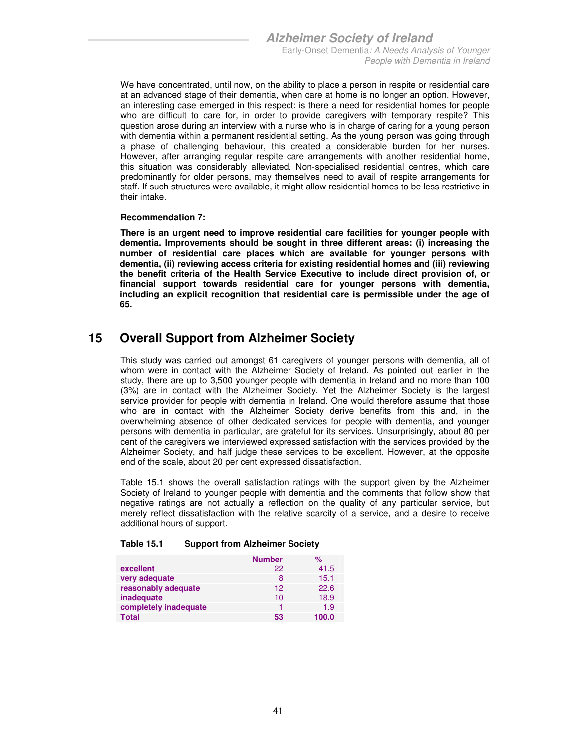We have concentrated, until now, on the ability to place a person in respite or residential care at an advanced stage of their dementia, when care at home is no longer an option. However, an interesting case emerged in this respect: is there a need for residential homes for people who are difficult to care for, in order to provide caregivers with temporary respite? This question arose during an interview with a nurse who is in charge of caring for a young person with dementia within a permanent residential setting. As the young person was going through a phase of challenging behaviour, this created a considerable burden for her nurses. However, after arranging regular respite care arrangements with another residential home, this situation was considerably alleviated. Non-specialised residential centres, which care predominantly for older persons, may themselves need to avail of respite arrangements for staff. If such structures were available, it might allow residential homes to be less restrictive in their intake.

#### **Recommendation 7:**

**There is an urgent need to improve residential care facilities for younger people with dementia. Improvements should be sought in three different areas: (i) increasing the number of residential care places which are available for younger persons with dementia, (ii) reviewing access criteria for existing residential homes and (iii) reviewing the benefit criteria of the Health Service Executive to include direct provision of, or financial support towards residential care for younger persons with dementia, including an explicit recognition that residential care is permissible under the age of 65.** 

### **15 Overall Support from Alzheimer Society**

This study was carried out amongst 61 caregivers of younger persons with dementia, all of whom were in contact with the Alzheimer Society of Ireland. As pointed out earlier in the study, there are up to 3,500 younger people with dementia in Ireland and no more than 100 (3%) are in contact with the Alzheimer Society. Yet the Alzheimer Society is the largest service provider for people with dementia in Ireland. One would therefore assume that those who are in contact with the Alzheimer Society derive benefits from this and, in the overwhelming absence of other dedicated services for people with dementia, and younger persons with dementia in particular, are grateful for its services. Unsurprisingly, about 80 per cent of the caregivers we interviewed expressed satisfaction with the services provided by the Alzheimer Society, and half judge these services to be excellent. However, at the opposite end of the scale, about 20 per cent expressed dissatisfaction.

Table 15.1 shows the overall satisfaction ratings with the support given by the Alzheimer Society of Ireland to younger people with dementia and the comments that follow show that negative ratings are not actually a reflection on the quality of any particular service, but merely reflect dissatisfaction with the relative scarcity of a service, and a desire to receive additional hours of support.

#### **Table 15.1 Support from Alzheimer Society**

|                       | <b>Number</b> | %     |
|-----------------------|---------------|-------|
| excellent             | 22            | 41.5  |
| very adequate         | 8             | 15.1  |
| reasonably adequate   | 12            | 22.6  |
| inadequate            | 10            | 18.9  |
| completely inadequate |               | 1.9   |
| <b>Total</b>          | 53            | 100.0 |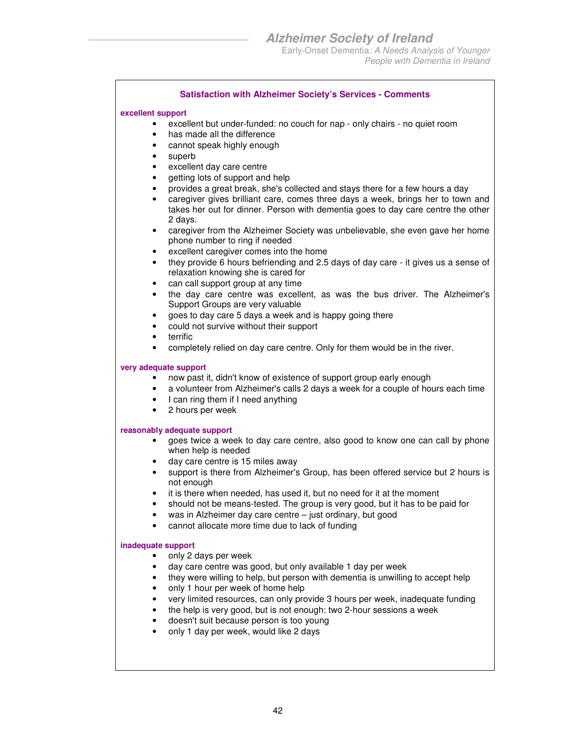People with Dementia in Ireland

#### **Satisfaction with Alzheimer Society's Services - Comments**

#### **excellent support**

- excellent but under-funded: no couch for nap only chairs no quiet room
- has made all the difference
- cannot speak highly enough
- superb
- excellent day care centre
- getting lots of support and help
- provides a great break, she's collected and stays there for a few hours a day
- caregiver gives brilliant care, comes three days a week, brings her to town and takes her out for dinner. Person with dementia goes to day care centre the other 2 days.
- caregiver from the Alzheimer Society was unbelievable, she even gave her home phone number to ring if needed
- excellent caregiver comes into the home
- they provide 6 hours befriending and 2.5 days of day care it gives us a sense of relaxation knowing she is cared for
- can call support group at any time
- the day care centre was excellent, as was the bus driver. The Alzheimer's Support Groups are very valuable
- goes to day care 5 days a week and is happy going there
- could not survive without their support
- terrific
- completely relied on day care centre. Only for them would be in the river.

#### **very adequate support**

- now past it, didn't know of existence of support group early enough
- a volunteer from Alzheimer's calls 2 days a week for a couple of hours each time
- I can ring them if I need anything
- 2 hours per week

#### **reasonably adequate support**

- goes twice a week to day care centre, also good to know one can call by phone when help is needed
- day care centre is 15 miles away
- support is there from Alzheimer's Group, has been offered service but 2 hours is not enough
- it is there when needed, has used it, but no need for it at the moment
- should not be means-tested. The group is very good, but it has to be paid for
- was in Alzheimer day care centre just ordinary, but good
- cannot allocate more time due to lack of funding

#### **inadequate support**

- only 2 days per week
- day care centre was good, but only available 1 day per week
- they were willing to help, but person with dementia is unwilling to accept help
- only 1 hour per week of home help
- very limited resources, can only provide 3 hours per week, inadequate funding
- the help is very good, but is not enough: two 2-hour sessions a week
- doesn't suit because person is too young
- only 1 day per week, would like 2 days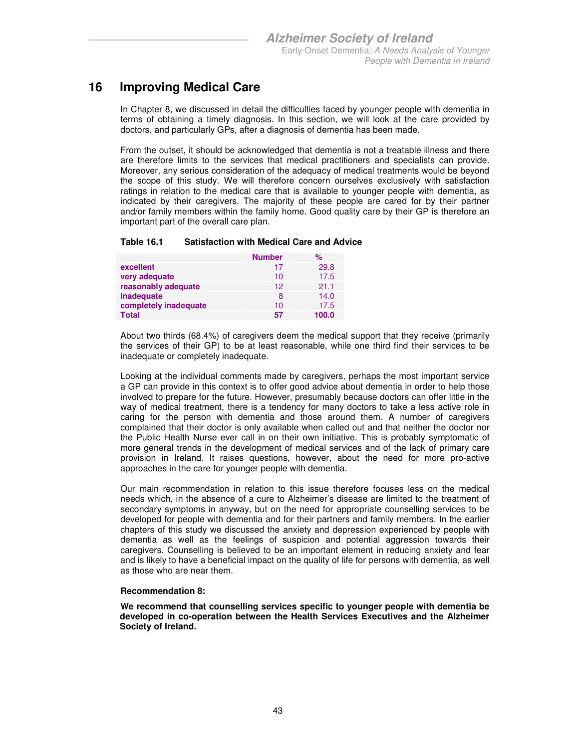### **16 Improving Medical Care**

In Chapter 8, we discussed in detail the difficulties faced by younger people with dementia in terms of obtaining a timely diagnosis. In this section, we will look at the care provided by doctors, and particularly GPs, after a diagnosis of dementia has been made.

From the outset, it should be acknowledged that dementia is not a treatable illness and there are therefore limits to the services that medical practitioners and specialists can provide. Moreover, any serious consideration of the adequacy of medical treatments would be beyond the scope of this study. We will therefore concern ourselves exclusively with satisfaction ratings in relation to the medical care that is available to younger people with dementia, as indicated by their caregivers. The majority of these people are cared for by their partner and/or family members within the family home. Good quality care by their GP is therefore an important part of the overall care plan.

#### **Table 16.1 Satisfaction with Medical Care and Advice**

|                       | <b>Number</b> | $\%$  |
|-----------------------|---------------|-------|
| excellent             | 17            | 29.8  |
| very adequate         | 10            | 17.5  |
| reasonably adequate   | 12            | 21.1  |
| inadequate            | 8             | 14.0  |
| completely inadequate | 10            | 17.5  |
| Total                 | 57            | 100.0 |

About two thirds (68.4%) of caregivers deem the medical support that they receive (primarily the services of their GP) to be at least reasonable, while one third find their services to be inadequate or completely inadequate.

Looking at the individual comments made by caregivers, perhaps the most important service a GP can provide in this context is to offer good advice about dementia in order to help those involved to prepare for the future. However, presumably because doctors can offer little in the way of medical treatment, there is a tendency for many doctors to take a less active role in caring for the person with dementia and those around them. A number of caregivers complained that their doctor is only available when called out and that neither the doctor nor the Public Health Nurse ever call in on their own initiative. This is probably symptomatic of more general trends in the development of medical services and of the lack of primary care provision in Ireland. It raises questions, however, about the need for more pro-active approaches in the care for younger people with dementia.

Our main recommendation in relation to this issue therefore focuses less on the medical needs which, in the absence of a cure to Alzheimer's disease are limited to the treatment of secondary symptoms in anyway, but on the need for appropriate counselling services to be developed for people with dementia and for their partners and family members. In the earlier chapters of this study we discussed the anxiety and depression experienced by people with dementia as well as the feelings of suspicion and potential aggression towards their caregivers. Counselling is believed to be an important element in reducing anxiety and fear and is likely to have a beneficial impact on the quality of life for persons with dementia, as well as those who are near them.

#### **Recommendation 8:**

**We recommend that counselling services specific to younger people with dementia be developed in co-operation between the Health Services Executives and the Alzheimer Society of Ireland.**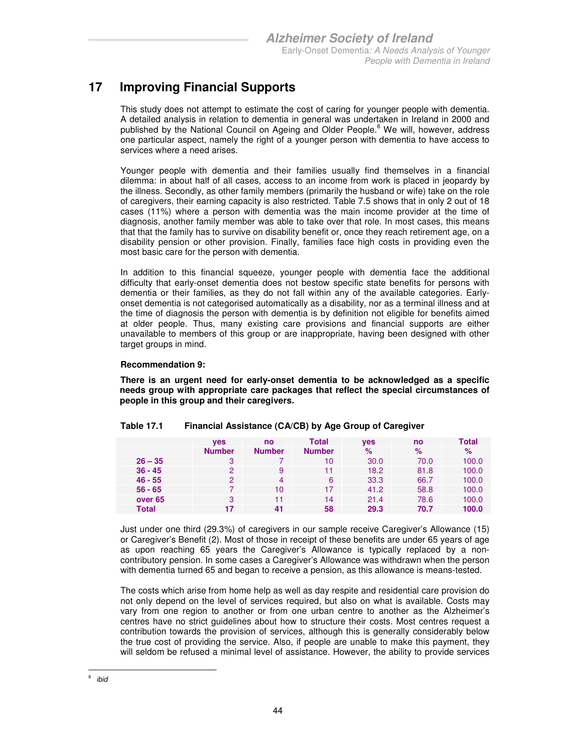### **17 Improving Financial Supports**

This study does not attempt to estimate the cost of caring for younger people with dementia. A detailed analysis in relation to dementia in general was undertaken in Ireland in 2000 and published by the National Council on Ageing and Older People.<sup>6</sup> We will, however, address one particular aspect, namely the right of a younger person with dementia to have access to services where a need arises.

Younger people with dementia and their families usually find themselves in a financial dilemma: in about half of all cases, access to an income from work is placed in jeopardy by the illness. Secondly, as other family members (primarily the husband or wife) take on the role of caregivers, their earning capacity is also restricted. Table 7.5 shows that in only 2 out of 18 cases (11%) where a person with dementia was the main income provider at the time of diagnosis, another family member was able to take over that role. In most cases, this means that that the family has to survive on disability benefit or, once they reach retirement age, on a disability pension or other provision. Finally, families face high costs in providing even the most basic care for the person with dementia.

In addition to this financial squeeze, younger people with dementia face the additional difficulty that early-onset dementia does not bestow specific state benefits for persons with dementia or their families, as they do not fall within any of the available categories. Earlyonset dementia is not categorised automatically as a disability, nor as a terminal illness and at the time of diagnosis the person with dementia is by definition not eligible for benefits aimed at older people. Thus, many existing care provisions and financial supports are either unavailable to members of this group or are inappropriate, having been designed with other target groups in mind.

#### **Recommendation 9:**

**There is an urgent need for early-onset dementia to be acknowledged as a specific needs group with appropriate care packages that reflect the special circumstances of people in this group and their caregivers.** 

|           | <b>ves</b>    | no            | Total         | <b>ves</b> | no   | Total |
|-----------|---------------|---------------|---------------|------------|------|-------|
|           | <b>Number</b> | <b>Number</b> | <b>Number</b> | $\%$       | $\%$ | $\%$  |
| $26 - 35$ | 3             |               | 10            | 30.0       | 70.0 | 100.0 |
| $36 - 45$ | 2             | 9             | 11            | 18.2       | 81.8 | 100.0 |
| $46 - 55$ | 2             | 4             | 6             | 33.3       | 66.7 | 100.0 |
| $56 - 65$ |               | 10            | 17            | 41.2       | 58.8 | 100.0 |
| over 65   | 3             | 11            | 14            | 21.4       | 78.6 | 100.0 |
| Total     | 17            | 41            | 58            | 29.3       | 70.7 | 100.0 |

#### **Table 17.1 Financial Assistance (CA/CB) by Age Group of Caregiver**

Just under one third (29.3%) of caregivers in our sample receive Caregiver's Allowance (15) or Caregiver's Benefit (2). Most of those in receipt of these benefits are under 65 years of age as upon reaching 65 years the Caregiver's Allowance is typically replaced by a noncontributory pension. In some cases a Caregiver's Allowance was withdrawn when the person with dementia turned 65 and began to receive a pension, as this allowance is means-tested.

The costs which arise from home help as well as day respite and residential care provision do not only depend on the level of services required, but also on what is available. Costs may vary from one region to another or from one urban centre to another as the Alzheimer's centres have no strict guidelines about how to structure their costs. Most centres request a contribution towards the provision of services, although this is generally considerably below the true cost of providing the service. Also, if people are unable to make this payment, they will seldom be refused a minimal level of assistance. However, the ability to provide services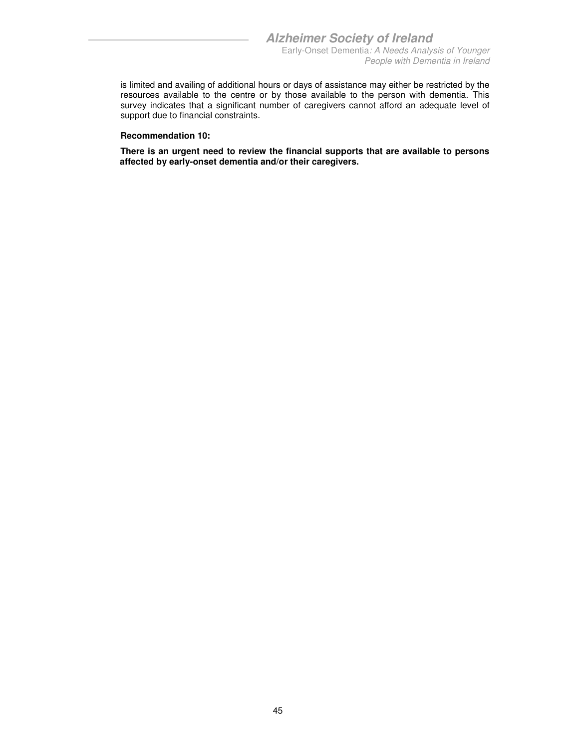is limited and availing of additional hours or days of assistance may either be restricted by the resources available to the centre or by those available to the person with dementia. This survey indicates that a significant number of caregivers cannot afford an adequate level of support due to financial constraints.

#### **Recommendation 10:**

**There is an urgent need to review the financial supports that are available to persons affected by early-onset dementia and/or their caregivers.**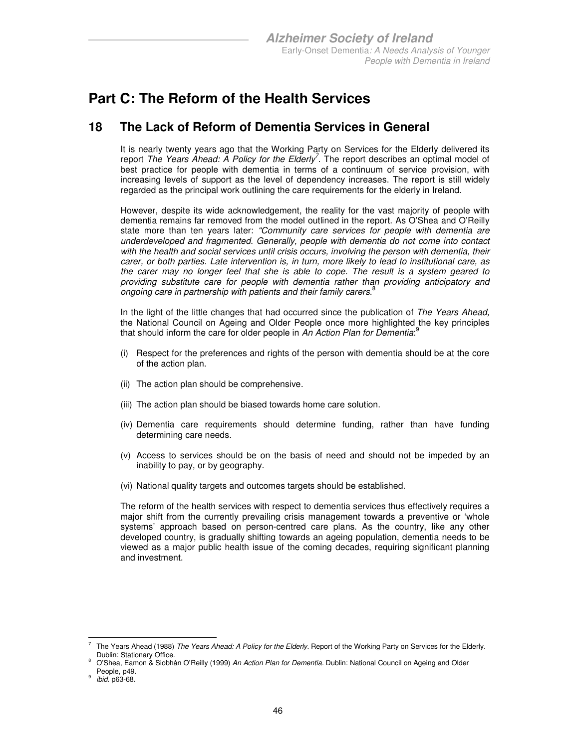### **Part C: The Reform of the Health Services**

### **18 The Lack of Reform of Dementia Services in General**

It is nearly twenty years ago that the Working Party on Services for the Elderly delivered its report The Years Ahead: A Policy for the Elderly<sup>7</sup>. The report describes an optimal model of best practice for people with dementia in terms of a continuum of service provision, with increasing levels of support as the level of dependency increases. The report is still widely regarded as the principal work outlining the care requirements for the elderly in Ireland.

However, despite its wide acknowledgement, the reality for the vast majority of people with dementia remains far removed from the model outlined in the report. As O'Shea and O'Reilly state more than ten years later: "Community care services for people with dementia are underdeveloped and fragmented. Generally, people with dementia do not come into contact with the health and social services until crisis occurs, involving the person with dementia, their carer, or both parties. Late intervention is, in turn, more likely to lead to institutional care, as the carer may no longer feel that she is able to cope. The result is a system geared to providing substitute care for people with dementia rather than providing anticipatory and ongoing care in partnership with patients and their family carers. ${}^{8}$ 

In the light of the little changes that had occurred since the publication of The Years Ahead, the National Council on Ageing and Older People once more highlighted the key principles that should inform the care for older people in An Action Plan for Dementia:<sup>9</sup>

- (i) Respect for the preferences and rights of the person with dementia should be at the core of the action plan.
- (ii) The action plan should be comprehensive.
- (iii) The action plan should be biased towards home care solution.
- (iv) Dementia care requirements should determine funding, rather than have funding determining care needs.
- (v) Access to services should be on the basis of need and should not be impeded by an inability to pay, or by geography.
- (vi) National quality targets and outcomes targets should be established.

The reform of the health services with respect to dementia services thus effectively requires a major shift from the currently prevailing crisis management towards a preventive or 'whole systems' approach based on person-centred care plans. As the country, like any other developed country, is gradually shifting towards an ageing population, dementia needs to be viewed as a major public health issue of the coming decades, requiring significant planning and investment.

<sup>-</sup>7 The Years Ahead (1988) The Years Ahead: A Policy for the Elderly. Report of the Working Party on Services for the Elderly. Dublin: Stationary Office. 8

O'Shea, Eamon & Siobhán O'Reilly (1999) An Action Plan for Dementia. Dublin: National Council on Ageing and Older People, p49.

<sup>9</sup> ibid. p63-68.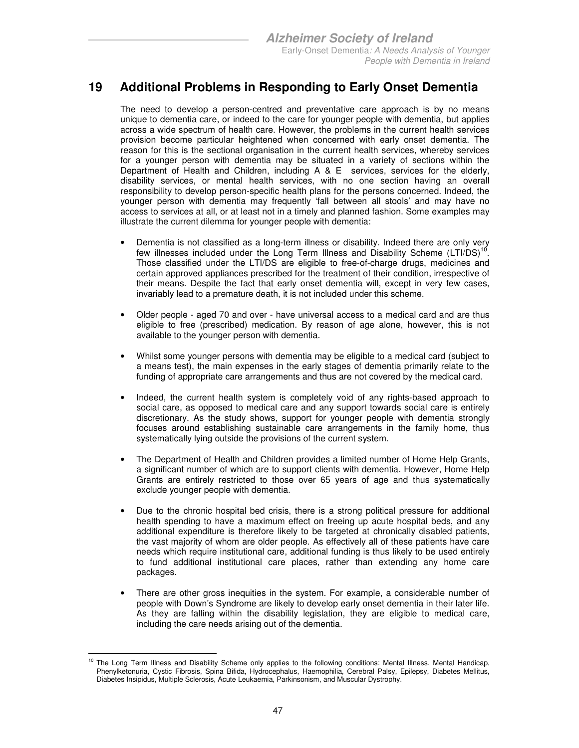### **19 Additional Problems in Responding to Early Onset Dementia**

The need to develop a person-centred and preventative care approach is by no means unique to dementia care, or indeed to the care for younger people with dementia, but applies across a wide spectrum of health care. However, the problems in the current health services provision become particular heightened when concerned with early onset dementia. The reason for this is the sectional organisation in the current health services, whereby services for a younger person with dementia may be situated in a variety of sections within the Department of Health and Children, including A & E services, services for the elderly, disability services, or mental health services, with no one section having an overall responsibility to develop person-specific health plans for the persons concerned. Indeed, the younger person with dementia may frequently 'fall between all stools' and may have no access to services at all, or at least not in a timely and planned fashion. Some examples may illustrate the current dilemma for younger people with dementia:

- Dementia is not classified as a long-term illness or disability. Indeed there are only very few illnesses included under the Long Term Illness and Disability Scheme  $(LTI/DS)^{10}$ . Those classified under the LTI/DS are eligible to free-of-charge drugs, medicines and certain approved appliances prescribed for the treatment of their condition, irrespective of their means. Despite the fact that early onset dementia will, except in very few cases, invariably lead to a premature death, it is not included under this scheme.
- Older people aged 70 and over have universal access to a medical card and are thus eligible to free (prescribed) medication. By reason of age alone, however, this is not available to the younger person with dementia.
- Whilst some younger persons with dementia may be eligible to a medical card (subject to a means test), the main expenses in the early stages of dementia primarily relate to the funding of appropriate care arrangements and thus are not covered by the medical card.
- Indeed, the current health system is completely void of any rights-based approach to social care, as opposed to medical care and any support towards social care is entirely discretionary. As the study shows, support for younger people with dementia strongly focuses around establishing sustainable care arrangements in the family home, thus systematically lying outside the provisions of the current system.
- The Department of Health and Children provides a limited number of Home Help Grants, a significant number of which are to support clients with dementia. However, Home Help Grants are entirely restricted to those over 65 years of age and thus systematically exclude younger people with dementia.
- Due to the chronic hospital bed crisis, there is a strong political pressure for additional health spending to have a maximum effect on freeing up acute hospital beds, and any additional expenditure is therefore likely to be targeted at chronically disabled patients, the vast majority of whom are older people. As effectively all of these patients have care needs which require institutional care, additional funding is thus likely to be used entirely to fund additional institutional care places, rather than extending any home care packages.
- There are other gross inequities in the system. For example, a considerable number of people with Down's Syndrome are likely to develop early onset dementia in their later life. As they are falling within the disability legislation, they are eligible to medical care, including the care needs arising out of the dementia.

<sup>-</sup><sup>10</sup> The Long Term Illness and Disability Scheme only applies to the following conditions: Mental Illness, Mental Handicap, Phenylketonuria, Cystic Fibrosis, Spina Bifida, Hydrocephalus, Haemophilia, Cerebral Palsy, Epilepsy, Diabetes Mellitus, Diabetes Insipidus, Multiple Sclerosis, Acute Leukaemia, Parkinsonism, and Muscular Dystrophy.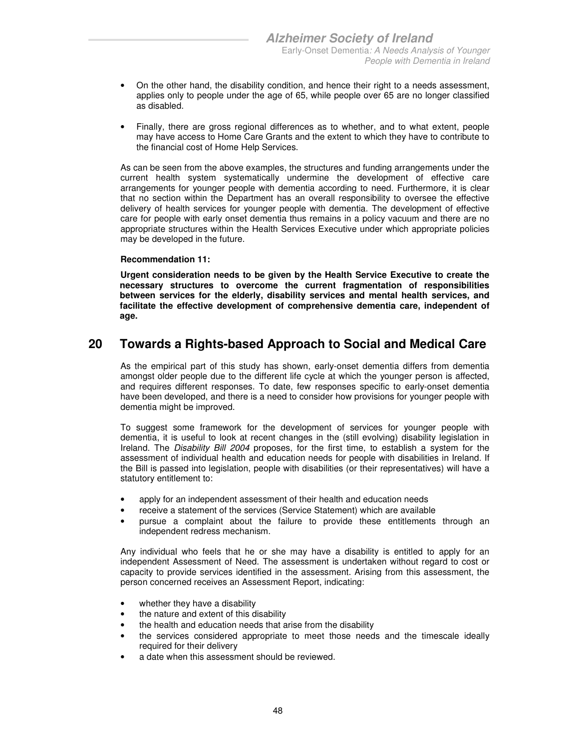- On the other hand, the disability condition, and hence their right to a needs assessment, applies only to people under the age of 65, while people over 65 are no longer classified as disabled.
- Finally, there are gross regional differences as to whether, and to what extent, people may have access to Home Care Grants and the extent to which they have to contribute to the financial cost of Home Help Services.

As can be seen from the above examples, the structures and funding arrangements under the current health system systematically undermine the development of effective care arrangements for younger people with dementia according to need. Furthermore, it is clear that no section within the Department has an overall responsibility to oversee the effective delivery of health services for younger people with dementia. The development of effective care for people with early onset dementia thus remains in a policy vacuum and there are no appropriate structures within the Health Services Executive under which appropriate policies may be developed in the future.

#### **Recommendation 11:**

**Urgent consideration needs to be given by the Health Service Executive to create the necessary structures to overcome the current fragmentation of responsibilities between services for the elderly, disability services and mental health services, and facilitate the effective development of comprehensive dementia care, independent of age.** 

### **20 Towards a Rights-based Approach to Social and Medical Care**

As the empirical part of this study has shown, early-onset dementia differs from dementia amongst older people due to the different life cycle at which the younger person is affected, and requires different responses. To date, few responses specific to early-onset dementia have been developed, and there is a need to consider how provisions for younger people with dementia might be improved.

To suggest some framework for the development of services for younger people with dementia, it is useful to look at recent changes in the (still evolving) disability legislation in Ireland. The Disability Bill 2004 proposes, for the first time, to establish a system for the assessment of individual health and education needs for people with disabilities in Ireland. If the Bill is passed into legislation, people with disabilities (or their representatives) will have a statutory entitlement to:

- apply for an independent assessment of their health and education needs
- receive a statement of the services (Service Statement) which are available
- pursue a complaint about the failure to provide these entitlements through an independent redress mechanism.

Any individual who feels that he or she may have a disability is entitled to apply for an independent Assessment of Need. The assessment is undertaken without regard to cost or capacity to provide services identified in the assessment. Arising from this assessment, the person concerned receives an Assessment Report, indicating:

- whether they have a disability
- the nature and extent of this disability
- the health and education needs that arise from the disability
- the services considered appropriate to meet those needs and the timescale ideally required for their delivery
- a date when this assessment should be reviewed.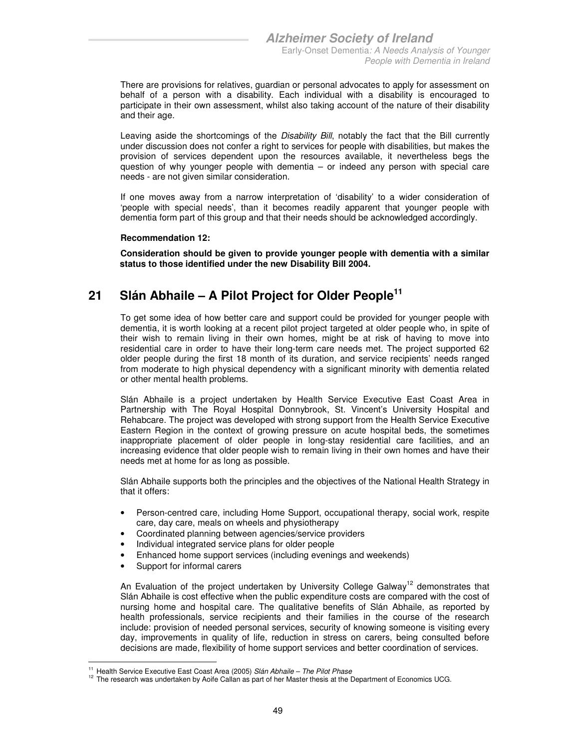There are provisions for relatives, guardian or personal advocates to apply for assessment on behalf of a person with a disability. Each individual with a disability is encouraged to participate in their own assessment, whilst also taking account of the nature of their disability and their age.

Leaving aside the shortcomings of the Disability Bill, notably the fact that the Bill currently under discussion does not confer a right to services for people with disabilities, but makes the provision of services dependent upon the resources available, it nevertheless begs the question of why younger people with dementia – or indeed any person with special care needs - are not given similar consideration.

If one moves away from a narrow interpretation of 'disability' to a wider consideration of 'people with special needs', than it becomes readily apparent that younger people with dementia form part of this group and that their needs should be acknowledged accordingly.

#### **Recommendation 12:**

**Consideration should be given to provide younger people with dementia with a similar status to those identified under the new Disability Bill 2004.** 

### **21 Slán Abhaile – A Pilot Project for Older People<sup>11</sup>**

To get some idea of how better care and support could be provided for younger people with dementia, it is worth looking at a recent pilot project targeted at older people who, in spite of their wish to remain living in their own homes, might be at risk of having to move into residential care in order to have their long-term care needs met. The project supported 62 older people during the first 18 month of its duration, and service recipients' needs ranged from moderate to high physical dependency with a significant minority with dementia related or other mental health problems.

Slán Abhaile is a project undertaken by Health Service Executive East Coast Area in Partnership with The Royal Hospital Donnybrook, St. Vincent's University Hospital and Rehabcare. The project was developed with strong support from the Health Service Executive Eastern Region in the context of growing pressure on acute hospital beds, the sometimes inappropriate placement of older people in long-stay residential care facilities, and an increasing evidence that older people wish to remain living in their own homes and have their needs met at home for as long as possible.

Slán Abhaile supports both the principles and the objectives of the National Health Strategy in that it offers:

- Person-centred care, including Home Support, occupational therapy, social work, respite care, day care, meals on wheels and physiotherapy
- Coordinated planning between agencies/service providers
- Individual integrated service plans for older people
- Enhanced home support services (including evenings and weekends)
- Support for informal carers

An Evaluation of the project undertaken by University College Galway<sup>12</sup> demonstrates that Slán Abhaile is cost effective when the public expenditure costs are compared with the cost of nursing home and hospital care. The qualitative benefits of Slán Abhaile, as reported by health professionals, service recipients and their families in the course of the research include: provision of needed personal services, security of knowing someone is visiting every day, improvements in quality of life, reduction in stress on carers, being consulted before decisions are made, flexibility of home support services and better coordination of services.

<sup>-</sup><sup>11</sup> Health Service Executive East Coast Area (2005) Slán Abhaile – The Pilot Phase

 $12$  The research was undertaken by Aoife Callan as part of her Master thesis at the Department of Economics UCG.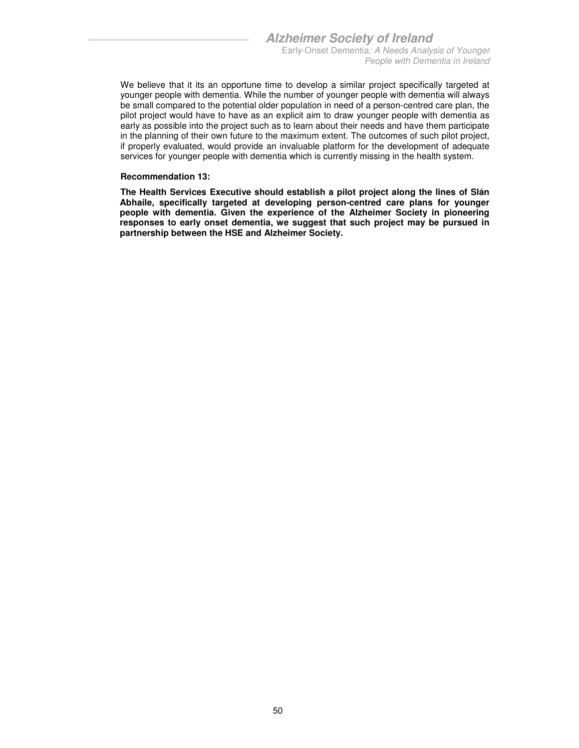We believe that it its an opportune time to develop a similar project specifically targeted at younger people with dementia. While the number of younger people with dementia will always be small compared to the potential older population in need of a person-centred care plan, the pilot project would have to have as an explicit aim to draw younger people with dementia as early as possible into the project such as to learn about their needs and have them participate in the planning of their own future to the maximum extent. The outcomes of such pilot project, if properly evaluated, would provide an invaluable platform for the development of adequate services for younger people with dementia which is currently missing in the health system.

#### **Recommendation 13:**

**The Health Services Executive should establish a pilot project along the lines of Slán Abhaile, specifically targeted at developing person-centred care plans for younger people with dementia. Given the experience of the Alzheimer Society in pioneering responses to early onset dementia, we suggest that such project may be pursued in partnership between the HSE and Alzheimer Society.**